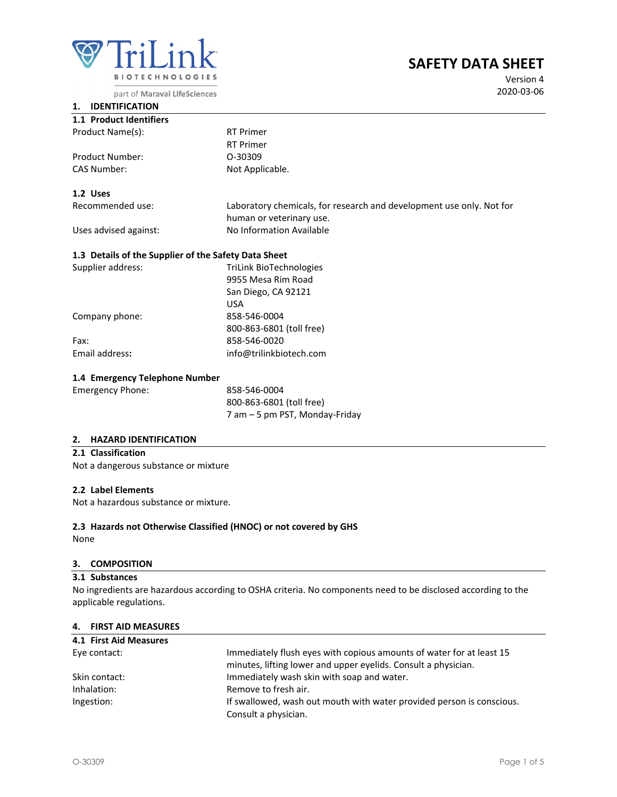

#### **1. IDENTIFICATION**

# **SAFETY DATA SHEET**

Version 4 2020‐03‐06

| 1.1 Product Identifiers                              |                                                                      |
|------------------------------------------------------|----------------------------------------------------------------------|
| Product Name(s):                                     | <b>RT Primer</b>                                                     |
|                                                      | <b>RT Primer</b>                                                     |
| Product Number:                                      | 0-30309                                                              |
| <b>CAS Number:</b>                                   | Not Applicable.                                                      |
| 1.2 Uses                                             |                                                                      |
| Recommended use:                                     | Laboratory chemicals, for research and development use only. Not for |
|                                                      | human or veterinary use.                                             |
| Uses advised against:                                | No Information Available                                             |
| 1.3 Details of the Supplier of the Safety Data Sheet |                                                                      |
| Supplier address:                                    | TriLink BioTechnologies                                              |
|                                                      | 9955 Mesa Rim Road                                                   |
|                                                      | San Diego, CA 92121                                                  |
|                                                      | <b>USA</b>                                                           |
| Company phone:                                       | 858-546-0004                                                         |
|                                                      | 800-863-6801 (toll free)                                             |
| Fax:                                                 | 858-546-0020                                                         |
| Email address:                                       | info@trilinkbiotech.com                                              |
| 1.4 Emergency Telephone Number                       |                                                                      |

Emergency Phone: 858‐546‐0004

 800‐863‐6801 (toll free) 7 am – 5 pm PST, Monday‐Friday

#### **2. HAZARD IDENTIFICATION**

#### **2.1 Classification**

Not a dangerous substance or mixture

#### **2.2 Label Elements**

Not a hazardous substance or mixture.

### **2.3 Hazards not Otherwise Classified (HNOC) or not covered by GHS**

None

#### **3. COMPOSITION**

#### **3.1 Substances**

No ingredients are hazardous according to OSHA criteria. No components need to be disclosed according to the applicable regulations.

| <b>4.1 First Aid Measures</b> |                                                                                                                                        |
|-------------------------------|----------------------------------------------------------------------------------------------------------------------------------------|
| Eye contact:                  | Immediately flush eyes with copious amounts of water for at least 15<br>minutes, lifting lower and upper evelids. Consult a physician. |
| Skin contact:                 | Immediately wash skin with soap and water.                                                                                             |
| Inhalation:                   | Remove to fresh air.                                                                                                                   |
| Ingestion:                    | If swallowed, wash out mouth with water provided person is conscious.                                                                  |
|                               | Consult a physician.                                                                                                                   |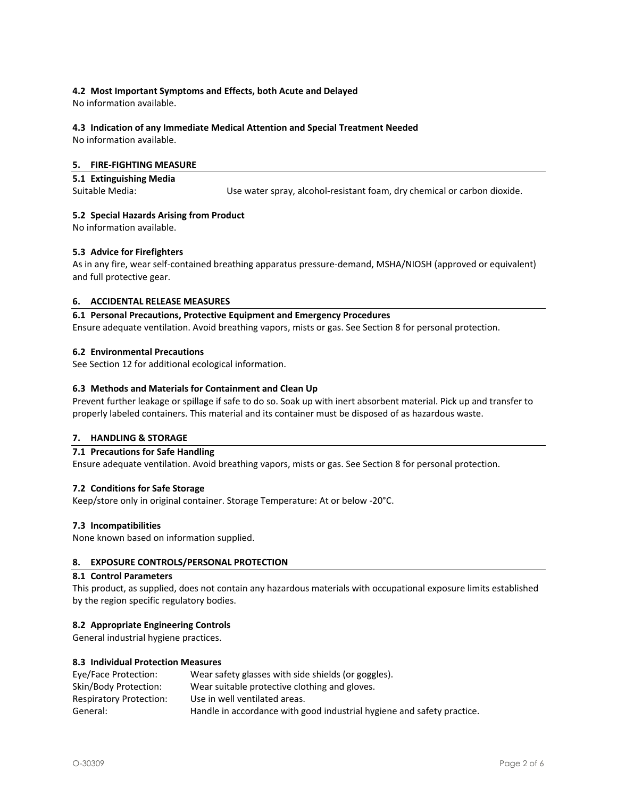No information available.

## **4.3 Indication of any Immediate Medical Attention and Special Treatment Needed**

No information available.

#### **5. FIRE‐FIGHTING MEASURE**

#### **5.1 Extinguishing Media**

Suitable Media: Use water spray, alcohol-resistant foam, dry chemical or carbon dioxide.

#### **5.2 Special Hazards Arising from Product**

No information available.

#### **5.3 Advice for Firefighters**

As in any fire, wear self‐contained breathing apparatus pressure‐demand, MSHA/NIOSH (approved or equivalent) and full protective gear.

#### **6. ACCIDENTAL RELEASE MEASURES**

#### **6.1 Personal Precautions, Protective Equipment and Emergency Procedures**

Ensure adequate ventilation. Avoid breathing vapors, mists or gas. See Section 8 for personal protection.

#### **6.2 Environmental Precautions**

See Section 12 for additional ecological information.

#### **6.3 Methods and Materials for Containment and Clean Up**

Prevent further leakage or spillage if safe to do so. Soak up with inert absorbent material. Pick up and transfer to properly labeled containers. This material and its container must be disposed of as hazardous waste.

#### **7. HANDLING & STORAGE**

#### **7.1 Precautions for Safe Handling**

Ensure adequate ventilation. Avoid breathing vapors, mists or gas. See Section 8 for personal protection.

#### **7.2 Conditions for Safe Storage**

Keep/store only in original container. Storage Temperature: At or below ‐20°C.

#### **7.3 Incompatibilities**

None known based on information supplied.

#### **8. EXPOSURE CONTROLS/PERSONAL PROTECTION**

#### **8.1 Control Parameters**

This product, as supplied, does not contain any hazardous materials with occupational exposure limits established by the region specific regulatory bodies.

#### **8.2 Appropriate Engineering Controls**

General industrial hygiene practices.

| Eye/Face Protection:           | Wear safety glasses with side shields (or goggles).                    |
|--------------------------------|------------------------------------------------------------------------|
| Skin/Body Protection:          | Wear suitable protective clothing and gloves.                          |
| <b>Respiratory Protection:</b> | Use in well ventilated areas.                                          |
| General:                       | Handle in accordance with good industrial hygiene and safety practice. |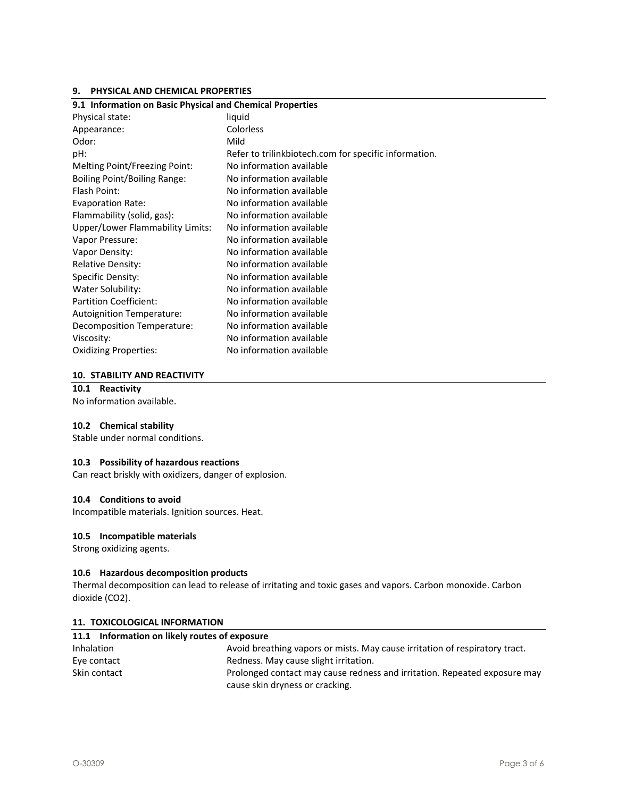| 9.1 Information on Basic Physical and Chemical Properties |                                                       |  |
|-----------------------------------------------------------|-------------------------------------------------------|--|
| Physical state:                                           | liquid                                                |  |
| Appearance:                                               | Colorless                                             |  |
| Odor:                                                     | Mild                                                  |  |
| pH:                                                       | Refer to trilinkbiotech.com for specific information. |  |
| Melting Point/Freezing Point:                             | No information available                              |  |
| Boiling Point/Boiling Range:                              | No information available                              |  |
| Flash Point:                                              | No information available                              |  |
| <b>Evaporation Rate:</b>                                  | No information available                              |  |
| Flammability (solid, gas):                                | No information available                              |  |
| Upper/Lower Flammability Limits:                          | No information available                              |  |
| Vapor Pressure:                                           | No information available                              |  |
| Vapor Density:                                            | No information available                              |  |
| <b>Relative Density:</b>                                  | No information available                              |  |
| Specific Density:                                         | No information available                              |  |
| Water Solubility:                                         | No information available                              |  |
| <b>Partition Coefficient:</b>                             | No information available                              |  |
| Autoignition Temperature:                                 | No information available                              |  |
| Decomposition Temperature:                                | No information available                              |  |
| Viscosity:                                                | No information available                              |  |
| <b>Oxidizing Properties:</b>                              | No information available                              |  |

#### **10. STABILITY AND REACTIVITY**

**10.1 Reactivity** No information available.

#### **10.2 Chemical stability**

Stable under normal conditions.

#### **10.3 Possibility of hazardous reactions**

Can react briskly with oxidizers, danger of explosion.

#### **10.4 Conditions to avoid**

Incompatible materials. Ignition sources. Heat.

#### **10.5 Incompatible materials**

Strong oxidizing agents.

#### **10.6 Hazardous decomposition products**

Thermal decomposition can lead to release of irritating and toxic gases and vapors. Carbon monoxide. Carbon dioxide (CO2).

#### **11. TOXICOLOGICAL INFORMATION 11.1 Information on likely routes of exposure**

| <b>11.1</b> INTERNATION ON TIMELY TOULES OF EXPOSURE |                                                                                                              |
|------------------------------------------------------|--------------------------------------------------------------------------------------------------------------|
| Inhalation                                           | Avoid breathing vapors or mists. May cause irritation of respiratory tract.                                  |
| Eye contact                                          | Redness. May cause slight irritation.                                                                        |
| Skin contact                                         | Prolonged contact may cause redness and irritation. Repeated exposure may<br>cause skin dryness or cracking. |
|                                                      |                                                                                                              |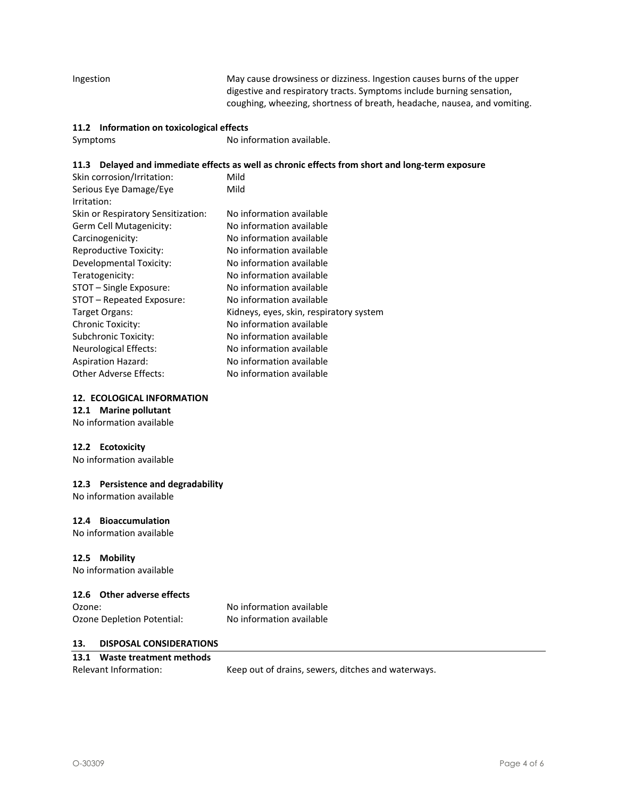#### **11.2 Information on toxicological effects**

| Symptoms | No information available. |
|----------|---------------------------|
|          |                           |

#### **11.3 Delayed and immediate effects as well as chronic effects from short and long‐term exposure**

| Mild                                    |
|-----------------------------------------|
| Mild                                    |
|                                         |
| No information available                |
| No information available                |
| No information available                |
| No information available                |
| No information available                |
| No information available                |
| No information available                |
| No information available                |
| Kidneys, eyes, skin, respiratory system |
| No information available                |
| No information available                |
| No information available                |
| No information available                |
| No information available                |
|                                         |

#### **12. ECOLOGICAL INFORMATION**

#### **12.1 Marine pollutant**

No information available

#### **12.2 Ecotoxicity**

No information available

#### **12.3 Persistence and degradability**

No information available

#### **12.4 Bioaccumulation**

No information available

#### **12.5 Mobility**

No information available

# **12.6 Other adverse effects** Ozone Depletion Potential: No information available

No information available

#### **13. DISPOSAL CONSIDERATIONS**

#### **13.1 Waste treatment methods**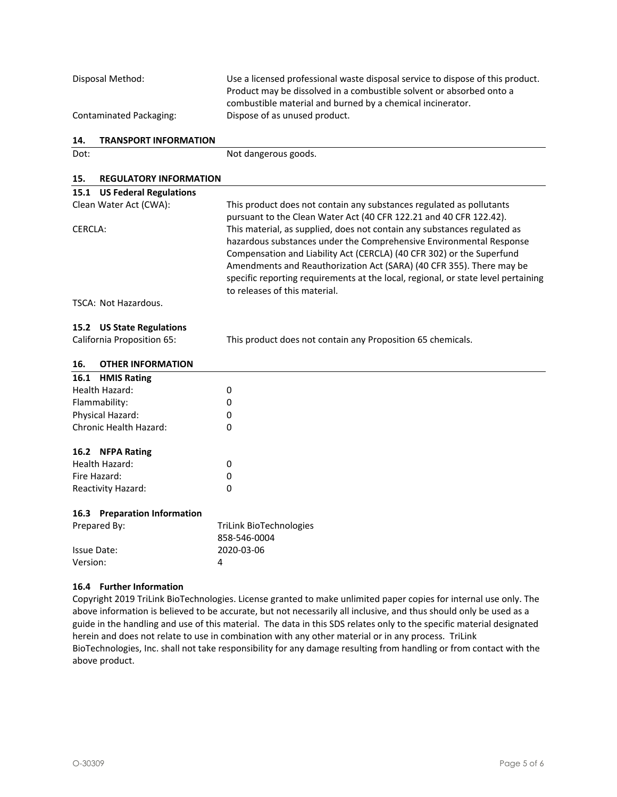|                                                                                                                                                                      | Disposal Method:                  | Use a licensed professional waste disposal service to dispose of this product.<br>Product may be dissolved in a combustible solvent or absorbed onto a<br>combustible material and burned by a chemical incinerator.                                                                                                                                                                                                   |
|----------------------------------------------------------------------------------------------------------------------------------------------------------------------|-----------------------------------|------------------------------------------------------------------------------------------------------------------------------------------------------------------------------------------------------------------------------------------------------------------------------------------------------------------------------------------------------------------------------------------------------------------------|
|                                                                                                                                                                      | <b>Contaminated Packaging:</b>    | Dispose of as unused product.                                                                                                                                                                                                                                                                                                                                                                                          |
| 14.                                                                                                                                                                  | <b>TRANSPORT INFORMATION</b>      |                                                                                                                                                                                                                                                                                                                                                                                                                        |
| Dot:                                                                                                                                                                 |                                   | Not dangerous goods.                                                                                                                                                                                                                                                                                                                                                                                                   |
| 15.                                                                                                                                                                  | <b>REGULATORY INFORMATION</b>     |                                                                                                                                                                                                                                                                                                                                                                                                                        |
|                                                                                                                                                                      | 15.1 US Federal Regulations       |                                                                                                                                                                                                                                                                                                                                                                                                                        |
| Clean Water Act (CWA):<br>This product does not contain any substances regulated as pollutants<br>pursuant to the Clean Water Act (40 CFR 122.21 and 40 CFR 122.42). |                                   |                                                                                                                                                                                                                                                                                                                                                                                                                        |
| <b>CERCLA:</b>                                                                                                                                                       |                                   | This material, as supplied, does not contain any substances regulated as<br>hazardous substances under the Comprehensive Environmental Response<br>Compensation and Liability Act (CERCLA) (40 CFR 302) or the Superfund<br>Amendments and Reauthorization Act (SARA) (40 CFR 355). There may be<br>specific reporting requirements at the local, regional, or state level pertaining<br>to releases of this material. |
|                                                                                                                                                                      | TSCA: Not Hazardous.              |                                                                                                                                                                                                                                                                                                                                                                                                                        |
|                                                                                                                                                                      | 15.2 US State Regulations         |                                                                                                                                                                                                                                                                                                                                                                                                                        |
|                                                                                                                                                                      | <b>California Proposition 65:</b> | This product does not contain any Proposition 65 chemicals.                                                                                                                                                                                                                                                                                                                                                            |
| 16.                                                                                                                                                                  | <b>OTHER INFORMATION</b>          |                                                                                                                                                                                                                                                                                                                                                                                                                        |
|                                                                                                                                                                      | 16.1 HMIS Rating                  |                                                                                                                                                                                                                                                                                                                                                                                                                        |
|                                                                                                                                                                      | Health Hazard:                    | 0                                                                                                                                                                                                                                                                                                                                                                                                                      |
|                                                                                                                                                                      | Flammability:                     | 0                                                                                                                                                                                                                                                                                                                                                                                                                      |
|                                                                                                                                                                      | Physical Hazard:                  | 0                                                                                                                                                                                                                                                                                                                                                                                                                      |
|                                                                                                                                                                      | <b>Chronic Health Hazard:</b>     | 0                                                                                                                                                                                                                                                                                                                                                                                                                      |
|                                                                                                                                                                      | 16.2 NFPA Rating                  |                                                                                                                                                                                                                                                                                                                                                                                                                        |
|                                                                                                                                                                      | Health Hazard:                    | 0                                                                                                                                                                                                                                                                                                                                                                                                                      |
|                                                                                                                                                                      | Fire Hazard:                      | 0                                                                                                                                                                                                                                                                                                                                                                                                                      |
|                                                                                                                                                                      | Reactivity Hazard:                | 0                                                                                                                                                                                                                                                                                                                                                                                                                      |
|                                                                                                                                                                      | 16.3 Preparation Information      |                                                                                                                                                                                                                                                                                                                                                                                                                        |
|                                                                                                                                                                      | Prepared By:                      | TriLink BioTechnologies                                                                                                                                                                                                                                                                                                                                                                                                |
|                                                                                                                                                                      |                                   | 858-546-0004                                                                                                                                                                                                                                                                                                                                                                                                           |
| Issue Date:                                                                                                                                                          |                                   | 2020-03-06                                                                                                                                                                                                                                                                                                                                                                                                             |
| Version:                                                                                                                                                             | 4                                 |                                                                                                                                                                                                                                                                                                                                                                                                                        |
|                                                                                                                                                                      | 16.4 Further Information          |                                                                                                                                                                                                                                                                                                                                                                                                                        |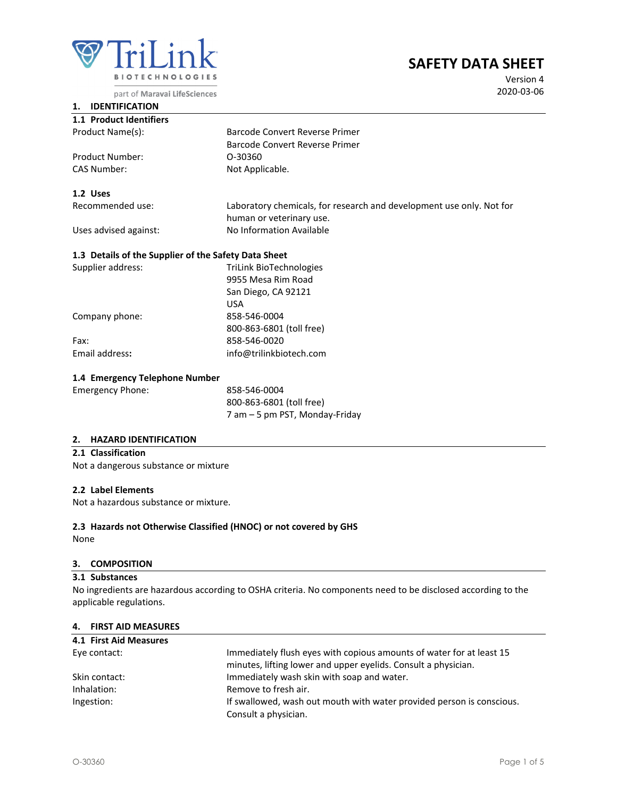

# **1. IDENTIFICATION**

# **SAFETY DATA SHEET**

Version 4 2020‐03‐06

| 1.1 Product Identifiers |                                                                      |
|-------------------------|----------------------------------------------------------------------|
| Product Name(s):        | Barcode Convert Reverse Primer                                       |
|                         | Barcode Convert Reverse Primer                                       |
| <b>Product Number:</b>  | 0-30360                                                              |
| CAS Number:             | Not Applicable.                                                      |
| 1.2 Uses                |                                                                      |
| Recommended use:        | Laboratory chemicals, for research and development use only. Not for |
|                         | human or veterinary use.                                             |
| Uses advised against:   | No Information Available                                             |
|                         | 1.3 Details of the Supplier of the Safety Data Sheet                 |
| Supplier address:       | TriLink BioTechnologies                                              |
|                         | 9955 Mesa Rim Road                                                   |
|                         | San Diego, CA 92121                                                  |
|                         | <b>USA</b>                                                           |
| Company phone:          | 858-546-0004                                                         |
|                         | 800-863-6801 (toll free)                                             |
| Fax:                    | 858-546-0020                                                         |
| Email address:          | info@trilinkbiotech.com                                              |
|                         |                                                                      |

#### **1.4 Emergency Telephone Number**

Emergency Phone: 858‐546‐0004

 800‐863‐6801 (toll free) 7 am – 5 pm PST, Monday‐Friday

#### **2. HAZARD IDENTIFICATION**

#### **2.1 Classification**

Not a dangerous substance or mixture

#### **2.2 Label Elements**

Not a hazardous substance or mixture.

## **2.3 Hazards not Otherwise Classified (HNOC) or not covered by GHS**

None

#### **3. COMPOSITION**

#### **3.1 Substances**

No ingredients are hazardous according to OSHA criteria. No components need to be disclosed according to the applicable regulations.

| <b>4.1 First Aid Measures</b> |                                                                                                                                        |
|-------------------------------|----------------------------------------------------------------------------------------------------------------------------------------|
| Eye contact:                  | Immediately flush eyes with copious amounts of water for at least 15<br>minutes, lifting lower and upper evelids. Consult a physician. |
| Skin contact:                 | Immediately wash skin with soap and water.                                                                                             |
| Inhalation:                   | Remove to fresh air.                                                                                                                   |
| Ingestion:                    | If swallowed, wash out mouth with water provided person is conscious.                                                                  |
|                               | Consult a physician.                                                                                                                   |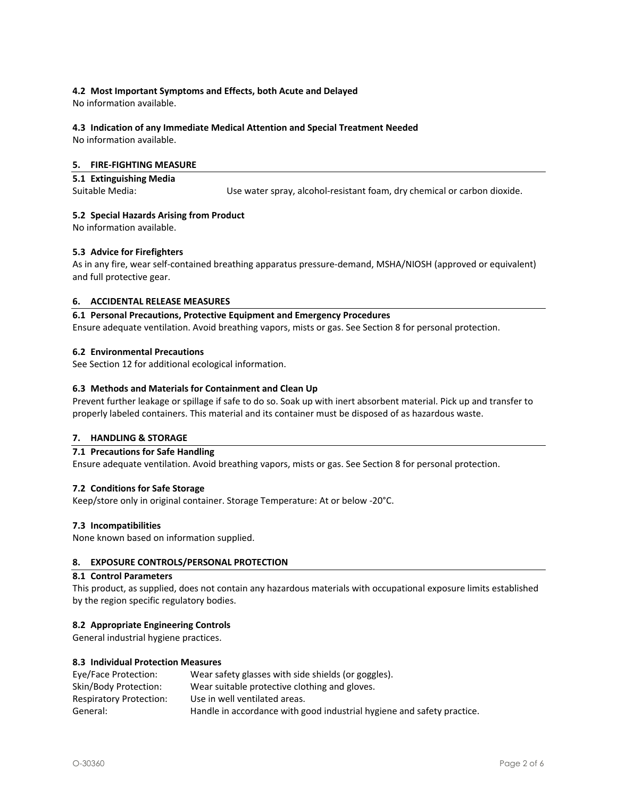No information available.

# **4.3 Indication of any Immediate Medical Attention and Special Treatment Needed**

No information available.

#### **5. FIRE‐FIGHTING MEASURE**

#### **5.1 Extinguishing Media**

Suitable Media: Use water spray, alcohol-resistant foam, dry chemical or carbon dioxide.

#### **5.2 Special Hazards Arising from Product**

No information available.

#### **5.3 Advice for Firefighters**

As in any fire, wear self‐contained breathing apparatus pressure‐demand, MSHA/NIOSH (approved or equivalent) and full protective gear.

#### **6. ACCIDENTAL RELEASE MEASURES**

#### **6.1 Personal Precautions, Protective Equipment and Emergency Procedures**

Ensure adequate ventilation. Avoid breathing vapors, mists or gas. See Section 8 for personal protection.

#### **6.2 Environmental Precautions**

See Section 12 for additional ecological information.

#### **6.3 Methods and Materials for Containment and Clean Up**

Prevent further leakage or spillage if safe to do so. Soak up with inert absorbent material. Pick up and transfer to properly labeled containers. This material and its container must be disposed of as hazardous waste.

#### **7. HANDLING & STORAGE**

#### **7.1 Precautions for Safe Handling**

Ensure adequate ventilation. Avoid breathing vapors, mists or gas. See Section 8 for personal protection.

#### **7.2 Conditions for Safe Storage**

Keep/store only in original container. Storage Temperature: At or below ‐20°C.

#### **7.3 Incompatibilities**

None known based on information supplied.

#### **8. EXPOSURE CONTROLS/PERSONAL PROTECTION**

#### **8.1 Control Parameters**

This product, as supplied, does not contain any hazardous materials with occupational exposure limits established by the region specific regulatory bodies.

#### **8.2 Appropriate Engineering Controls**

General industrial hygiene practices.

| Eye/Face Protection:           | Wear safety glasses with side shields (or goggles).                    |
|--------------------------------|------------------------------------------------------------------------|
| Skin/Body Protection:          | Wear suitable protective clothing and gloves.                          |
| <b>Respiratory Protection:</b> | Use in well ventilated areas.                                          |
| General:                       | Handle in accordance with good industrial hygiene and safety practice. |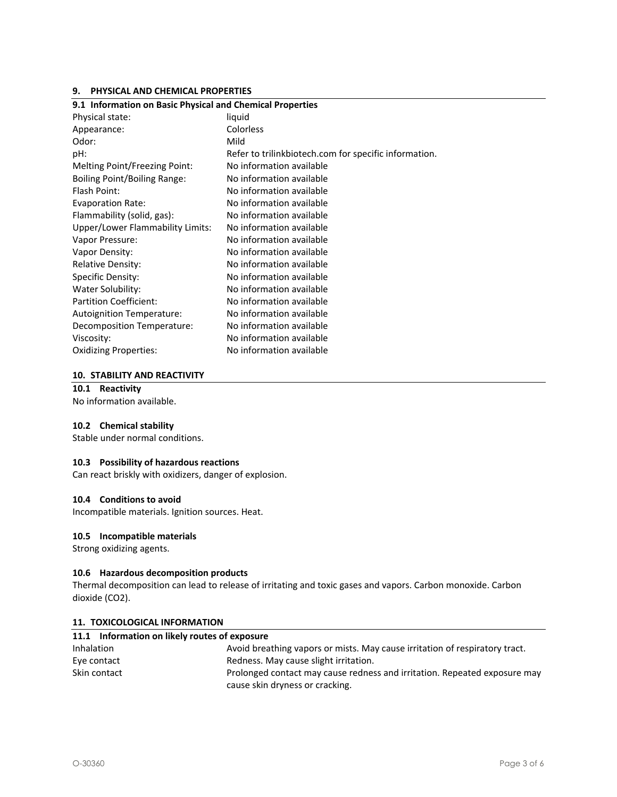| 9.1 Information on Basic Physical and Chemical Properties |                                                       |  |
|-----------------------------------------------------------|-------------------------------------------------------|--|
| Physical state:                                           | liquid                                                |  |
| Appearance:                                               | Colorless                                             |  |
| Odor:                                                     | Mild                                                  |  |
| pH:                                                       | Refer to trilinkbiotech.com for specific information. |  |
| Melting Point/Freezing Point:                             | No information available                              |  |
| Boiling Point/Boiling Range:                              | No information available                              |  |
| Flash Point:                                              | No information available                              |  |
| <b>Evaporation Rate:</b>                                  | No information available                              |  |
| Flammability (solid, gas):                                | No information available                              |  |
| Upper/Lower Flammability Limits:                          | No information available                              |  |
| Vapor Pressure:                                           | No information available                              |  |
| Vapor Density:                                            | No information available                              |  |
| <b>Relative Density:</b>                                  | No information available                              |  |
| Specific Density:                                         | No information available                              |  |
| Water Solubility:                                         | No information available                              |  |
| <b>Partition Coefficient:</b>                             | No information available                              |  |
| Autoignition Temperature:                                 | No information available                              |  |
| Decomposition Temperature:                                | No information available                              |  |
| Viscosity:                                                | No information available                              |  |
| <b>Oxidizing Properties:</b>                              | No information available                              |  |

#### **10. STABILITY AND REACTIVITY**

**10.1 Reactivity** No information available.

#### **10.2 Chemical stability**

Stable under normal conditions.

#### **10.3 Possibility of hazardous reactions**

Can react briskly with oxidizers, danger of explosion.

#### **10.4 Conditions to avoid**

Incompatible materials. Ignition sources. Heat.

#### **10.5 Incompatible materials**

Strong oxidizing agents.

#### **10.6 Hazardous decomposition products**

Thermal decomposition can lead to release of irritating and toxic gases and vapors. Carbon monoxide. Carbon dioxide (CO2).

#### **11. TOXICOLOGICAL INFORMATION 11.1 Information on likely routes of exposure**

| <b>11.1</b> INTERNATION ON TINGLY TOULES OF EXPOSURE                                                         |  |
|--------------------------------------------------------------------------------------------------------------|--|
| Avoid breathing vapors or mists. May cause irritation of respiratory tract.                                  |  |
| Redness. May cause slight irritation.                                                                        |  |
| Prolonged contact may cause redness and irritation. Repeated exposure may<br>cause skin dryness or cracking. |  |
|                                                                                                              |  |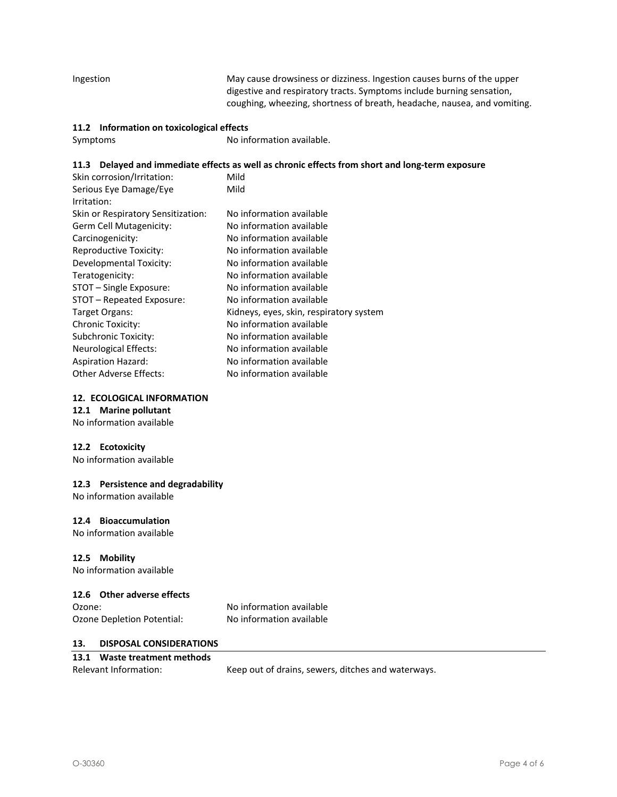#### **11.2 Information on toxicological effects**

| Symptoms | No information available. |
|----------|---------------------------|
|          |                           |

#### **11.3 Delayed and immediate effects as well as chronic effects from short and long‐term exposure**

| Skin corrosion/Irritation:         | Mild                                    |
|------------------------------------|-----------------------------------------|
| Serious Eye Damage/Eye             | Mild                                    |
| Irritation:                        |                                         |
| Skin or Respiratory Sensitization: | No information available                |
| Germ Cell Mutagenicity:            | No information available                |
| Carcinogenicity:                   | No information available                |
| <b>Reproductive Toxicity:</b>      | No information available                |
| Developmental Toxicity:            | No information available                |
| Teratogenicity:                    | No information available                |
| STOT - Single Exposure:            | No information available                |
| STOT – Repeated Exposure:          | No information available                |
| Target Organs:                     | Kidneys, eyes, skin, respiratory system |
| <b>Chronic Toxicity:</b>           | No information available                |
| <b>Subchronic Toxicity:</b>        | No information available                |
| <b>Neurological Effects:</b>       | No information available                |
| <b>Aspiration Hazard:</b>          | No information available                |
| <b>Other Adverse Effects:</b>      | No information available                |
|                                    |                                         |

#### **12. ECOLOGICAL INFORMATION**

#### **12.1 Marine pollutant**

No information available

#### **12.2 Ecotoxicity**

No information available

#### **12.3 Persistence and degradability**

No information available

#### **12.4 Bioaccumulation**

No information available

#### **12.5 Mobility**

No information available

# **12.6 Other adverse effects** Ozone Depletion Potential: No information available

No information available

### **13. DISPOSAL CONSIDERATIONS**

### **13.1 Waste treatment methods**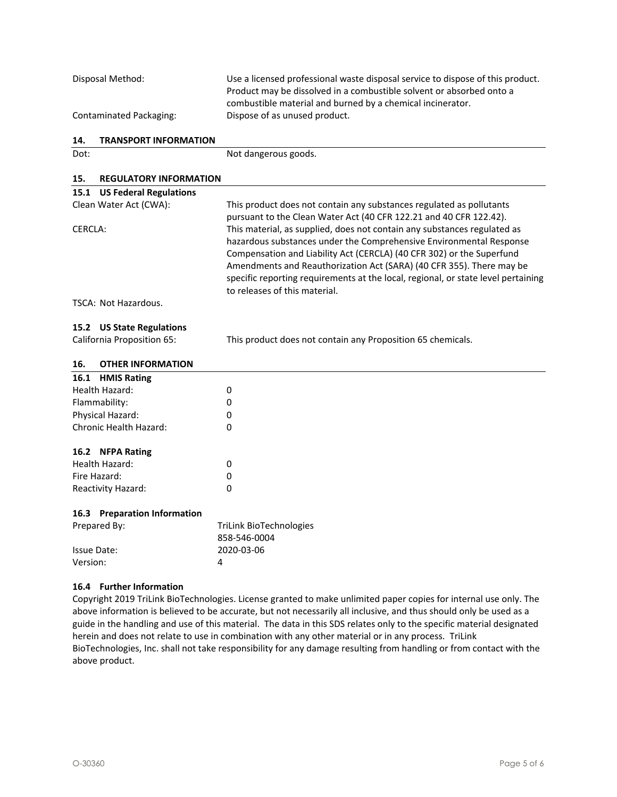|                | Disposal Method:                  | Use a licensed professional waste disposal service to dispose of this product.<br>Product may be dissolved in a combustible solvent or absorbed onto a<br>combustible material and burned by a chemical incinerator.                                                                                                                                                                                                   |
|----------------|-----------------------------------|------------------------------------------------------------------------------------------------------------------------------------------------------------------------------------------------------------------------------------------------------------------------------------------------------------------------------------------------------------------------------------------------------------------------|
|                | <b>Contaminated Packaging:</b>    | Dispose of as unused product.                                                                                                                                                                                                                                                                                                                                                                                          |
| 14.            | <b>TRANSPORT INFORMATION</b>      |                                                                                                                                                                                                                                                                                                                                                                                                                        |
| Dot:           |                                   | Not dangerous goods.                                                                                                                                                                                                                                                                                                                                                                                                   |
| 15.            | <b>REGULATORY INFORMATION</b>     |                                                                                                                                                                                                                                                                                                                                                                                                                        |
|                | 15.1 US Federal Regulations       |                                                                                                                                                                                                                                                                                                                                                                                                                        |
|                | Clean Water Act (CWA):            | This product does not contain any substances regulated as pollutants<br>pursuant to the Clean Water Act (40 CFR 122.21 and 40 CFR 122.42).                                                                                                                                                                                                                                                                             |
| <b>CERCLA:</b> |                                   | This material, as supplied, does not contain any substances regulated as<br>hazardous substances under the Comprehensive Environmental Response<br>Compensation and Liability Act (CERCLA) (40 CFR 302) or the Superfund<br>Amendments and Reauthorization Act (SARA) (40 CFR 355). There may be<br>specific reporting requirements at the local, regional, or state level pertaining<br>to releases of this material. |
|                | TSCA: Not Hazardous.              |                                                                                                                                                                                                                                                                                                                                                                                                                        |
|                | 15.2 US State Regulations         |                                                                                                                                                                                                                                                                                                                                                                                                                        |
|                | <b>California Proposition 65:</b> | This product does not contain any Proposition 65 chemicals.                                                                                                                                                                                                                                                                                                                                                            |
| 16.            | <b>OTHER INFORMATION</b>          |                                                                                                                                                                                                                                                                                                                                                                                                                        |
|                | 16.1 HMIS Rating                  |                                                                                                                                                                                                                                                                                                                                                                                                                        |
|                | Health Hazard:                    | 0                                                                                                                                                                                                                                                                                                                                                                                                                      |
|                | Flammability:                     | 0                                                                                                                                                                                                                                                                                                                                                                                                                      |
|                | Physical Hazard:                  | 0                                                                                                                                                                                                                                                                                                                                                                                                                      |
|                | Chronic Health Hazard:            | 0                                                                                                                                                                                                                                                                                                                                                                                                                      |
|                | 16.2 NFPA Rating                  |                                                                                                                                                                                                                                                                                                                                                                                                                        |
|                | Health Hazard:                    | 0                                                                                                                                                                                                                                                                                                                                                                                                                      |
|                | Fire Hazard:                      | 0                                                                                                                                                                                                                                                                                                                                                                                                                      |
|                | Reactivity Hazard:                | 0                                                                                                                                                                                                                                                                                                                                                                                                                      |
|                | 16.3 Preparation Information      |                                                                                                                                                                                                                                                                                                                                                                                                                        |
|                | Prepared By:                      | TriLink BioTechnologies                                                                                                                                                                                                                                                                                                                                                                                                |
|                |                                   | 858-546-0004                                                                                                                                                                                                                                                                                                                                                                                                           |
| Issue Date:    |                                   | 2020-03-06                                                                                                                                                                                                                                                                                                                                                                                                             |
| Version:       |                                   | 4                                                                                                                                                                                                                                                                                                                                                                                                                      |
|                | 16.4 Further Information          |                                                                                                                                                                                                                                                                                                                                                                                                                        |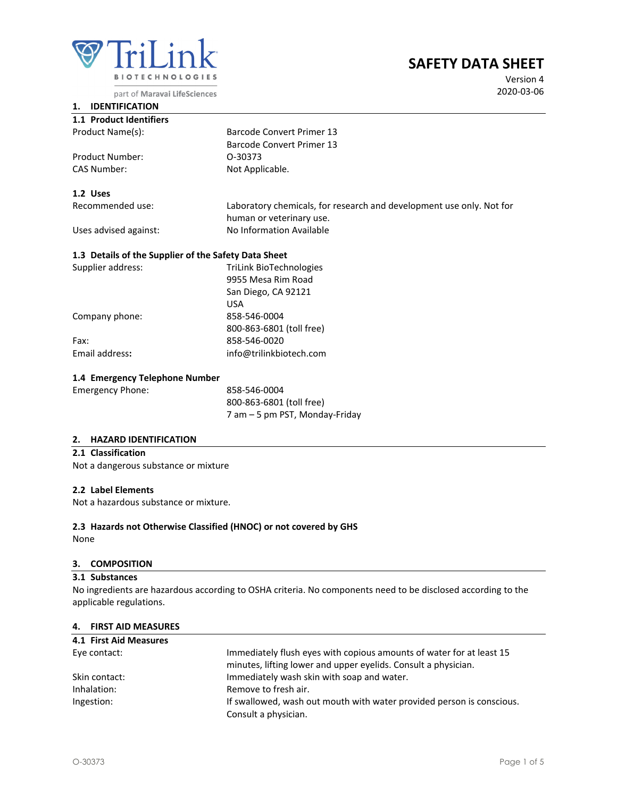

# **SAFETY DATA SHEET**

Version 4 2020‐03‐06

#### **1. IDENTIFICATION**

| 1.1 Product Identifiers                              |                                                                      |
|------------------------------------------------------|----------------------------------------------------------------------|
| Product Name(s):                                     | Barcode Convert Primer 13                                            |
|                                                      | Barcode Convert Primer 13                                            |
| <b>Product Number:</b>                               | 0-30373                                                              |
| <b>CAS Number:</b>                                   | Not Applicable.                                                      |
| 1.2 Uses                                             |                                                                      |
| Recommended use:                                     | Laboratory chemicals, for research and development use only. Not for |
|                                                      | human or veterinary use.                                             |
| Uses advised against:                                | No Information Available                                             |
| 1.3 Details of the Supplier of the Safety Data Sheet |                                                                      |
| Supplier address:                                    | TriLink BioTechnologies                                              |
|                                                      | 9955 Mesa Rim Road                                                   |
|                                                      | San Diego, CA 92121                                                  |
|                                                      | <b>USA</b>                                                           |
| Company phone:                                       | 858-546-0004                                                         |
|                                                      | 800-863-6801 (toll free)                                             |
| Fax:                                                 | 858-546-0020                                                         |
| Email address:                                       | info@trilinkbiotech.com                                              |
|                                                      |                                                                      |

#### **1.4 Emergency Telephone Number**

Emergency Phone: 858‐546‐0004

 800‐863‐6801 (toll free) 7 am – 5 pm PST, Monday‐Friday

#### **2. HAZARD IDENTIFICATION**

#### **2.1 Classification**

Not a dangerous substance or mixture

#### **2.2 Label Elements**

Not a hazardous substance or mixture.

## **2.3 Hazards not Otherwise Classified (HNOC) or not covered by GHS**

None

#### **3. COMPOSITION**

#### **3.1 Substances**

No ingredients are hazardous according to OSHA criteria. No components need to be disclosed according to the applicable regulations.

| 4.1 First Aid Measures |                                                                                                                                        |
|------------------------|----------------------------------------------------------------------------------------------------------------------------------------|
| Eye contact:           | Immediately flush eyes with copious amounts of water for at least 15<br>minutes, lifting lower and upper evelids. Consult a physician. |
| Skin contact:          | Immediately wash skin with soap and water.                                                                                             |
| Inhalation:            | Remove to fresh air.                                                                                                                   |
| Ingestion:             | If swallowed, wash out mouth with water provided person is conscious.                                                                  |
|                        | Consult a physician.                                                                                                                   |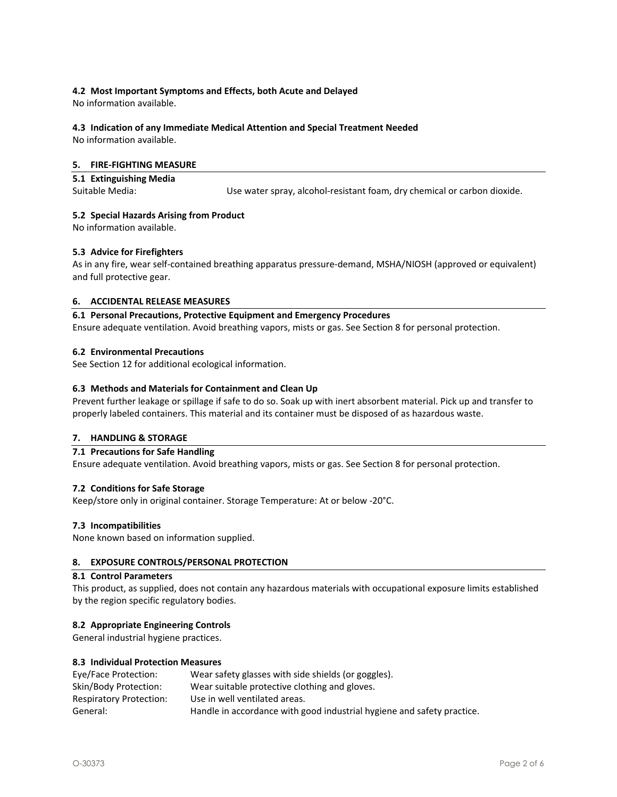No information available.

# **4.3 Indication of any Immediate Medical Attention and Special Treatment Needed**

No information available.

#### **5. FIRE‐FIGHTING MEASURE**

### **5.1 Extinguishing Media**

Suitable Media: Use water spray, alcohol-resistant foam, dry chemical or carbon dioxide.

#### **5.2 Special Hazards Arising from Product**

No information available.

#### **5.3 Advice for Firefighters**

As in any fire, wear self‐contained breathing apparatus pressure‐demand, MSHA/NIOSH (approved or equivalent) and full protective gear.

#### **6. ACCIDENTAL RELEASE MEASURES**

#### **6.1 Personal Precautions, Protective Equipment and Emergency Procedures**

Ensure adequate ventilation. Avoid breathing vapors, mists or gas. See Section 8 for personal protection.

#### **6.2 Environmental Precautions**

See Section 12 for additional ecological information.

#### **6.3 Methods and Materials for Containment and Clean Up**

Prevent further leakage or spillage if safe to do so. Soak up with inert absorbent material. Pick up and transfer to properly labeled containers. This material and its container must be disposed of as hazardous waste.

#### **7. HANDLING & STORAGE**

#### **7.1 Precautions for Safe Handling**

Ensure adequate ventilation. Avoid breathing vapors, mists or gas. See Section 8 for personal protection.

#### **7.2 Conditions for Safe Storage**

Keep/store only in original container. Storage Temperature: At or below ‐20°C.

#### **7.3 Incompatibilities**

None known based on information supplied.

#### **8. EXPOSURE CONTROLS/PERSONAL PROTECTION**

#### **8.1 Control Parameters**

This product, as supplied, does not contain any hazardous materials with occupational exposure limits established by the region specific regulatory bodies.

#### **8.2 Appropriate Engineering Controls**

General industrial hygiene practices.

| Eye/Face Protection:           | Wear safety glasses with side shields (or goggles).                    |
|--------------------------------|------------------------------------------------------------------------|
| Skin/Body Protection:          | Wear suitable protective clothing and gloves.                          |
| <b>Respiratory Protection:</b> | Use in well ventilated areas.                                          |
| General:                       | Handle in accordance with good industrial hygiene and safety practice. |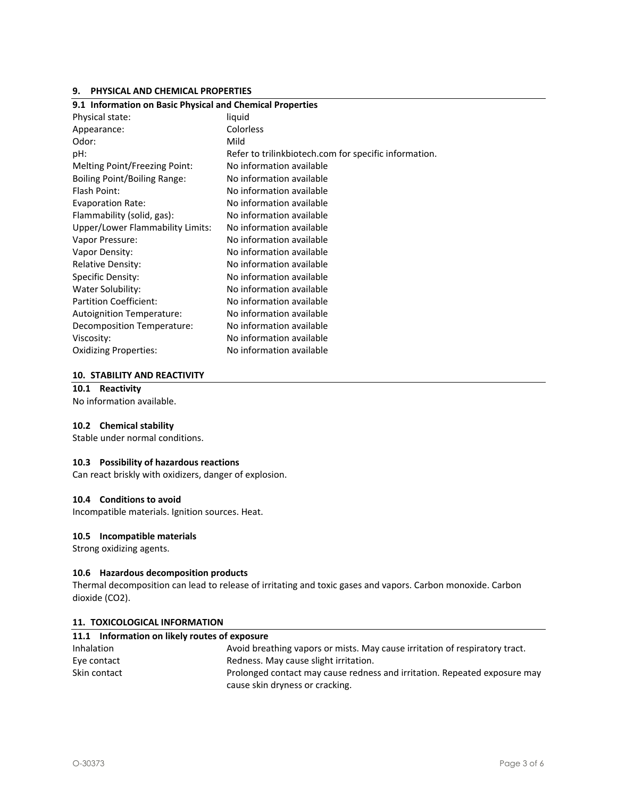| 9.1 Information on Basic Physical and Chemical Properties |                                                       |  |
|-----------------------------------------------------------|-------------------------------------------------------|--|
| Physical state:                                           | liquid                                                |  |
| Appearance:                                               | Colorless                                             |  |
| Odor:                                                     | Mild                                                  |  |
| pH:                                                       | Refer to trilinkbiotech.com for specific information. |  |
| Melting Point/Freezing Point:                             | No information available                              |  |
| Boiling Point/Boiling Range:                              | No information available                              |  |
| Flash Point:                                              | No information available                              |  |
| <b>Evaporation Rate:</b>                                  | No information available                              |  |
| Flammability (solid, gas):                                | No information available                              |  |
| Upper/Lower Flammability Limits:                          | No information available                              |  |
| Vapor Pressure:                                           | No information available                              |  |
| Vapor Density:                                            | No information available                              |  |
| <b>Relative Density:</b>                                  | No information available                              |  |
| Specific Density:                                         | No information available                              |  |
| Water Solubility:                                         | No information available                              |  |
| <b>Partition Coefficient:</b>                             | No information available                              |  |
| Autoignition Temperature:                                 | No information available                              |  |
| Decomposition Temperature:                                | No information available                              |  |
| Viscosity:                                                | No information available                              |  |
| <b>Oxidizing Properties:</b>                              | No information available                              |  |

#### **10. STABILITY AND REACTIVITY**

**10.1 Reactivity** No information available.

#### **10.2 Chemical stability**

Stable under normal conditions.

#### **10.3 Possibility of hazardous reactions**

Can react briskly with oxidizers, danger of explosion.

#### **10.4 Conditions to avoid**

Incompatible materials. Ignition sources. Heat.

#### **10.5 Incompatible materials**

Strong oxidizing agents.

#### **10.6 Hazardous decomposition products**

Thermal decomposition can lead to release of irritating and toxic gases and vapors. Carbon monoxide. Carbon dioxide (CO2).

## **11. TOXICOLOGICAL INFORMATION 11.1 Information on likely routes of exposure** Inhalation **Avoid breathing vapors or mists. May cause irritation of respiratory tract.** Eye contact **Redness.** May cause slight irritation.

Skin contact **Prolonged contact may cause redness and irritation**. Repeated exposure may cause skin dryness or cracking.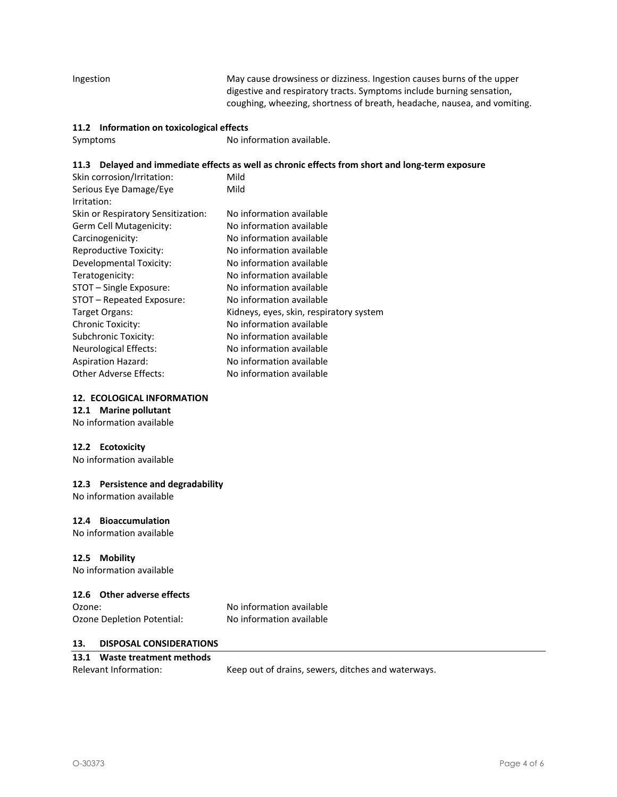#### **11.2 Information on toxicological effects**

| Symptoms | No information available. |
|----------|---------------------------|
|          |                           |

#### **11.3 Delayed and immediate effects as well as chronic effects from short and long‐term exposure**

| Mild                                    |
|-----------------------------------------|
| Mild                                    |
|                                         |
| No information available                |
| No information available                |
| No information available                |
| No information available                |
| No information available                |
| No information available                |
| No information available                |
| No information available                |
| Kidneys, eyes, skin, respiratory system |
| No information available                |
| No information available                |
| No information available                |
| No information available                |
| No information available                |
|                                         |

#### **12. ECOLOGICAL INFORMATION**

#### **12.1 Marine pollutant**

No information available

#### **12.2 Ecotoxicity**

No information available

#### **12.3 Persistence and degradability**

No information available

#### **12.4 Bioaccumulation**

No information available

#### **12.5 Mobility**

No information available

# **12.6 Other adverse effects** Ozone Depletion Potential: No information available

No information available

#### **13. DISPOSAL CONSIDERATIONS**

#### **13.1 Waste treatment methods**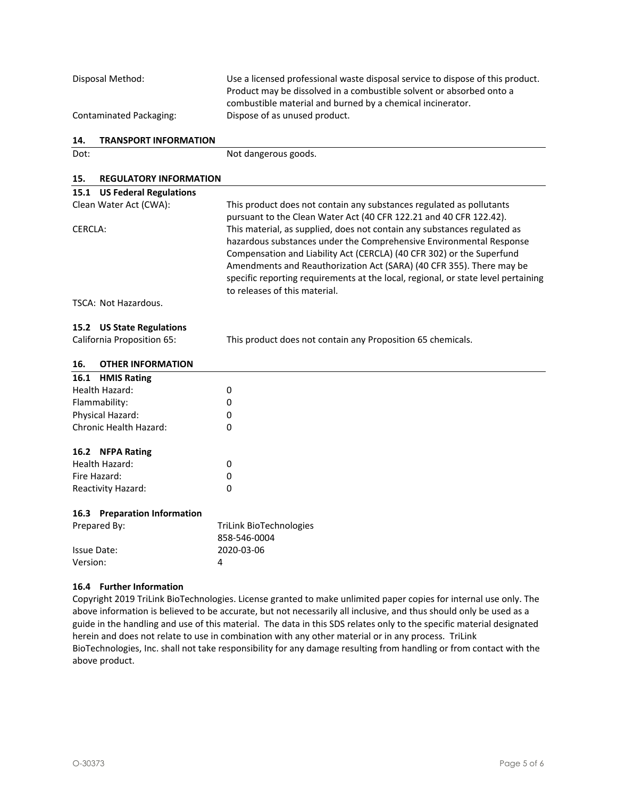|                | Disposal Method:                  | Use a licensed professional waste disposal service to dispose of this product.<br>Product may be dissolved in a combustible solvent or absorbed onto a<br>combustible material and burned by a chemical incinerator.                                                                                                                                                                                                   |
|----------------|-----------------------------------|------------------------------------------------------------------------------------------------------------------------------------------------------------------------------------------------------------------------------------------------------------------------------------------------------------------------------------------------------------------------------------------------------------------------|
|                | <b>Contaminated Packaging:</b>    | Dispose of as unused product.                                                                                                                                                                                                                                                                                                                                                                                          |
| 14.            | <b>TRANSPORT INFORMATION</b>      |                                                                                                                                                                                                                                                                                                                                                                                                                        |
| Dot:           |                                   | Not dangerous goods.                                                                                                                                                                                                                                                                                                                                                                                                   |
| 15.            | <b>REGULATORY INFORMATION</b>     |                                                                                                                                                                                                                                                                                                                                                                                                                        |
|                | 15.1 US Federal Regulations       |                                                                                                                                                                                                                                                                                                                                                                                                                        |
|                | Clean Water Act (CWA):            | This product does not contain any substances regulated as pollutants<br>pursuant to the Clean Water Act (40 CFR 122.21 and 40 CFR 122.42).                                                                                                                                                                                                                                                                             |
| <b>CERCLA:</b> |                                   | This material, as supplied, does not contain any substances regulated as<br>hazardous substances under the Comprehensive Environmental Response<br>Compensation and Liability Act (CERCLA) (40 CFR 302) or the Superfund<br>Amendments and Reauthorization Act (SARA) (40 CFR 355). There may be<br>specific reporting requirements at the local, regional, or state level pertaining<br>to releases of this material. |
|                | TSCA: Not Hazardous.              |                                                                                                                                                                                                                                                                                                                                                                                                                        |
|                | 15.2 US State Regulations         |                                                                                                                                                                                                                                                                                                                                                                                                                        |
|                | <b>California Proposition 65:</b> | This product does not contain any Proposition 65 chemicals.                                                                                                                                                                                                                                                                                                                                                            |
| 16.            | <b>OTHER INFORMATION</b>          |                                                                                                                                                                                                                                                                                                                                                                                                                        |
|                | 16.1 HMIS Rating                  |                                                                                                                                                                                                                                                                                                                                                                                                                        |
|                | Health Hazard:                    | 0                                                                                                                                                                                                                                                                                                                                                                                                                      |
|                | Flammability:                     | 0                                                                                                                                                                                                                                                                                                                                                                                                                      |
|                | Physical Hazard:                  | 0                                                                                                                                                                                                                                                                                                                                                                                                                      |
|                | <b>Chronic Health Hazard:</b>     | 0                                                                                                                                                                                                                                                                                                                                                                                                                      |
|                | 16.2 NFPA Rating                  |                                                                                                                                                                                                                                                                                                                                                                                                                        |
|                | Health Hazard:                    | 0                                                                                                                                                                                                                                                                                                                                                                                                                      |
|                | Fire Hazard:                      | 0                                                                                                                                                                                                                                                                                                                                                                                                                      |
|                | Reactivity Hazard:                | 0                                                                                                                                                                                                                                                                                                                                                                                                                      |
|                | 16.3 Preparation Information      |                                                                                                                                                                                                                                                                                                                                                                                                                        |
|                | Prepared By:                      | TriLink BioTechnologies                                                                                                                                                                                                                                                                                                                                                                                                |
|                |                                   | 858-546-0004                                                                                                                                                                                                                                                                                                                                                                                                           |
| Issue Date:    |                                   | 2020-03-06                                                                                                                                                                                                                                                                                                                                                                                                             |
| Version:       | 4                                 |                                                                                                                                                                                                                                                                                                                                                                                                                        |
|                | 16.4 Further Information          |                                                                                                                                                                                                                                                                                                                                                                                                                        |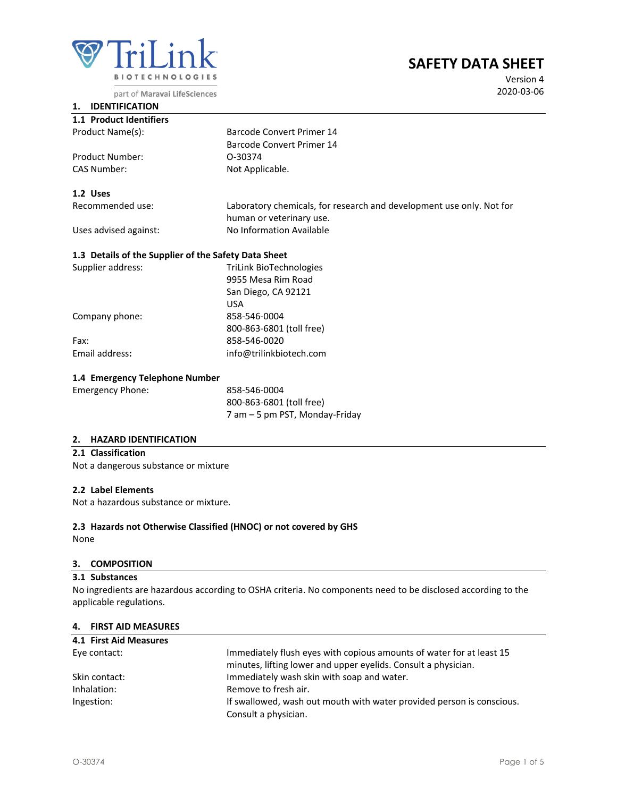

#### **1. IDENTIFICATION**

# **SAFETY DATA SHEET**

Version 4 2020‐03‐06

| 1.1 Product Identifiers                              |                                                                      |
|------------------------------------------------------|----------------------------------------------------------------------|
| Product Name(s):                                     | Barcode Convert Primer 14                                            |
|                                                      | Barcode Convert Primer 14                                            |
| Product Number:                                      | 0-30374                                                              |
| <b>CAS Number:</b>                                   | Not Applicable.                                                      |
| 1.2 Uses                                             |                                                                      |
| Recommended use:                                     | Laboratory chemicals, for research and development use only. Not for |
|                                                      | human or veterinary use.                                             |
| Uses advised against:                                | No Information Available                                             |
| 1.3 Details of the Supplier of the Safety Data Sheet |                                                                      |
| Supplier address:                                    | TriLink BioTechnologies                                              |
|                                                      | 9955 Mesa Rim Road                                                   |
|                                                      | San Diego, CA 92121                                                  |
|                                                      | <b>USA</b>                                                           |
| Company phone:                                       | 858-546-0004                                                         |
|                                                      | 800-863-6801 (toll free)                                             |
| Fax:                                                 | 858-546-0020                                                         |
| Email address:                                       | info@trilinkbiotech.com                                              |
|                                                      |                                                                      |

#### **1.4 Emergency Telephone Number**

Emergency Phone: 858‐546‐0004

 800‐863‐6801 (toll free) 7 am – 5 pm PST, Monday‐Friday

#### **2. HAZARD IDENTIFICATION**

#### **2.1 Classification**

Not a dangerous substance or mixture

#### **2.2 Label Elements**

Not a hazardous substance or mixture.

## **2.3 Hazards not Otherwise Classified (HNOC) or not covered by GHS**

None

#### **3. COMPOSITION**

#### **3.1 Substances**

No ingredients are hazardous according to OSHA criteria. No components need to be disclosed according to the applicable regulations.

| <b>4.1 First Aid Measures</b> |                                                                                                                                        |
|-------------------------------|----------------------------------------------------------------------------------------------------------------------------------------|
| Eye contact:                  | Immediately flush eyes with copious amounts of water for at least 15<br>minutes, lifting lower and upper evelids. Consult a physician. |
| Skin contact:                 | Immediately wash skin with soap and water.                                                                                             |
| Inhalation:                   | Remove to fresh air.                                                                                                                   |
| Ingestion:                    | If swallowed, wash out mouth with water provided person is conscious.                                                                  |
|                               | Consult a physician.                                                                                                                   |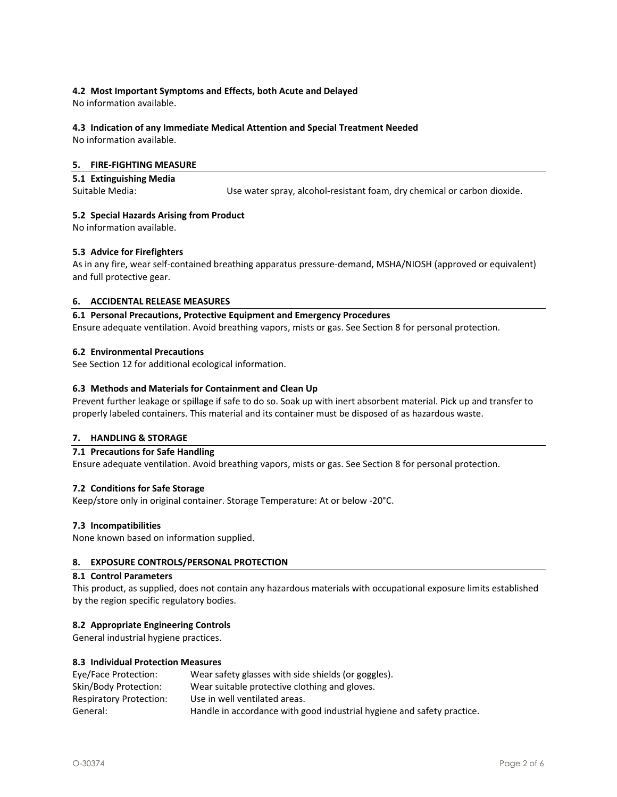No information available.

# **4.3 Indication of any Immediate Medical Attention and Special Treatment Needed**

No information available.

#### **5. FIRE‐FIGHTING MEASURE**

### **5.1 Extinguishing Media**

Suitable Media: Use water spray, alcohol-resistant foam, dry chemical or carbon dioxide.

#### **5.2 Special Hazards Arising from Product**

No information available.

#### **5.3 Advice for Firefighters**

As in any fire, wear self‐contained breathing apparatus pressure‐demand, MSHA/NIOSH (approved or equivalent) and full protective gear.

#### **6. ACCIDENTAL RELEASE MEASURES**

#### **6.1 Personal Precautions, Protective Equipment and Emergency Procedures**

Ensure adequate ventilation. Avoid breathing vapors, mists or gas. See Section 8 for personal protection.

#### **6.2 Environmental Precautions**

See Section 12 for additional ecological information.

#### **6.3 Methods and Materials for Containment and Clean Up**

Prevent further leakage or spillage if safe to do so. Soak up with inert absorbent material. Pick up and transfer to properly labeled containers. This material and its container must be disposed of as hazardous waste.

#### **7. HANDLING & STORAGE**

#### **7.1 Precautions for Safe Handling**

Ensure adequate ventilation. Avoid breathing vapors, mists or gas. See Section 8 for personal protection.

#### **7.2 Conditions for Safe Storage**

Keep/store only in original container. Storage Temperature: At or below ‐20°C.

#### **7.3 Incompatibilities**

None known based on information supplied.

#### **8. EXPOSURE CONTROLS/PERSONAL PROTECTION**

#### **8.1 Control Parameters**

This product, as supplied, does not contain any hazardous materials with occupational exposure limits established by the region specific regulatory bodies.

#### **8.2 Appropriate Engineering Controls**

General industrial hygiene practices.

| Eye/Face Protection:           | Wear safety glasses with side shields (or goggles).                    |
|--------------------------------|------------------------------------------------------------------------|
| Skin/Body Protection:          | Wear suitable protective clothing and gloves.                          |
| <b>Respiratory Protection:</b> | Use in well ventilated areas.                                          |
| General:                       | Handle in accordance with good industrial hygiene and safety practice. |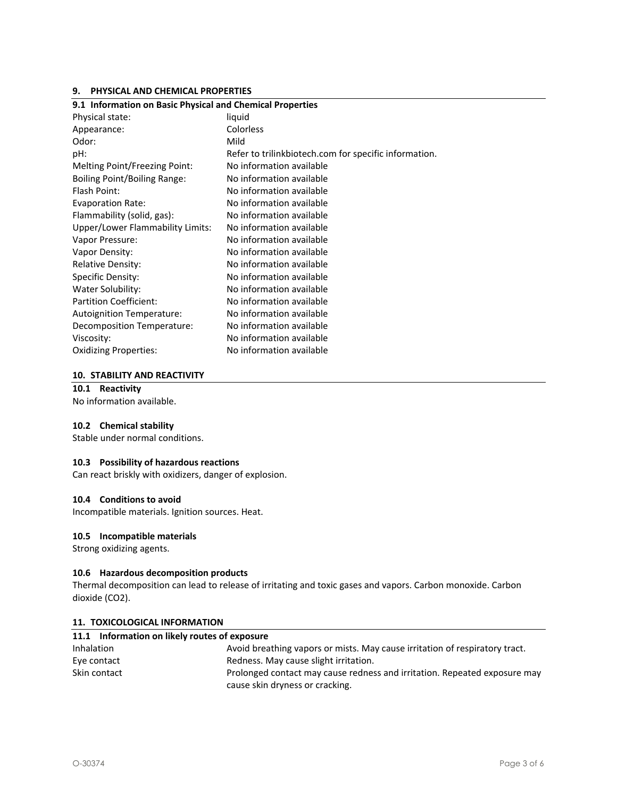| 9.1 Information on Basic Physical and Chemical Properties |                                                       |  |
|-----------------------------------------------------------|-------------------------------------------------------|--|
| Physical state:                                           | liquid                                                |  |
| Appearance:                                               | Colorless                                             |  |
| Odor:                                                     | Mild                                                  |  |
| pH:                                                       | Refer to trilinkbiotech.com for specific information. |  |
| Melting Point/Freezing Point:                             | No information available                              |  |
| Boiling Point/Boiling Range:                              | No information available                              |  |
| Flash Point:                                              | No information available                              |  |
| <b>Evaporation Rate:</b>                                  | No information available                              |  |
| Flammability (solid, gas):                                | No information available                              |  |
| Upper/Lower Flammability Limits:                          | No information available                              |  |
| Vapor Pressure:                                           | No information available                              |  |
| Vapor Density:                                            | No information available                              |  |
| <b>Relative Density:</b>                                  | No information available                              |  |
| Specific Density:                                         | No information available                              |  |
| Water Solubility:                                         | No information available                              |  |
| <b>Partition Coefficient:</b>                             | No information available                              |  |
| Autoignition Temperature:                                 | No information available                              |  |
| Decomposition Temperature:                                | No information available                              |  |
| Viscosity:                                                | No information available                              |  |
| <b>Oxidizing Properties:</b>                              | No information available                              |  |

#### **10. STABILITY AND REACTIVITY**

**10.1 Reactivity** No information available.

#### **10.2 Chemical stability**

Stable under normal conditions.

#### **10.3 Possibility of hazardous reactions**

Can react briskly with oxidizers, danger of explosion.

#### **10.4 Conditions to avoid**

Incompatible materials. Ignition sources. Heat.

#### **10.5 Incompatible materials**

Strong oxidizing agents.

#### **10.6 Hazardous decomposition products**

Thermal decomposition can lead to release of irritating and toxic gases and vapors. Carbon monoxide. Carbon dioxide (CO2).

## **11. TOXICOLOGICAL INFORMATION 11.1 Information on likely routes of exposure**

| Inhalation   | Avoid breathing vapors or mists. May cause irritation of respiratory tract. |
|--------------|-----------------------------------------------------------------------------|
| Eye contact  | Redness. May cause slight irritation.                                       |
| Skin contact | Prolonged contact may cause redness and irritation. Repeated exposure may   |
|              | cause skin dryness or cracking.                                             |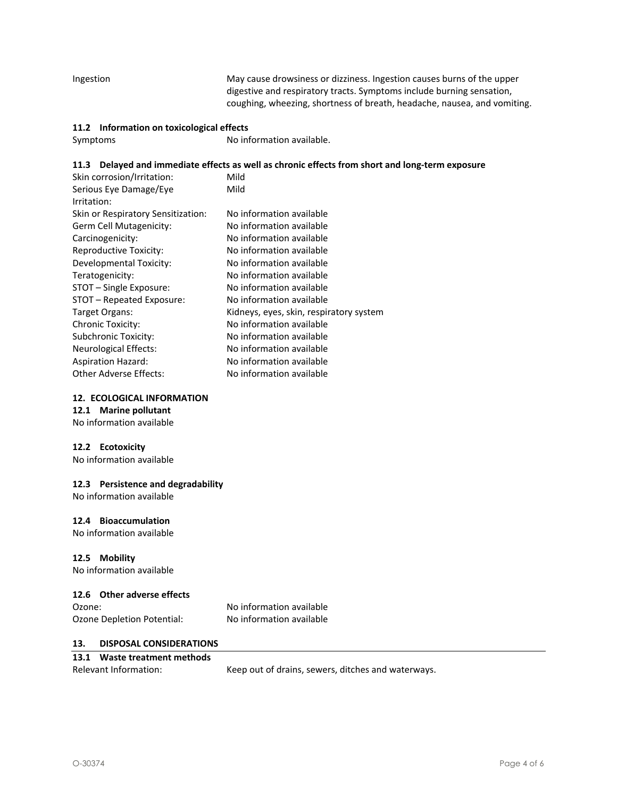#### **11.2 Information on toxicological effects**

| Symptoms | No information available. |
|----------|---------------------------|
|          |                           |

#### **11.3 Delayed and immediate effects as well as chronic effects from short and long‐term exposure**

| Mild                                    |
|-----------------------------------------|
| Mild                                    |
|                                         |
| No information available                |
| No information available                |
| No information available                |
| No information available                |
| No information available                |
| No information available                |
| No information available                |
| No information available                |
| Kidneys, eyes, skin, respiratory system |
| No information available                |
| No information available                |
| No information available                |
| No information available                |
| No information available                |
|                                         |

#### **12. ECOLOGICAL INFORMATION**

#### **12.1 Marine pollutant**

No information available

#### **12.2 Ecotoxicity**

No information available

#### **12.3 Persistence and degradability**

No information available

#### **12.4 Bioaccumulation**

No information available

#### **12.5 Mobility**

No information available

# **12.6 Other adverse effects**

No information available Ozone Depletion Potential: No information available

#### **13. DISPOSAL CONSIDERATIONS**

#### **13.1 Waste treatment methods**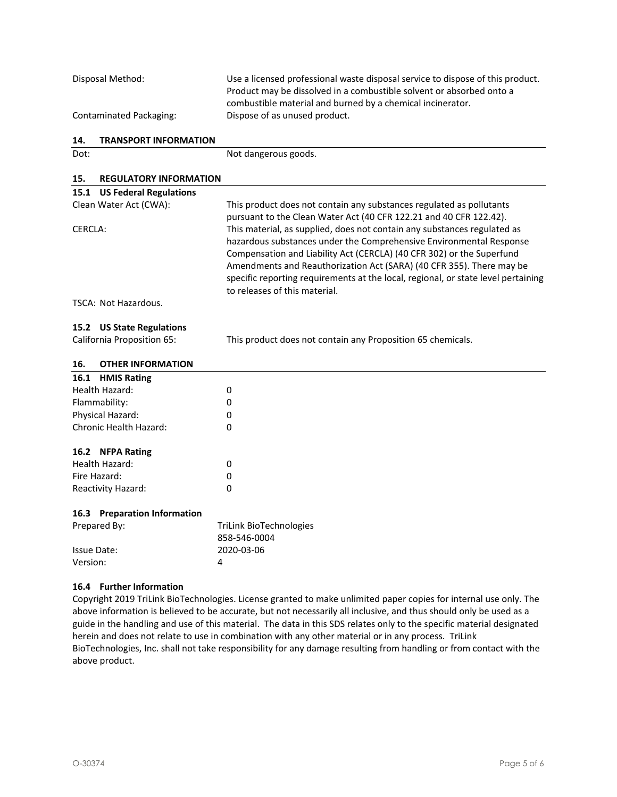|                | Disposal Method:               | Use a licensed professional waste disposal service to dispose of this product.<br>Product may be dissolved in a combustible solvent or absorbed onto a<br>combustible material and burned by a chemical incinerator.                                                                                                                                                                                                   |
|----------------|--------------------------------|------------------------------------------------------------------------------------------------------------------------------------------------------------------------------------------------------------------------------------------------------------------------------------------------------------------------------------------------------------------------------------------------------------------------|
|                | <b>Contaminated Packaging:</b> | Dispose of as unused product.                                                                                                                                                                                                                                                                                                                                                                                          |
| 14.            | <b>TRANSPORT INFORMATION</b>   |                                                                                                                                                                                                                                                                                                                                                                                                                        |
| Dot:           |                                | Not dangerous goods.                                                                                                                                                                                                                                                                                                                                                                                                   |
| 15.            | <b>REGULATORY INFORMATION</b>  |                                                                                                                                                                                                                                                                                                                                                                                                                        |
|                | 15.1 US Federal Regulations    |                                                                                                                                                                                                                                                                                                                                                                                                                        |
|                | Clean Water Act (CWA):         | This product does not contain any substances regulated as pollutants<br>pursuant to the Clean Water Act (40 CFR 122.21 and 40 CFR 122.42).                                                                                                                                                                                                                                                                             |
| <b>CERCLA:</b> |                                | This material, as supplied, does not contain any substances regulated as<br>hazardous substances under the Comprehensive Environmental Response<br>Compensation and Liability Act (CERCLA) (40 CFR 302) or the Superfund<br>Amendments and Reauthorization Act (SARA) (40 CFR 355). There may be<br>specific reporting requirements at the local, regional, or state level pertaining<br>to releases of this material. |
|                | <b>TSCA: Not Hazardous.</b>    |                                                                                                                                                                                                                                                                                                                                                                                                                        |
|                | 15.2 US State Regulations      |                                                                                                                                                                                                                                                                                                                                                                                                                        |
|                | California Proposition 65:     | This product does not contain any Proposition 65 chemicals.                                                                                                                                                                                                                                                                                                                                                            |
| 16.            | <b>OTHER INFORMATION</b>       |                                                                                                                                                                                                                                                                                                                                                                                                                        |
|                | 16.1 HMIS Rating               |                                                                                                                                                                                                                                                                                                                                                                                                                        |
|                | Health Hazard:                 | 0                                                                                                                                                                                                                                                                                                                                                                                                                      |
|                | Flammability:                  | 0                                                                                                                                                                                                                                                                                                                                                                                                                      |
|                | Physical Hazard:               | 0                                                                                                                                                                                                                                                                                                                                                                                                                      |
|                | <b>Chronic Health Hazard:</b>  | 0                                                                                                                                                                                                                                                                                                                                                                                                                      |
|                | 16.2 NFPA Rating               |                                                                                                                                                                                                                                                                                                                                                                                                                        |
|                | Health Hazard:                 | 0                                                                                                                                                                                                                                                                                                                                                                                                                      |
|                | Fire Hazard:                   | 0                                                                                                                                                                                                                                                                                                                                                                                                                      |
|                | Reactivity Hazard:             | 0                                                                                                                                                                                                                                                                                                                                                                                                                      |
|                | 16.3 Preparation Information   |                                                                                                                                                                                                                                                                                                                                                                                                                        |
|                | Prepared By:                   | TriLink BioTechnologies                                                                                                                                                                                                                                                                                                                                                                                                |
|                |                                | 858-546-0004                                                                                                                                                                                                                                                                                                                                                                                                           |
| Issue Date:    |                                | 2020-03-06                                                                                                                                                                                                                                                                                                                                                                                                             |
| Version:       | 4                              |                                                                                                                                                                                                                                                                                                                                                                                                                        |
|                |                                |                                                                                                                                                                                                                                                                                                                                                                                                                        |

#### **16.4 Further Information**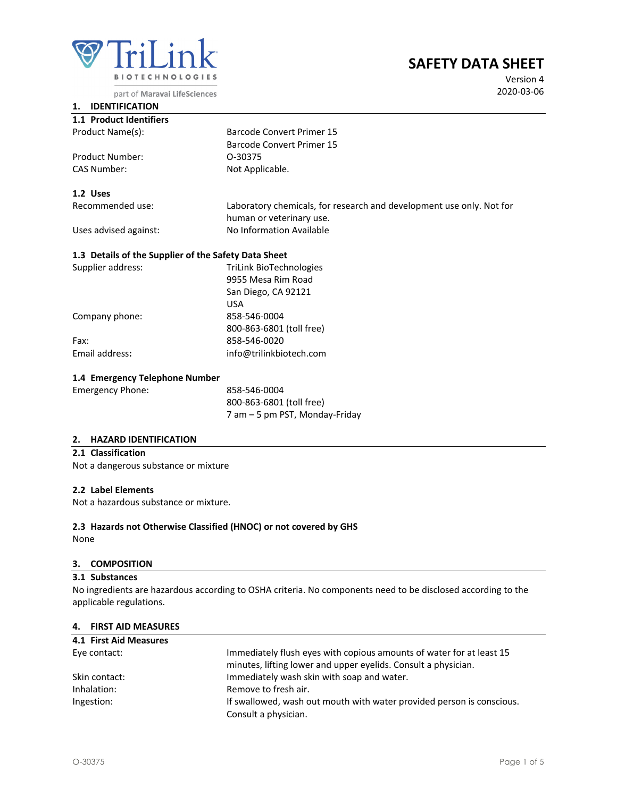

# **SAFETY DATA SHEET**

Version 4 2020‐03‐06

#### **1. IDENTIFICATION**

| 1.1 Product Identifiers                              |                                                                      |
|------------------------------------------------------|----------------------------------------------------------------------|
| Product Name(s):                                     | Barcode Convert Primer 15                                            |
|                                                      | <b>Barcode Convert Primer 15</b>                                     |
| <b>Product Number:</b>                               | 0-30375                                                              |
| CAS Number:                                          | Not Applicable.                                                      |
| 1.2 Uses                                             |                                                                      |
| Recommended use:                                     | Laboratory chemicals, for research and development use only. Not for |
|                                                      | human or veterinary use.                                             |
| Uses advised against:                                | No Information Available                                             |
| 1.3 Details of the Supplier of the Safety Data Sheet |                                                                      |
| Supplier address:                                    | TriLink BioTechnologies                                              |
|                                                      | 9955 Mesa Rim Road                                                   |
|                                                      | San Diego, CA 92121                                                  |
|                                                      | <b>USA</b>                                                           |
| Company phone:                                       | 858-546-0004                                                         |
|                                                      | 800-863-6801 (toll free)                                             |
| Fax:                                                 | 858-546-0020                                                         |
| Email address:                                       | info@trilinkbiotech.com                                              |
|                                                      |                                                                      |

#### **1.4 Emergency Telephone Number**

Emergency Phone: 858‐546‐0004

 800‐863‐6801 (toll free) 7 am – 5 pm PST, Monday‐Friday

#### **2. HAZARD IDENTIFICATION**

#### **2.1 Classification**

Not a dangerous substance or mixture

#### **2.2 Label Elements**

Not a hazardous substance or mixture.

## **2.3 Hazards not Otherwise Classified (HNOC) or not covered by GHS**

None

#### **3. COMPOSITION**

#### **3.1 Substances**

No ingredients are hazardous according to OSHA criteria. No components need to be disclosed according to the applicable regulations.

| <b>4.1 First Aid Measures</b> |                                                                                                                                        |
|-------------------------------|----------------------------------------------------------------------------------------------------------------------------------------|
| Eye contact:                  | Immediately flush eyes with copious amounts of water for at least 15<br>minutes, lifting lower and upper evelids. Consult a physician. |
| Skin contact:                 | Immediately wash skin with soap and water.                                                                                             |
| Inhalation:                   | Remove to fresh air.                                                                                                                   |
| Ingestion:                    | If swallowed, wash out mouth with water provided person is conscious.                                                                  |
|                               | Consult a physician.                                                                                                                   |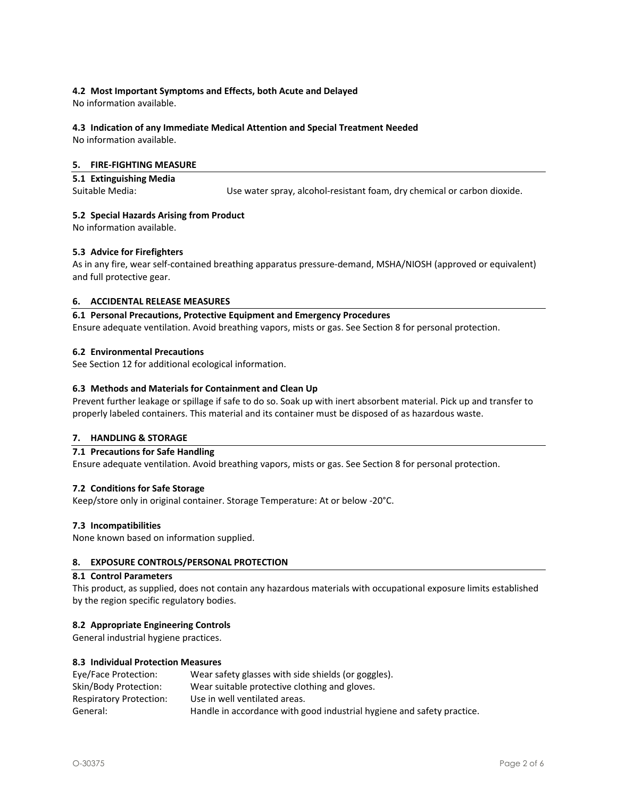No information available.

# **4.3 Indication of any Immediate Medical Attention and Special Treatment Needed**

No information available.

#### **5. FIRE‐FIGHTING MEASURE**

### **5.1 Extinguishing Media**

Suitable Media: Use water spray, alcohol-resistant foam, dry chemical or carbon dioxide.

#### **5.2 Special Hazards Arising from Product**

No information available.

#### **5.3 Advice for Firefighters**

As in any fire, wear self‐contained breathing apparatus pressure‐demand, MSHA/NIOSH (approved or equivalent) and full protective gear.

#### **6. ACCIDENTAL RELEASE MEASURES**

#### **6.1 Personal Precautions, Protective Equipment and Emergency Procedures**

Ensure adequate ventilation. Avoid breathing vapors, mists or gas. See Section 8 for personal protection.

#### **6.2 Environmental Precautions**

See Section 12 for additional ecological information.

#### **6.3 Methods and Materials for Containment and Clean Up**

Prevent further leakage or spillage if safe to do so. Soak up with inert absorbent material. Pick up and transfer to properly labeled containers. This material and its container must be disposed of as hazardous waste.

#### **7. HANDLING & STORAGE**

#### **7.1 Precautions for Safe Handling**

Ensure adequate ventilation. Avoid breathing vapors, mists or gas. See Section 8 for personal protection.

#### **7.2 Conditions for Safe Storage**

Keep/store only in original container. Storage Temperature: At or below ‐20°C.

#### **7.3 Incompatibilities**

None known based on information supplied.

#### **8. EXPOSURE CONTROLS/PERSONAL PROTECTION**

#### **8.1 Control Parameters**

This product, as supplied, does not contain any hazardous materials with occupational exposure limits established by the region specific regulatory bodies.

#### **8.2 Appropriate Engineering Controls**

General industrial hygiene practices.

| Eye/Face Protection:           | Wear safety glasses with side shields (or goggles).                    |
|--------------------------------|------------------------------------------------------------------------|
| Skin/Body Protection:          | Wear suitable protective clothing and gloves.                          |
| <b>Respiratory Protection:</b> | Use in well ventilated areas.                                          |
| General:                       | Handle in accordance with good industrial hygiene and safety practice. |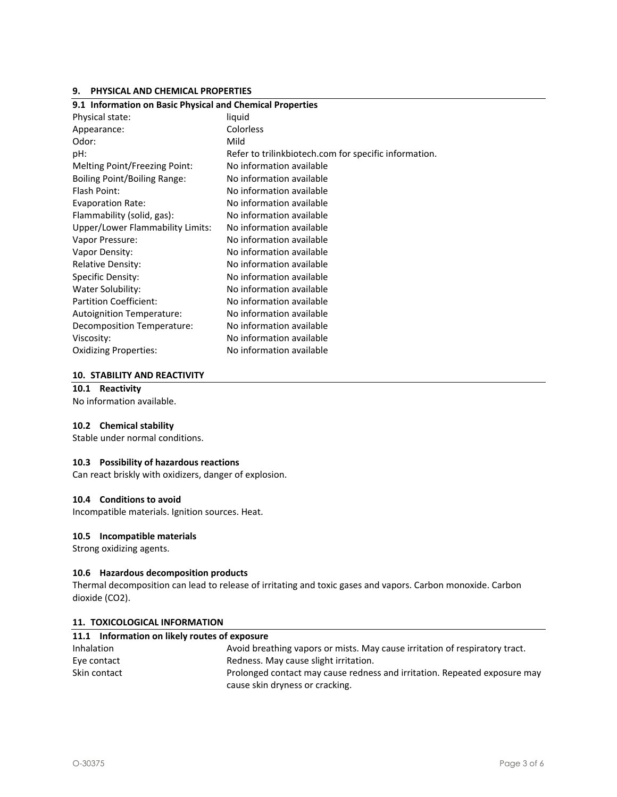| 9.1 Information on Basic Physical and Chemical Properties |                                                       |  |
|-----------------------------------------------------------|-------------------------------------------------------|--|
| Physical state:                                           | liquid                                                |  |
| Appearance:                                               | Colorless                                             |  |
| Odor:                                                     | Mild                                                  |  |
| pH:                                                       | Refer to trilinkbiotech.com for specific information. |  |
| Melting Point/Freezing Point:                             | No information available                              |  |
| Boiling Point/Boiling Range:                              | No information available                              |  |
| Flash Point:                                              | No information available                              |  |
| <b>Evaporation Rate:</b>                                  | No information available                              |  |
| Flammability (solid, gas):                                | No information available                              |  |
| Upper/Lower Flammability Limits:                          | No information available                              |  |
| Vapor Pressure:                                           | No information available                              |  |
| Vapor Density:                                            | No information available                              |  |
| <b>Relative Density:</b>                                  | No information available                              |  |
| Specific Density:                                         | No information available                              |  |
| Water Solubility:                                         | No information available                              |  |
| <b>Partition Coefficient:</b>                             | No information available                              |  |
| Autoignition Temperature:                                 | No information available                              |  |
| Decomposition Temperature:                                | No information available                              |  |
| Viscosity:                                                | No information available                              |  |
| <b>Oxidizing Properties:</b>                              | No information available                              |  |

#### **10. STABILITY AND REACTIVITY**

**10.1 Reactivity** No information available.

#### **10.2 Chemical stability**

Stable under normal conditions.

#### **10.3 Possibility of hazardous reactions**

Can react briskly with oxidizers, danger of explosion.

#### **10.4 Conditions to avoid**

Incompatible materials. Ignition sources. Heat.

#### **10.5 Incompatible materials**

Strong oxidizing agents.

#### **10.6 Hazardous decomposition products**

Thermal decomposition can lead to release of irritating and toxic gases and vapors. Carbon monoxide. Carbon dioxide (CO2).

#### **11. TOXICOLOGICAL INFORMATION 11.1 Information on likely routes of exposure** Inhalation **Avoid breathing vapors or mists. May cause irritation of respiratory tract.** Eye contact **Redness.** May cause slight irritation

| Lyc contact  | <b>Redited: May cause sught in Ration.</b>                                |
|--------------|---------------------------------------------------------------------------|
| Skin contact | Prolonged contact may cause redness and irritation. Repeated exposure may |
|              | cause skin dryness or cracking.                                           |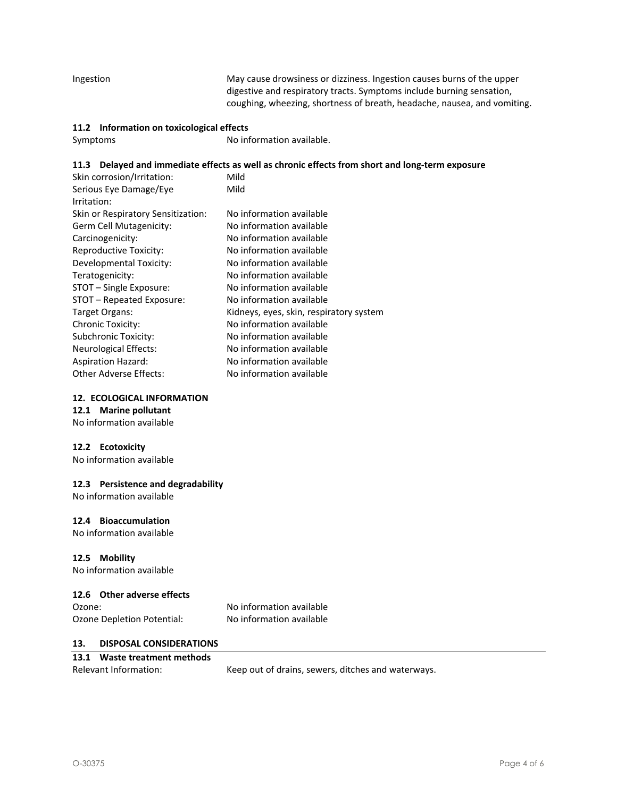#### **11.2 Information on toxicological effects**

| Symptoms | No information available. |
|----------|---------------------------|
|          |                           |

#### **11.3 Delayed and immediate effects as well as chronic effects from short and long‐term exposure**

| Mild                                    |
|-----------------------------------------|
| Mild                                    |
|                                         |
| No information available                |
| No information available                |
| No information available                |
| No information available                |
| No information available                |
| No information available                |
| No information available                |
| No information available                |
| Kidneys, eyes, skin, respiratory system |
| No information available                |
| No information available                |
| No information available                |
| No information available                |
| No information available                |
|                                         |

#### **12. ECOLOGICAL INFORMATION**

#### **12.1 Marine pollutant**

No information available

#### **12.2 Ecotoxicity**

No information available

#### **12.3 Persistence and degradability**

No information available

#### **12.4 Bioaccumulation**

No information available

#### **12.5 Mobility**

No information available

# **12.6 Other adverse effects** Ozone Depletion Potential: No information available

No information available

#### **13. DISPOSAL CONSIDERATIONS**

#### **13.1 Waste treatment methods**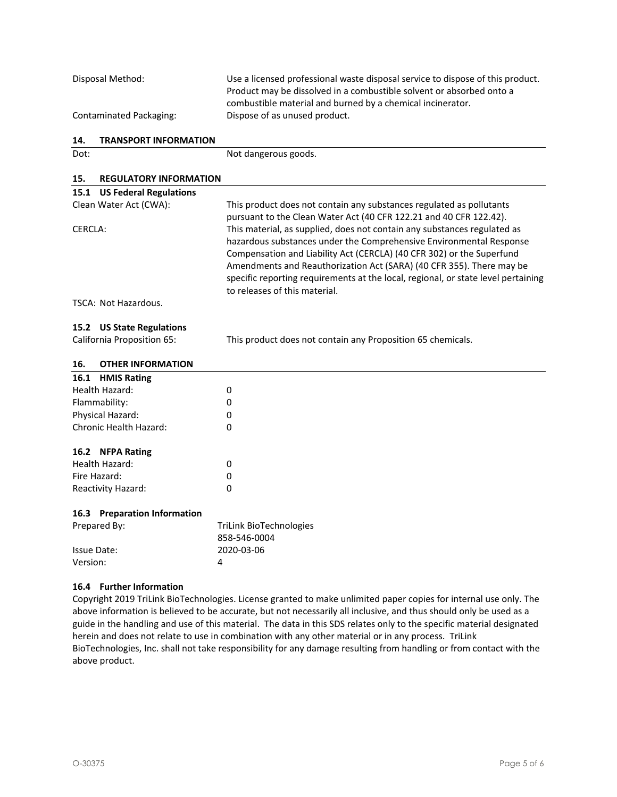|                | Disposal Method:                  | Use a licensed professional waste disposal service to dispose of this product.<br>Product may be dissolved in a combustible solvent or absorbed onto a<br>combustible material and burned by a chemical incinerator.                                                                                                                                                                                                   |
|----------------|-----------------------------------|------------------------------------------------------------------------------------------------------------------------------------------------------------------------------------------------------------------------------------------------------------------------------------------------------------------------------------------------------------------------------------------------------------------------|
|                | <b>Contaminated Packaging:</b>    | Dispose of as unused product.                                                                                                                                                                                                                                                                                                                                                                                          |
| 14.            | <b>TRANSPORT INFORMATION</b>      |                                                                                                                                                                                                                                                                                                                                                                                                                        |
| Dot:           |                                   | Not dangerous goods.                                                                                                                                                                                                                                                                                                                                                                                                   |
| 15.            | <b>REGULATORY INFORMATION</b>     |                                                                                                                                                                                                                                                                                                                                                                                                                        |
|                | 15.1 US Federal Regulations       |                                                                                                                                                                                                                                                                                                                                                                                                                        |
|                | Clean Water Act (CWA):            | This product does not contain any substances regulated as pollutants<br>pursuant to the Clean Water Act (40 CFR 122.21 and 40 CFR 122.42).                                                                                                                                                                                                                                                                             |
| <b>CERCLA:</b> |                                   | This material, as supplied, does not contain any substances regulated as<br>hazardous substances under the Comprehensive Environmental Response<br>Compensation and Liability Act (CERCLA) (40 CFR 302) or the Superfund<br>Amendments and Reauthorization Act (SARA) (40 CFR 355). There may be<br>specific reporting requirements at the local, regional, or state level pertaining<br>to releases of this material. |
|                | TSCA: Not Hazardous.              |                                                                                                                                                                                                                                                                                                                                                                                                                        |
|                | 15.2 US State Regulations         |                                                                                                                                                                                                                                                                                                                                                                                                                        |
|                | <b>California Proposition 65:</b> | This product does not contain any Proposition 65 chemicals.                                                                                                                                                                                                                                                                                                                                                            |
| 16.            | <b>OTHER INFORMATION</b>          |                                                                                                                                                                                                                                                                                                                                                                                                                        |
|                | 16.1 HMIS Rating                  |                                                                                                                                                                                                                                                                                                                                                                                                                        |
|                | Health Hazard:                    | 0                                                                                                                                                                                                                                                                                                                                                                                                                      |
|                | Flammability:                     | 0                                                                                                                                                                                                                                                                                                                                                                                                                      |
|                | Physical Hazard:                  | 0                                                                                                                                                                                                                                                                                                                                                                                                                      |
|                | <b>Chronic Health Hazard:</b>     | 0                                                                                                                                                                                                                                                                                                                                                                                                                      |
|                | 16.2 NFPA Rating                  |                                                                                                                                                                                                                                                                                                                                                                                                                        |
|                | Health Hazard:                    | 0                                                                                                                                                                                                                                                                                                                                                                                                                      |
|                | Fire Hazard:                      | 0                                                                                                                                                                                                                                                                                                                                                                                                                      |
|                | Reactivity Hazard:                | 0                                                                                                                                                                                                                                                                                                                                                                                                                      |
|                | 16.3 Preparation Information      |                                                                                                                                                                                                                                                                                                                                                                                                                        |
| Prepared By:   |                                   | TriLink BioTechnologies                                                                                                                                                                                                                                                                                                                                                                                                |
|                |                                   | 858-546-0004                                                                                                                                                                                                                                                                                                                                                                                                           |
| Issue Date:    |                                   | 2020-03-06                                                                                                                                                                                                                                                                                                                                                                                                             |
| Version:       | 4                                 |                                                                                                                                                                                                                                                                                                                                                                                                                        |
|                | 16.4 Further Information          |                                                                                                                                                                                                                                                                                                                                                                                                                        |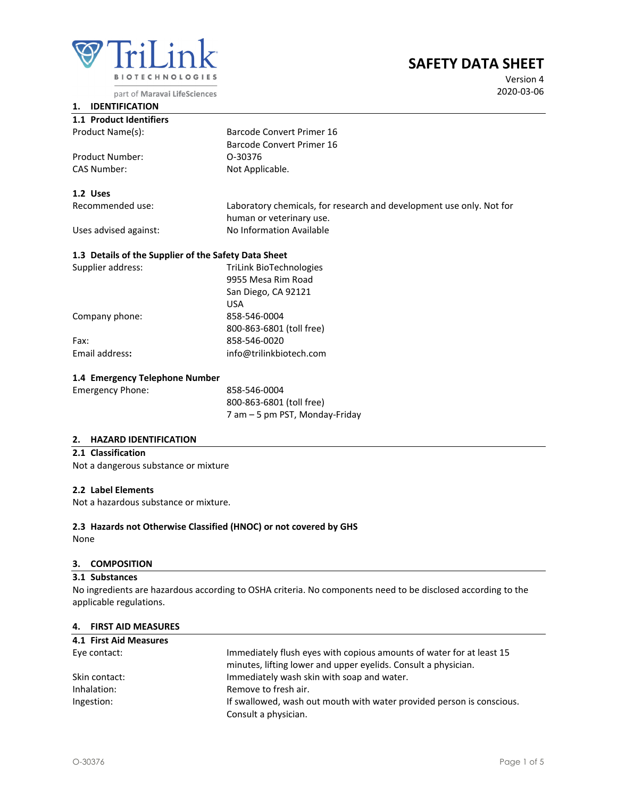

# **1. IDENTIFICATION**

# **SAFETY DATA SHEET**

Version 4 2020‐03‐06

| 1.1 Product Identifiers                              |                                                                      |
|------------------------------------------------------|----------------------------------------------------------------------|
| Product Name(s):                                     | Barcode Convert Primer 16                                            |
|                                                      | Barcode Convert Primer 16                                            |
| <b>Product Number:</b>                               | 0-30376                                                              |
| <b>CAS Number:</b>                                   | Not Applicable.                                                      |
| 1.2 Uses                                             |                                                                      |
| Recommended use:                                     | Laboratory chemicals, for research and development use only. Not for |
|                                                      | human or veterinary use.                                             |
| Uses advised against:                                | No Information Available                                             |
| 1.3 Details of the Supplier of the Safety Data Sheet |                                                                      |
| Supplier address:                                    | TriLink BioTechnologies                                              |
|                                                      | 9955 Mesa Rim Road                                                   |
|                                                      | San Diego, CA 92121                                                  |
|                                                      | <b>USA</b>                                                           |
| Company phone:                                       | 858-546-0004                                                         |
|                                                      | 800-863-6801 (toll free)                                             |
| Fax:                                                 | 858-546-0020                                                         |
| Email address:                                       | info@trilinkbiotech.com                                              |
|                                                      |                                                                      |

#### **1.4 Emergency Telephone Number**

Emergency Phone: 858‐546‐0004

 800‐863‐6801 (toll free) 7 am – 5 pm PST, Monday‐Friday

#### **2. HAZARD IDENTIFICATION**

#### **2.1 Classification**

Not a dangerous substance or mixture

#### **2.2 Label Elements**

Not a hazardous substance or mixture.

### **2.3 Hazards not Otherwise Classified (HNOC) or not covered by GHS**

None

#### **3. COMPOSITION**

#### **3.1 Substances**

No ingredients are hazardous according to OSHA criteria. No components need to be disclosed according to the applicable regulations.

| <b>4.1 First Aid Measures</b> |                                                                                                                                        |
|-------------------------------|----------------------------------------------------------------------------------------------------------------------------------------|
| Eye contact:                  | Immediately flush eyes with copious amounts of water for at least 15<br>minutes, lifting lower and upper evelids. Consult a physician. |
| Skin contact:                 | Immediately wash skin with soap and water.                                                                                             |
| Inhalation:                   | Remove to fresh air.                                                                                                                   |
| Ingestion:                    | If swallowed, wash out mouth with water provided person is conscious.                                                                  |
|                               | Consult a physician.                                                                                                                   |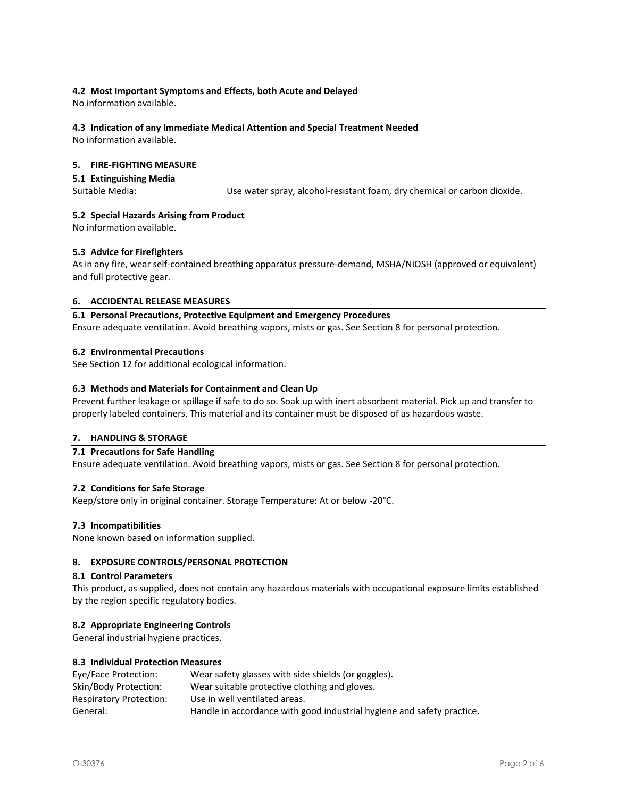No information available.

## **4.3 Indication of any Immediate Medical Attention and Special Treatment Needed**

No information available.

#### **5. FIRE‐FIGHTING MEASURE**

#### **5.1 Extinguishing Media**

Suitable Media: Use water spray, alcohol-resistant foam, dry chemical or carbon dioxide.

#### **5.2 Special Hazards Arising from Product**

No information available.

#### **5.3 Advice for Firefighters**

As in any fire, wear self‐contained breathing apparatus pressure‐demand, MSHA/NIOSH (approved or equivalent) and full protective gear.

#### **6. ACCIDENTAL RELEASE MEASURES**

#### **6.1 Personal Precautions, Protective Equipment and Emergency Procedures**

Ensure adequate ventilation. Avoid breathing vapors, mists or gas. See Section 8 for personal protection.

#### **6.2 Environmental Precautions**

See Section 12 for additional ecological information.

#### **6.3 Methods and Materials for Containment and Clean Up**

Prevent further leakage or spillage if safe to do so. Soak up with inert absorbent material. Pick up and transfer to properly labeled containers. This material and its container must be disposed of as hazardous waste.

#### **7. HANDLING & STORAGE**

#### **7.1 Precautions for Safe Handling**

Ensure adequate ventilation. Avoid breathing vapors, mists or gas. See Section 8 for personal protection.

#### **7.2 Conditions for Safe Storage**

Keep/store only in original container. Storage Temperature: At or below ‐20°C.

#### **7.3 Incompatibilities**

None known based on information supplied.

#### **8. EXPOSURE CONTROLS/PERSONAL PROTECTION**

#### **8.1 Control Parameters**

This product, as supplied, does not contain any hazardous materials with occupational exposure limits established by the region specific regulatory bodies.

#### **8.2 Appropriate Engineering Controls**

General industrial hygiene practices.

| Eye/Face Protection:           | Wear safety glasses with side shields (or goggles).                    |
|--------------------------------|------------------------------------------------------------------------|
| Skin/Body Protection:          | Wear suitable protective clothing and gloves.                          |
| <b>Respiratory Protection:</b> | Use in well ventilated areas.                                          |
| General:                       | Handle in accordance with good industrial hygiene and safety practice. |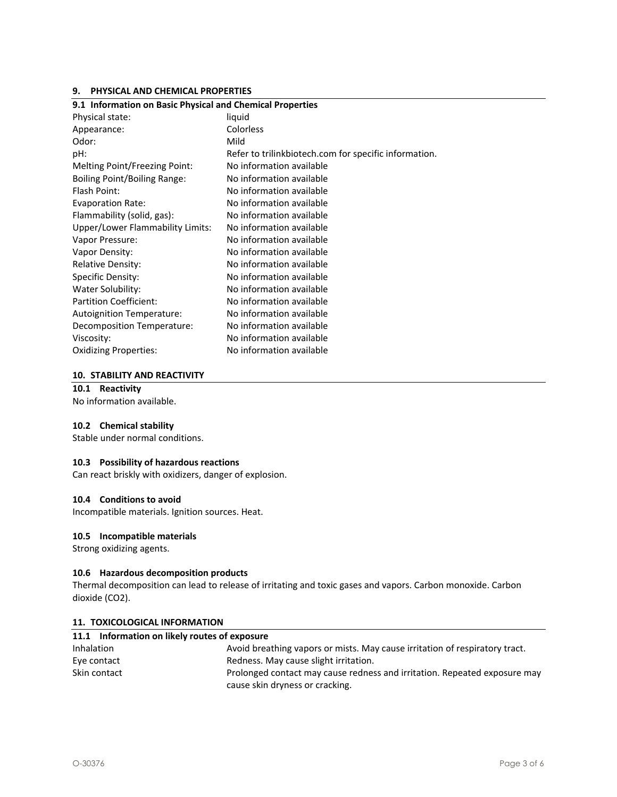| 9.1 Information on Basic Physical and Chemical Properties |                                                       |  |
|-----------------------------------------------------------|-------------------------------------------------------|--|
| Physical state:                                           | liquid                                                |  |
| Appearance:                                               | Colorless                                             |  |
| Odor:                                                     | Mild                                                  |  |
| pH:                                                       | Refer to trilinkbiotech.com for specific information. |  |
| Melting Point/Freezing Point:                             | No information available                              |  |
| Boiling Point/Boiling Range:                              | No information available                              |  |
| Flash Point:                                              | No information available                              |  |
| <b>Evaporation Rate:</b>                                  | No information available                              |  |
| Flammability (solid, gas):                                | No information available                              |  |
| Upper/Lower Flammability Limits:                          | No information available                              |  |
| Vapor Pressure:                                           | No information available                              |  |
| Vapor Density:                                            | No information available                              |  |
| <b>Relative Density:</b>                                  | No information available                              |  |
| Specific Density:                                         | No information available                              |  |
| Water Solubility:                                         | No information available                              |  |
| <b>Partition Coefficient:</b>                             | No information available                              |  |
| Autoignition Temperature:                                 | No information available                              |  |
| Decomposition Temperature:                                | No information available                              |  |
| Viscosity:                                                | No information available                              |  |
| <b>Oxidizing Properties:</b>                              | No information available                              |  |

#### **10. STABILITY AND REACTIVITY**

**10.1 Reactivity** No information available.

#### **10.2 Chemical stability**

Stable under normal conditions.

#### **10.3 Possibility of hazardous reactions**

Can react briskly with oxidizers, danger of explosion.

#### **10.4 Conditions to avoid**

Incompatible materials. Ignition sources. Heat.

#### **10.5 Incompatible materials**

Strong oxidizing agents.

#### **10.6 Hazardous decomposition products**

Thermal decomposition can lead to release of irritating and toxic gases and vapors. Carbon monoxide. Carbon dioxide (CO2).

### **11. TOXICOLOGICAL INFORMATION 11.1 Information on likely routes of exposure** Inhalation **Avoid breathing vapors or mists. May cause irritation of respiratory tract.** Eye contact **Redness.** May cause slight irritation.

| Skin contact | Prolonged contact may cause redness and irritation. Repeated exposure may |
|--------------|---------------------------------------------------------------------------|
|              | cause skin dryness or cracking.                                           |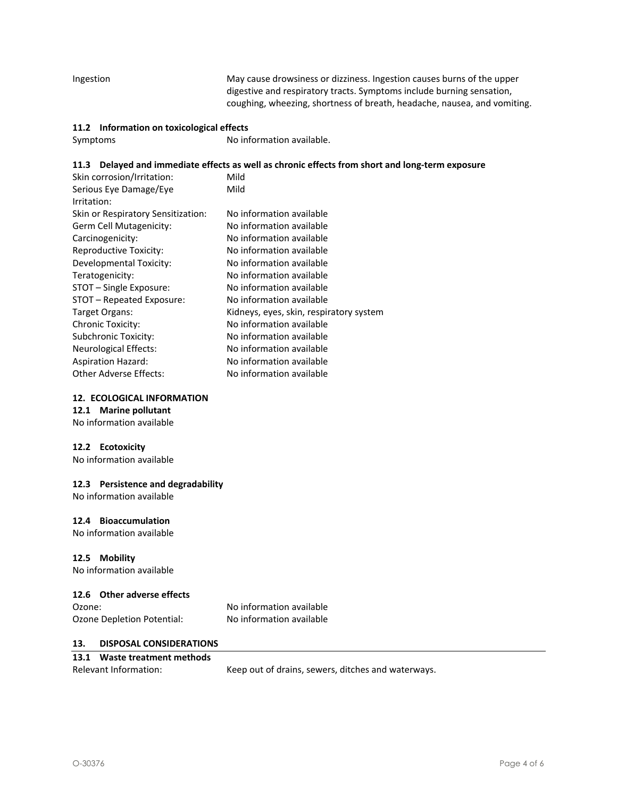#### **11.2 Information on toxicological effects**

| Symptoms | No information available. |
|----------|---------------------------|
|          |                           |

#### **11.3 Delayed and immediate effects as well as chronic effects from short and long‐term exposure**

| Mild                                    |
|-----------------------------------------|
| Mild                                    |
|                                         |
| No information available                |
| No information available                |
| No information available                |
| No information available                |
| No information available                |
| No information available                |
| No information available                |
| No information available                |
| Kidneys, eyes, skin, respiratory system |
| No information available                |
| No information available                |
| No information available                |
| No information available                |
| No information available                |
|                                         |

#### **12. ECOLOGICAL INFORMATION**

#### **12.1 Marine pollutant**

No information available

#### **12.2 Ecotoxicity**

No information available

#### **12.3 Persistence and degradability**

No information available

#### **12.4 Bioaccumulation**

No information available

#### **12.5 Mobility**

No information available

# **12.6 Other adverse effects** Ozone Depletion Potential: No information available

No information available

#### **13. DISPOSAL CONSIDERATIONS**

#### **13.1 Waste treatment methods**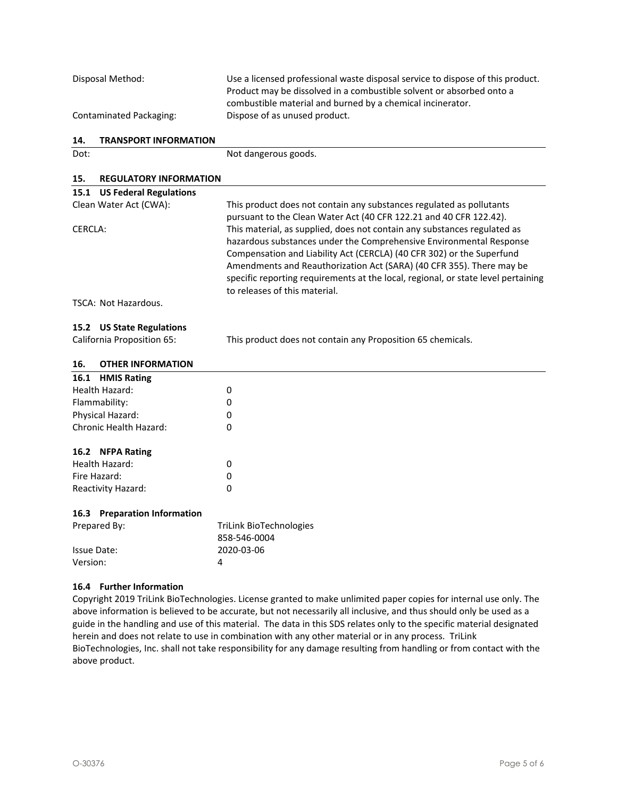|                | Disposal Method:               | Use a licensed professional waste disposal service to dispose of this product.<br>Product may be dissolved in a combustible solvent or absorbed onto a<br>combustible material and burned by a chemical incinerator.                                                                                                                                                                                                   |
|----------------|--------------------------------|------------------------------------------------------------------------------------------------------------------------------------------------------------------------------------------------------------------------------------------------------------------------------------------------------------------------------------------------------------------------------------------------------------------------|
|                | <b>Contaminated Packaging:</b> | Dispose of as unused product.                                                                                                                                                                                                                                                                                                                                                                                          |
| 14.            | <b>TRANSPORT INFORMATION</b>   |                                                                                                                                                                                                                                                                                                                                                                                                                        |
| Dot:           |                                | Not dangerous goods.                                                                                                                                                                                                                                                                                                                                                                                                   |
| 15.            | <b>REGULATORY INFORMATION</b>  |                                                                                                                                                                                                                                                                                                                                                                                                                        |
|                | 15.1 US Federal Regulations    |                                                                                                                                                                                                                                                                                                                                                                                                                        |
|                | Clean Water Act (CWA):         | This product does not contain any substances regulated as pollutants<br>pursuant to the Clean Water Act (40 CFR 122.21 and 40 CFR 122.42).                                                                                                                                                                                                                                                                             |
| <b>CERCLA:</b> |                                | This material, as supplied, does not contain any substances regulated as<br>hazardous substances under the Comprehensive Environmental Response<br>Compensation and Liability Act (CERCLA) (40 CFR 302) or the Superfund<br>Amendments and Reauthorization Act (SARA) (40 CFR 355). There may be<br>specific reporting requirements at the local, regional, or state level pertaining<br>to releases of this material. |
|                | <b>TSCA: Not Hazardous.</b>    |                                                                                                                                                                                                                                                                                                                                                                                                                        |
|                | 15.2 US State Regulations      |                                                                                                                                                                                                                                                                                                                                                                                                                        |
|                | California Proposition 65:     | This product does not contain any Proposition 65 chemicals.                                                                                                                                                                                                                                                                                                                                                            |
| 16.            | <b>OTHER INFORMATION</b>       |                                                                                                                                                                                                                                                                                                                                                                                                                        |
|                | 16.1 HMIS Rating               |                                                                                                                                                                                                                                                                                                                                                                                                                        |
|                | Health Hazard:                 | 0                                                                                                                                                                                                                                                                                                                                                                                                                      |
|                | Flammability:                  | 0                                                                                                                                                                                                                                                                                                                                                                                                                      |
|                | Physical Hazard:               | 0                                                                                                                                                                                                                                                                                                                                                                                                                      |
|                | <b>Chronic Health Hazard:</b>  | 0                                                                                                                                                                                                                                                                                                                                                                                                                      |
|                | 16.2 NFPA Rating               |                                                                                                                                                                                                                                                                                                                                                                                                                        |
|                | Health Hazard:                 | 0                                                                                                                                                                                                                                                                                                                                                                                                                      |
|                | Fire Hazard:                   | 0                                                                                                                                                                                                                                                                                                                                                                                                                      |
|                | Reactivity Hazard:             | 0                                                                                                                                                                                                                                                                                                                                                                                                                      |
|                | 16.3 Preparation Information   |                                                                                                                                                                                                                                                                                                                                                                                                                        |
|                | Prepared By:                   | TriLink BioTechnologies                                                                                                                                                                                                                                                                                                                                                                                                |
|                |                                | 858-546-0004                                                                                                                                                                                                                                                                                                                                                                                                           |
| Issue Date:    |                                | 2020-03-06                                                                                                                                                                                                                                                                                                                                                                                                             |
| Version:       | 4                              |                                                                                                                                                                                                                                                                                                                                                                                                                        |
|                |                                |                                                                                                                                                                                                                                                                                                                                                                                                                        |

#### **16.4 Further Information**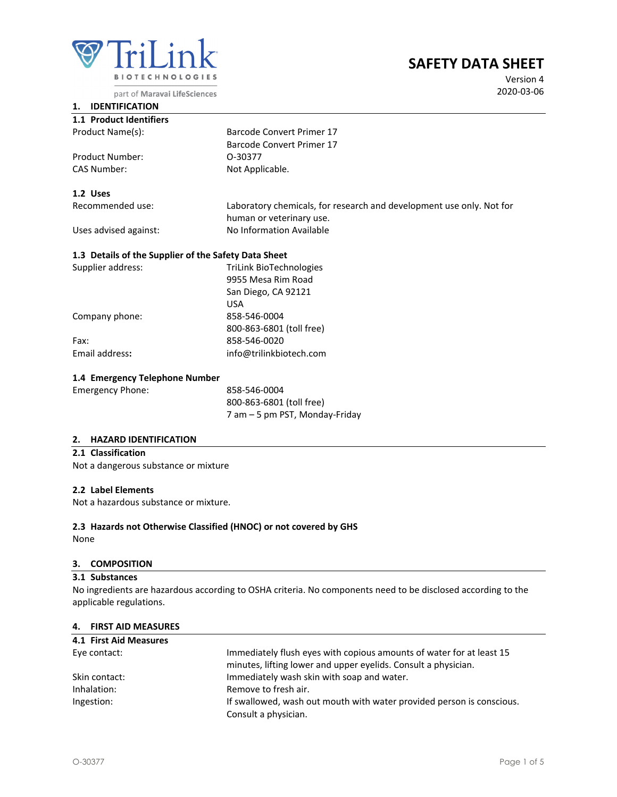

# **SAFETY DATA SHEET**

Version 4 2020‐03‐06

#### **1. IDENTIFICATION**

| 1.1 Product Identifiers                              |                                                                      |
|------------------------------------------------------|----------------------------------------------------------------------|
| Product Name(s):                                     | <b>Barcode Convert Primer 17</b>                                     |
|                                                      | Barcode Convert Primer 17                                            |
| <b>Product Number:</b>                               | 0-30377                                                              |
| CAS Number:                                          | Not Applicable.                                                      |
| 1.2 Uses                                             |                                                                      |
| Recommended use:                                     | Laboratory chemicals, for research and development use only. Not for |
|                                                      | human or veterinary use.                                             |
| Uses advised against:                                | No Information Available                                             |
| 1.3 Details of the Supplier of the Safety Data Sheet |                                                                      |
| Supplier address:                                    | TriLink BioTechnologies                                              |
|                                                      | 9955 Mesa Rim Road                                                   |
|                                                      | San Diego, CA 92121                                                  |
|                                                      | USA.                                                                 |
| Company phone:                                       | 858-546-0004                                                         |
|                                                      | 800-863-6801 (toll free)                                             |
| Fax:                                                 | 858-546-0020                                                         |
| Email address:                                       | info@trilinkbiotech.com                                              |
|                                                      |                                                                      |

#### **1.4 Emergency Telephone Number**

Emergency Phone: 858‐546‐0004

 800‐863‐6801 (toll free) 7 am – 5 pm PST, Monday‐Friday

#### **2. HAZARD IDENTIFICATION**

#### **2.1 Classification**

Not a dangerous substance or mixture

#### **2.2 Label Elements**

Not a hazardous substance or mixture.

## **2.3 Hazards not Otherwise Classified (HNOC) or not covered by GHS**

None

#### **3. COMPOSITION**

#### **3.1 Substances**

No ingredients are hazardous according to OSHA criteria. No components need to be disclosed according to the applicable regulations.

| <b>4.1 First Aid Measures</b> |                                                                                                                                        |
|-------------------------------|----------------------------------------------------------------------------------------------------------------------------------------|
| Eye contact:                  | Immediately flush eyes with copious amounts of water for at least 15<br>minutes, lifting lower and upper evelids. Consult a physician. |
| Skin contact:                 | Immediately wash skin with soap and water.                                                                                             |
| Inhalation:                   | Remove to fresh air.                                                                                                                   |
| Ingestion:                    | If swallowed, wash out mouth with water provided person is conscious.                                                                  |
|                               | Consult a physician.                                                                                                                   |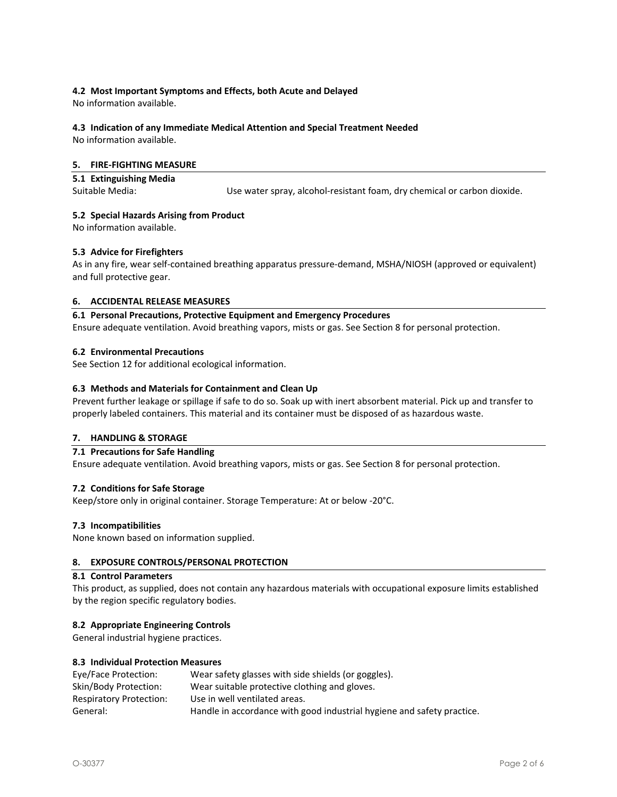No information available.

## **4.3 Indication of any Immediate Medical Attention and Special Treatment Needed**

No information available.

#### **5. FIRE‐FIGHTING MEASURE**

#### **5.1 Extinguishing Media**

Suitable Media: Use water spray, alcohol-resistant foam, dry chemical or carbon dioxide.

#### **5.2 Special Hazards Arising from Product**

No information available.

#### **5.3 Advice for Firefighters**

As in any fire, wear self‐contained breathing apparatus pressure‐demand, MSHA/NIOSH (approved or equivalent) and full protective gear.

#### **6. ACCIDENTAL RELEASE MEASURES**

#### **6.1 Personal Precautions, Protective Equipment and Emergency Procedures**

Ensure adequate ventilation. Avoid breathing vapors, mists or gas. See Section 8 for personal protection.

#### **6.2 Environmental Precautions**

See Section 12 for additional ecological information.

#### **6.3 Methods and Materials for Containment and Clean Up**

Prevent further leakage or spillage if safe to do so. Soak up with inert absorbent material. Pick up and transfer to properly labeled containers. This material and its container must be disposed of as hazardous waste.

#### **7. HANDLING & STORAGE**

#### **7.1 Precautions for Safe Handling**

Ensure adequate ventilation. Avoid breathing vapors, mists or gas. See Section 8 for personal protection.

#### **7.2 Conditions for Safe Storage**

Keep/store only in original container. Storage Temperature: At or below ‐20°C.

#### **7.3 Incompatibilities**

None known based on information supplied.

#### **8. EXPOSURE CONTROLS/PERSONAL PROTECTION**

#### **8.1 Control Parameters**

This product, as supplied, does not contain any hazardous materials with occupational exposure limits established by the region specific regulatory bodies.

#### **8.2 Appropriate Engineering Controls**

General industrial hygiene practices.

| Eye/Face Protection:           | Wear safety glasses with side shields (or goggles).                    |
|--------------------------------|------------------------------------------------------------------------|
| Skin/Body Protection:          | Wear suitable protective clothing and gloves.                          |
| <b>Respiratory Protection:</b> | Use in well ventilated areas.                                          |
| General:                       | Handle in accordance with good industrial hygiene and safety practice. |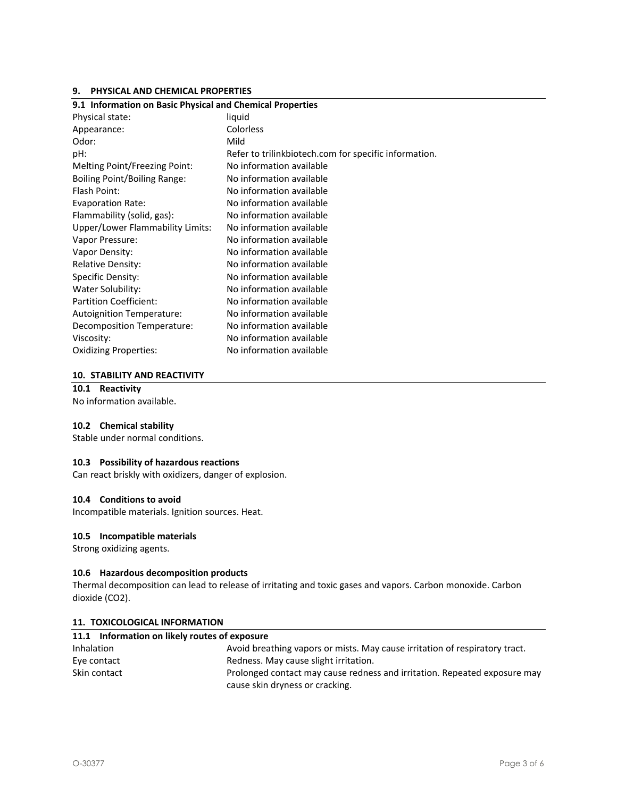| 9.1 Information on Basic Physical and Chemical Properties |                                                       |  |
|-----------------------------------------------------------|-------------------------------------------------------|--|
| Physical state:                                           | liquid                                                |  |
| Appearance:                                               | Colorless                                             |  |
| Odor:                                                     | Mild                                                  |  |
| pH:                                                       | Refer to trilinkbiotech.com for specific information. |  |
| Melting Point/Freezing Point:                             | No information available                              |  |
| Boiling Point/Boiling Range:                              | No information available                              |  |
| Flash Point:                                              | No information available                              |  |
| <b>Evaporation Rate:</b>                                  | No information available                              |  |
| Flammability (solid, gas):                                | No information available                              |  |
| Upper/Lower Flammability Limits:                          | No information available                              |  |
| Vapor Pressure:                                           | No information available                              |  |
| Vapor Density:                                            | No information available                              |  |
| <b>Relative Density:</b>                                  | No information available                              |  |
| Specific Density:                                         | No information available                              |  |
| Water Solubility:                                         | No information available                              |  |
| <b>Partition Coefficient:</b>                             | No information available                              |  |
| Autoignition Temperature:                                 | No information available                              |  |
| Decomposition Temperature:                                | No information available                              |  |
| Viscosity:                                                | No information available                              |  |
| <b>Oxidizing Properties:</b>                              | No information available                              |  |

#### **10. STABILITY AND REACTIVITY**

**10.1 Reactivity** No information available.

#### **10.2 Chemical stability**

Stable under normal conditions.

#### **10.3 Possibility of hazardous reactions**

Can react briskly with oxidizers, danger of explosion.

#### **10.4 Conditions to avoid**

Incompatible materials. Ignition sources. Heat.

#### **10.5 Incompatible materials**

Strong oxidizing agents.

#### **10.6 Hazardous decomposition products**

Thermal decomposition can lead to release of irritating and toxic gases and vapors. Carbon monoxide. Carbon dioxide (CO2).

### **11. TOXICOLOGICAL INFORMATION 11.1 Information on likely routes of exposure** Inhalation **Avoid breathing vapors or mists. May cause irritation of respiratory tract.** Eye contact **Redness.** May cause slight irritation.

| -, - -- - - - - - - |                                                                           |
|---------------------|---------------------------------------------------------------------------|
| Skin contact        | Prolonged contact may cause redness and irritation. Repeated exposure may |
|                     | cause skin dryness or cracking.                                           |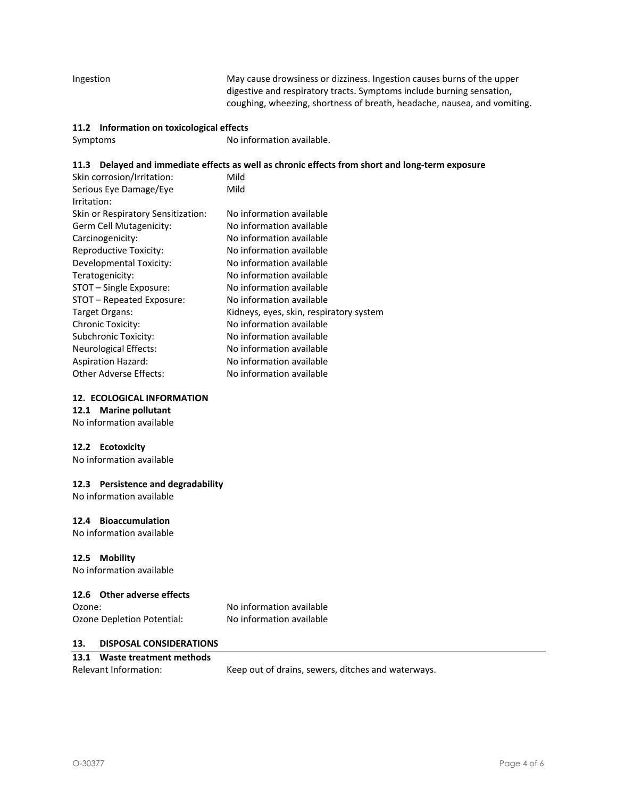#### **11.2 Information on toxicological effects**

| Symptoms | No information available. |
|----------|---------------------------|
|          |                           |

#### **11.3 Delayed and immediate effects as well as chronic effects from short and long‐term exposure**

| Skin corrosion/Irritation:         | Mild                                    |
|------------------------------------|-----------------------------------------|
| Serious Eye Damage/Eye             | Mild                                    |
| Irritation:                        |                                         |
| Skin or Respiratory Sensitization: | No information available                |
| Germ Cell Mutagenicity:            | No information available                |
| Carcinogenicity:                   | No information available                |
| <b>Reproductive Toxicity:</b>      | No information available                |
| Developmental Toxicity:            | No information available                |
| Teratogenicity:                    | No information available                |
| STOT - Single Exposure:            | No information available                |
| STOT – Repeated Exposure:          | No information available                |
| Target Organs:                     | Kidneys, eyes, skin, respiratory system |
| <b>Chronic Toxicity:</b>           | No information available                |
| <b>Subchronic Toxicity:</b>        | No information available                |
| <b>Neurological Effects:</b>       | No information available                |
| <b>Aspiration Hazard:</b>          | No information available                |
| <b>Other Adverse Effects:</b>      | No information available                |
|                                    |                                         |

#### **12. ECOLOGICAL INFORMATION**

### **12.1 Marine pollutant**

No information available

#### **12.2 Ecotoxicity**

No information available

#### **12.3 Persistence and degradability**

No information available

#### **12.4 Bioaccumulation**

No information available

#### **12.5 Mobility**

No information available

# **12.6 Other adverse effects** Ozone Depletion Potential: No information available

No information available

### **13. DISPOSAL CONSIDERATIONS**

### **13.1 Waste treatment methods**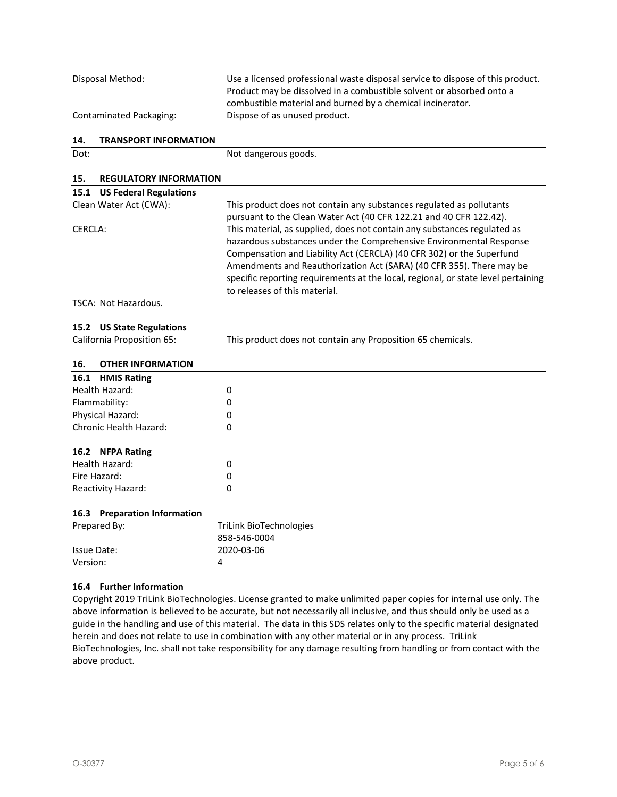|                | Disposal Method:               | Use a licensed professional waste disposal service to dispose of this product.<br>Product may be dissolved in a combustible solvent or absorbed onto a<br>combustible material and burned by a chemical incinerator.                                                                                                                                                                                                   |
|----------------|--------------------------------|------------------------------------------------------------------------------------------------------------------------------------------------------------------------------------------------------------------------------------------------------------------------------------------------------------------------------------------------------------------------------------------------------------------------|
|                | <b>Contaminated Packaging:</b> | Dispose of as unused product.                                                                                                                                                                                                                                                                                                                                                                                          |
| 14.            | <b>TRANSPORT INFORMATION</b>   |                                                                                                                                                                                                                                                                                                                                                                                                                        |
| Dot:           |                                | Not dangerous goods.                                                                                                                                                                                                                                                                                                                                                                                                   |
| 15.            | <b>REGULATORY INFORMATION</b>  |                                                                                                                                                                                                                                                                                                                                                                                                                        |
|                | 15.1 US Federal Regulations    |                                                                                                                                                                                                                                                                                                                                                                                                                        |
|                | Clean Water Act (CWA):         | This product does not contain any substances regulated as pollutants<br>pursuant to the Clean Water Act (40 CFR 122.21 and 40 CFR 122.42).                                                                                                                                                                                                                                                                             |
| <b>CERCLA:</b> |                                | This material, as supplied, does not contain any substances regulated as<br>hazardous substances under the Comprehensive Environmental Response<br>Compensation and Liability Act (CERCLA) (40 CFR 302) or the Superfund<br>Amendments and Reauthorization Act (SARA) (40 CFR 355). There may be<br>specific reporting requirements at the local, regional, or state level pertaining<br>to releases of this material. |
|                | <b>TSCA: Not Hazardous.</b>    |                                                                                                                                                                                                                                                                                                                                                                                                                        |
|                | 15.2 US State Regulations      |                                                                                                                                                                                                                                                                                                                                                                                                                        |
|                | California Proposition 65:     | This product does not contain any Proposition 65 chemicals.                                                                                                                                                                                                                                                                                                                                                            |
| 16.            | <b>OTHER INFORMATION</b>       |                                                                                                                                                                                                                                                                                                                                                                                                                        |
|                | 16.1 HMIS Rating               |                                                                                                                                                                                                                                                                                                                                                                                                                        |
|                | Health Hazard:                 | 0                                                                                                                                                                                                                                                                                                                                                                                                                      |
|                | Flammability:                  | 0                                                                                                                                                                                                                                                                                                                                                                                                                      |
|                | Physical Hazard:               | 0                                                                                                                                                                                                                                                                                                                                                                                                                      |
|                | <b>Chronic Health Hazard:</b>  | 0                                                                                                                                                                                                                                                                                                                                                                                                                      |
|                | 16.2 NFPA Rating               |                                                                                                                                                                                                                                                                                                                                                                                                                        |
|                | Health Hazard:                 | 0                                                                                                                                                                                                                                                                                                                                                                                                                      |
|                | Fire Hazard:                   | 0                                                                                                                                                                                                                                                                                                                                                                                                                      |
|                | Reactivity Hazard:             | 0                                                                                                                                                                                                                                                                                                                                                                                                                      |
|                | 16.3 Preparation Information   |                                                                                                                                                                                                                                                                                                                                                                                                                        |
|                | Prepared By:                   | TriLink BioTechnologies                                                                                                                                                                                                                                                                                                                                                                                                |
|                |                                | 858-546-0004                                                                                                                                                                                                                                                                                                                                                                                                           |
| Issue Date:    |                                | 2020-03-06                                                                                                                                                                                                                                                                                                                                                                                                             |
| Version:       | 4                              |                                                                                                                                                                                                                                                                                                                                                                                                                        |
|                |                                |                                                                                                                                                                                                                                                                                                                                                                                                                        |

#### **16.4 Further Information**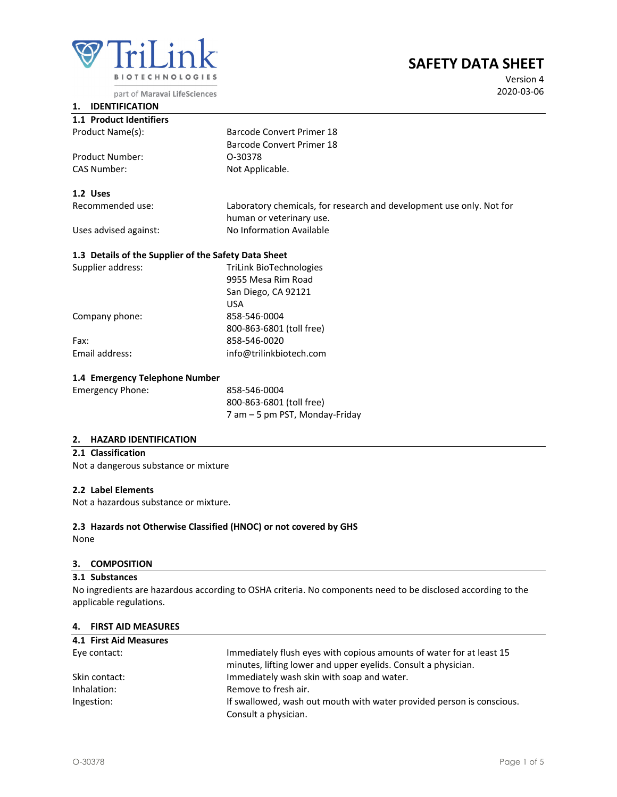

# **1. IDENTIFICATION**

# **SAFETY DATA SHEET**

Version 4 2020‐03‐06

| 1.1 Product Identifiers                              |                                                                      |
|------------------------------------------------------|----------------------------------------------------------------------|
| Product Name(s):                                     | Barcode Convert Primer 18                                            |
|                                                      | <b>Barcode Convert Primer 18</b>                                     |
| <b>Product Number:</b>                               | 0-30378                                                              |
| CAS Number:                                          | Not Applicable.                                                      |
| 1.2 Uses                                             |                                                                      |
| Recommended use:                                     | Laboratory chemicals, for research and development use only. Not for |
|                                                      | human or veterinary use.                                             |
| Uses advised against:                                | No Information Available                                             |
| 1.3 Details of the Supplier of the Safety Data Sheet |                                                                      |
| Supplier address:                                    | <b>TriLink BioTechnologies</b>                                       |
|                                                      | 9955 Mesa Rim Road                                                   |
|                                                      | San Diego, CA 92121                                                  |
|                                                      | <b>USA</b>                                                           |
| Company phone:                                       | 858-546-0004                                                         |
|                                                      | 800-863-6801 (toll free)                                             |
| Fax:                                                 | 858-546-0020                                                         |
| Email address:                                       | info@trilinkbiotech.com                                              |
|                                                      |                                                                      |

#### **1.4 Emergency Telephone Number**

Emergency Phone: 858‐546‐0004

 800‐863‐6801 (toll free) 7 am – 5 pm PST, Monday‐Friday

#### **2. HAZARD IDENTIFICATION**

#### **2.1 Classification**

Not a dangerous substance or mixture

#### **2.2 Label Elements**

Not a hazardous substance or mixture.

## **2.3 Hazards not Otherwise Classified (HNOC) or not covered by GHS**

None

#### **3. COMPOSITION**

#### **3.1 Substances**

No ingredients are hazardous according to OSHA criteria. No components need to be disclosed according to the applicable regulations.

| <b>4.1 First Aid Measures</b> |                                                                                                                                        |
|-------------------------------|----------------------------------------------------------------------------------------------------------------------------------------|
| Eye contact:                  | Immediately flush eyes with copious amounts of water for at least 15<br>minutes, lifting lower and upper evelids. Consult a physician. |
| Skin contact:                 | Immediately wash skin with soap and water.                                                                                             |
| Inhalation:                   | Remove to fresh air.                                                                                                                   |
| Ingestion:                    | If swallowed, wash out mouth with water provided person is conscious.                                                                  |
|                               | Consult a physician.                                                                                                                   |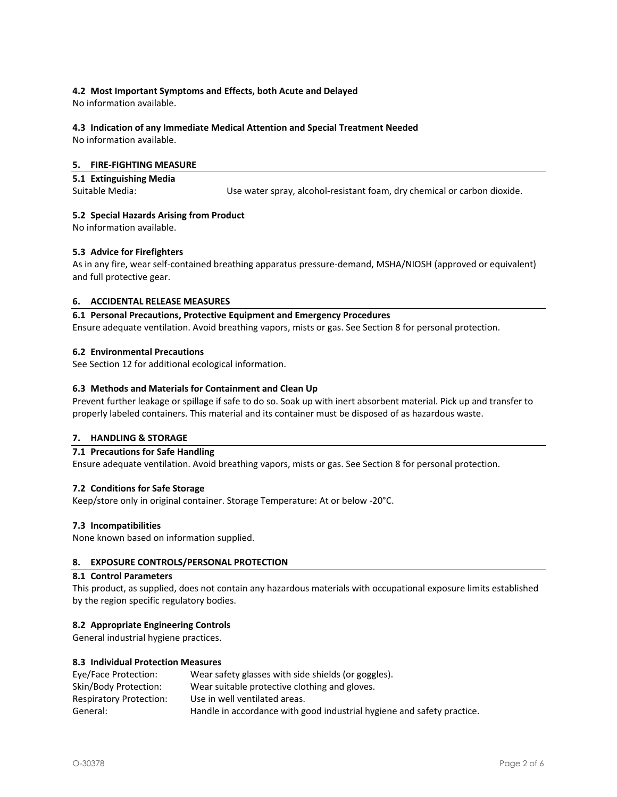No information available.

# **4.3 Indication of any Immediate Medical Attention and Special Treatment Needed**

No information available.

#### **5. FIRE‐FIGHTING MEASURE**

#### **5.1 Extinguishing Media**

Suitable Media: Use water spray, alcohol-resistant foam, dry chemical or carbon dioxide.

#### **5.2 Special Hazards Arising from Product**

No information available.

#### **5.3 Advice for Firefighters**

As in any fire, wear self‐contained breathing apparatus pressure‐demand, MSHA/NIOSH (approved or equivalent) and full protective gear.

#### **6. ACCIDENTAL RELEASE MEASURES**

#### **6.1 Personal Precautions, Protective Equipment and Emergency Procedures**

Ensure adequate ventilation. Avoid breathing vapors, mists or gas. See Section 8 for personal protection.

#### **6.2 Environmental Precautions**

See Section 12 for additional ecological information.

#### **6.3 Methods and Materials for Containment and Clean Up**

Prevent further leakage or spillage if safe to do so. Soak up with inert absorbent material. Pick up and transfer to properly labeled containers. This material and its container must be disposed of as hazardous waste.

#### **7. HANDLING & STORAGE**

#### **7.1 Precautions for Safe Handling**

Ensure adequate ventilation. Avoid breathing vapors, mists or gas. See Section 8 for personal protection.

#### **7.2 Conditions for Safe Storage**

Keep/store only in original container. Storage Temperature: At or below ‐20°C.

#### **7.3 Incompatibilities**

None known based on information supplied.

#### **8. EXPOSURE CONTROLS/PERSONAL PROTECTION**

#### **8.1 Control Parameters**

This product, as supplied, does not contain any hazardous materials with occupational exposure limits established by the region specific regulatory bodies.

#### **8.2 Appropriate Engineering Controls**

General industrial hygiene practices.

| Eye/Face Protection:           | Wear safety glasses with side shields (or goggles).                    |
|--------------------------------|------------------------------------------------------------------------|
| Skin/Body Protection:          | Wear suitable protective clothing and gloves.                          |
| <b>Respiratory Protection:</b> | Use in well ventilated areas.                                          |
| General:                       | Handle in accordance with good industrial hygiene and safety practice. |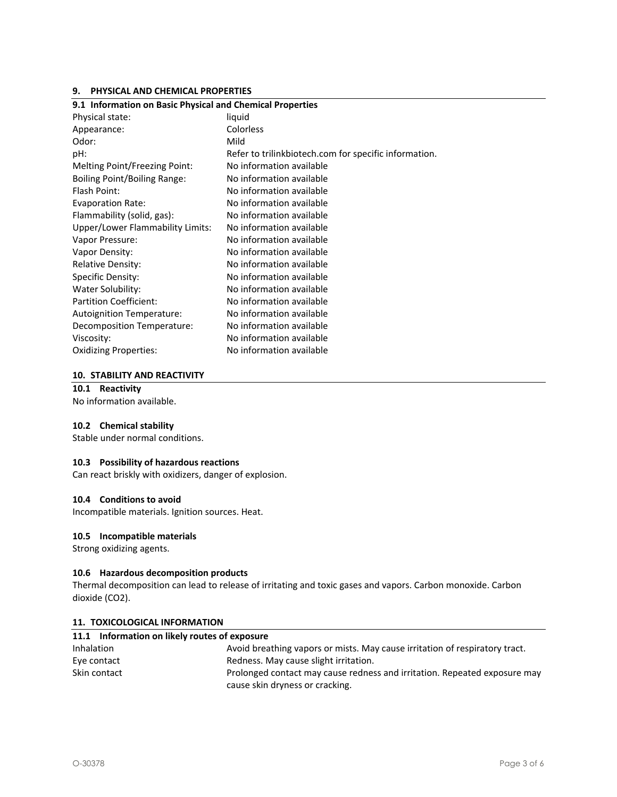| 9.1 Information on Basic Physical and Chemical Properties |                                                       |  |
|-----------------------------------------------------------|-------------------------------------------------------|--|
| Physical state:                                           | liquid                                                |  |
| Appearance:                                               | Colorless                                             |  |
| Odor:                                                     | Mild                                                  |  |
| pH:                                                       | Refer to trilinkbiotech.com for specific information. |  |
| Melting Point/Freezing Point:                             | No information available                              |  |
| Boiling Point/Boiling Range:                              | No information available                              |  |
| Flash Point:                                              | No information available                              |  |
| <b>Evaporation Rate:</b>                                  | No information available                              |  |
| Flammability (solid, gas):                                | No information available                              |  |
| Upper/Lower Flammability Limits:                          | No information available                              |  |
| Vapor Pressure:                                           | No information available                              |  |
| Vapor Density:                                            | No information available                              |  |
| <b>Relative Density:</b>                                  | No information available                              |  |
| Specific Density:                                         | No information available                              |  |
| Water Solubility:                                         | No information available                              |  |
| <b>Partition Coefficient:</b>                             | No information available                              |  |
| Autoignition Temperature:                                 | No information available                              |  |
| Decomposition Temperature:                                | No information available                              |  |
| Viscosity:                                                | No information available                              |  |
| <b>Oxidizing Properties:</b>                              | No information available                              |  |

#### **10. STABILITY AND REACTIVITY**

**10.1 Reactivity** No information available.

#### **10.2 Chemical stability**

Stable under normal conditions.

#### **10.3 Possibility of hazardous reactions**

Can react briskly with oxidizers, danger of explosion.

#### **10.4 Conditions to avoid**

Incompatible materials. Ignition sources. Heat.

#### **10.5 Incompatible materials**

Strong oxidizing agents.

#### **10.6 Hazardous decomposition products**

Thermal decomposition can lead to release of irritating and toxic gases and vapors. Carbon monoxide. Carbon dioxide (CO2).

#### **11. TOXICOLOGICAL INFORMATION 11.1 Information on likely routes of exposure**

| Inhalation   | Avoid breathing vapors or mists. May cause irritation of respiratory tract. |
|--------------|-----------------------------------------------------------------------------|
| Eye contact  | Redness. May cause slight irritation.                                       |
| Skin contact | Prolonged contact may cause redness and irritation. Repeated exposure may   |
|              | cause skin dryness or cracking.                                             |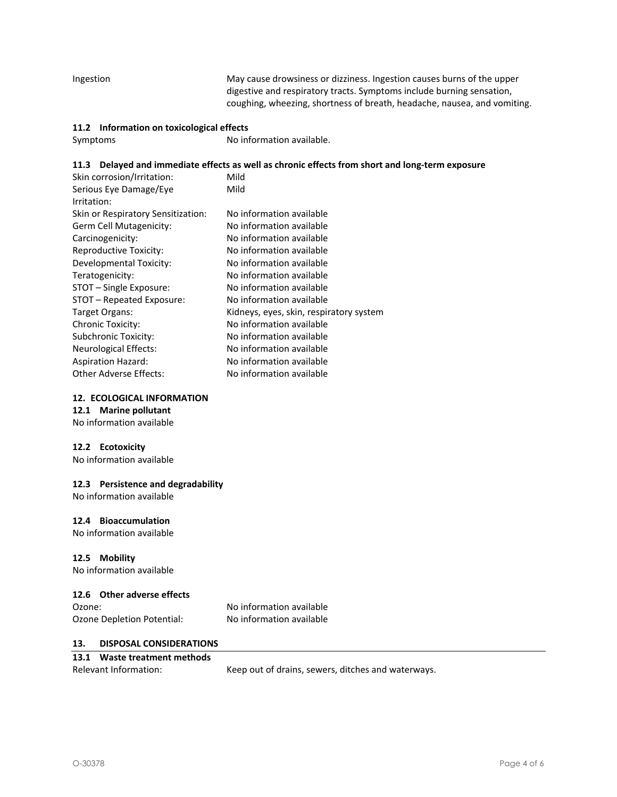#### **11.2 Information on toxicological effects**

| Symptoms | No information available. |
|----------|---------------------------|
|          |                           |

#### **11.3 Delayed and immediate effects as well as chronic effects from short and long‐term exposure**

| Mild                                    |
|-----------------------------------------|
| Mild                                    |
|                                         |
| No information available                |
| No information available                |
| No information available                |
| No information available                |
| No information available                |
| No information available                |
| No information available                |
| No information available                |
| Kidneys, eyes, skin, respiratory system |
| No information available                |
| No information available                |
| No information available                |
| No information available                |
| No information available                |
|                                         |

#### **12. ECOLOGICAL INFORMATION**

#### **12.1 Marine pollutant**

No information available

#### **12.2 Ecotoxicity**

No information available

#### **12.3 Persistence and degradability**

No information available

#### **12.4 Bioaccumulation**

No information available

#### **12.5 Mobility**

No information available

# **12.6 Other adverse effects** Ozone Depletion Potential: No information available

No information available

### **13. DISPOSAL CONSIDERATIONS**

### **13.1 Waste treatment methods**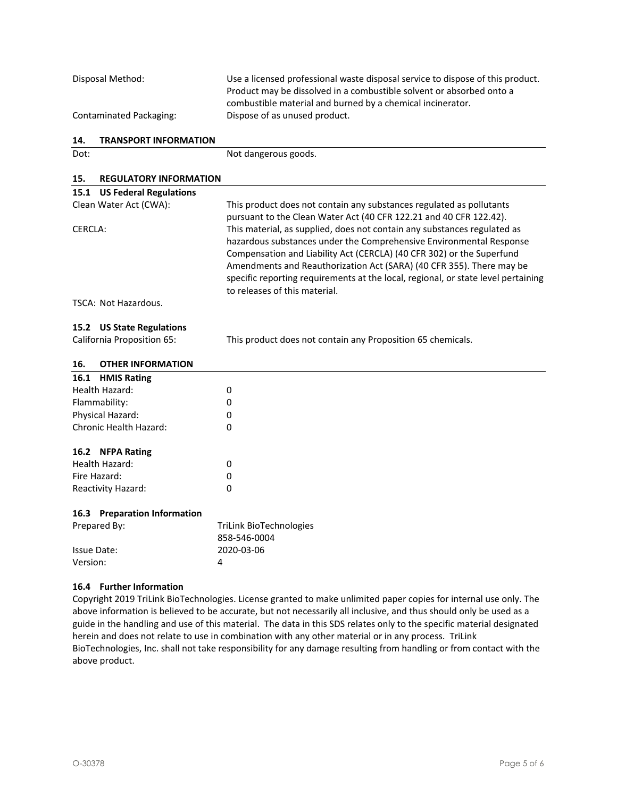|                | Disposal Method:                  | Use a licensed professional waste disposal service to dispose of this product.<br>Product may be dissolved in a combustible solvent or absorbed onto a<br>combustible material and burned by a chemical incinerator.                                                                                                                                                                                                   |
|----------------|-----------------------------------|------------------------------------------------------------------------------------------------------------------------------------------------------------------------------------------------------------------------------------------------------------------------------------------------------------------------------------------------------------------------------------------------------------------------|
|                | <b>Contaminated Packaging:</b>    | Dispose of as unused product.                                                                                                                                                                                                                                                                                                                                                                                          |
| 14.            | <b>TRANSPORT INFORMATION</b>      |                                                                                                                                                                                                                                                                                                                                                                                                                        |
| Dot:           |                                   | Not dangerous goods.                                                                                                                                                                                                                                                                                                                                                                                                   |
| 15.            | <b>REGULATORY INFORMATION</b>     |                                                                                                                                                                                                                                                                                                                                                                                                                        |
|                | 15.1 US Federal Regulations       |                                                                                                                                                                                                                                                                                                                                                                                                                        |
|                | Clean Water Act (CWA):            | This product does not contain any substances regulated as pollutants<br>pursuant to the Clean Water Act (40 CFR 122.21 and 40 CFR 122.42).                                                                                                                                                                                                                                                                             |
| <b>CERCLA:</b> |                                   | This material, as supplied, does not contain any substances regulated as<br>hazardous substances under the Comprehensive Environmental Response<br>Compensation and Liability Act (CERCLA) (40 CFR 302) or the Superfund<br>Amendments and Reauthorization Act (SARA) (40 CFR 355). There may be<br>specific reporting requirements at the local, regional, or state level pertaining<br>to releases of this material. |
|                | TSCA: Not Hazardous.              |                                                                                                                                                                                                                                                                                                                                                                                                                        |
|                | 15.2 US State Regulations         |                                                                                                                                                                                                                                                                                                                                                                                                                        |
|                | <b>California Proposition 65:</b> | This product does not contain any Proposition 65 chemicals.                                                                                                                                                                                                                                                                                                                                                            |
| 16.            | <b>OTHER INFORMATION</b>          |                                                                                                                                                                                                                                                                                                                                                                                                                        |
|                | 16.1 HMIS Rating                  |                                                                                                                                                                                                                                                                                                                                                                                                                        |
|                | Health Hazard:                    | 0                                                                                                                                                                                                                                                                                                                                                                                                                      |
|                | Flammability:                     | 0                                                                                                                                                                                                                                                                                                                                                                                                                      |
|                | Physical Hazard:                  | 0                                                                                                                                                                                                                                                                                                                                                                                                                      |
|                | <b>Chronic Health Hazard:</b>     | 0                                                                                                                                                                                                                                                                                                                                                                                                                      |
|                | 16.2 NFPA Rating                  |                                                                                                                                                                                                                                                                                                                                                                                                                        |
|                | Health Hazard:                    | 0                                                                                                                                                                                                                                                                                                                                                                                                                      |
|                | Fire Hazard:                      | 0                                                                                                                                                                                                                                                                                                                                                                                                                      |
|                | Reactivity Hazard:                | 0                                                                                                                                                                                                                                                                                                                                                                                                                      |
|                | 16.3 Preparation Information      |                                                                                                                                                                                                                                                                                                                                                                                                                        |
|                | Prepared By:                      | TriLink BioTechnologies                                                                                                                                                                                                                                                                                                                                                                                                |
|                |                                   | 858-546-0004                                                                                                                                                                                                                                                                                                                                                                                                           |
| Issue Date:    |                                   | 2020-03-06                                                                                                                                                                                                                                                                                                                                                                                                             |
| Version:       | 4                                 |                                                                                                                                                                                                                                                                                                                                                                                                                        |
|                | 16.4 Further Information          |                                                                                                                                                                                                                                                                                                                                                                                                                        |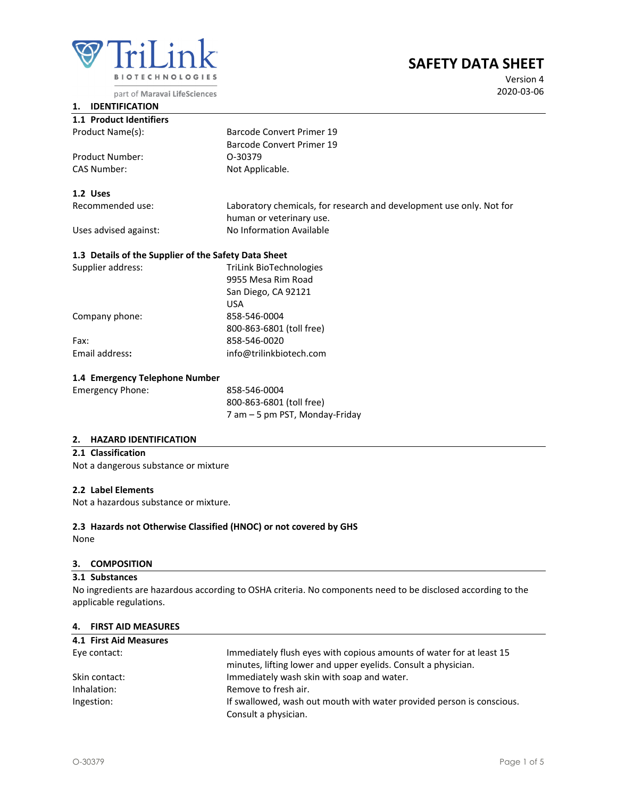

#### **1. IDENTIFICATION**

Version 4 2020‐03‐06

| 1.1 Product Identifiers                              |                                                                      |
|------------------------------------------------------|----------------------------------------------------------------------|
| Product Name(s):                                     | Barcode Convert Primer 19                                            |
|                                                      | Barcode Convert Primer 19                                            |
| <b>Product Number:</b>                               | 0-30379                                                              |
| <b>CAS Number:</b>                                   | Not Applicable.                                                      |
| 1.2 Uses                                             |                                                                      |
| Recommended use:                                     | Laboratory chemicals, for research and development use only. Not for |
|                                                      | human or veterinary use.                                             |
| Uses advised against:                                | No Information Available                                             |
| 1.3 Details of the Supplier of the Safety Data Sheet |                                                                      |
| Supplier address:                                    | TriLink BioTechnologies                                              |
|                                                      | 9955 Mesa Rim Road                                                   |
|                                                      | San Diego, CA 92121                                                  |
|                                                      | <b>USA</b>                                                           |
| Company phone:                                       | 858-546-0004                                                         |
|                                                      | 800-863-6801 (toll free)                                             |
| Fax:                                                 | 858-546-0020                                                         |
| Email address:                                       | info@trilinkbiotech.com                                              |
|                                                      |                                                                      |

#### **1.4 Emergency Telephone Number**

Emergency Phone: 858‐546‐0004

 800‐863‐6801 (toll free) 7 am – 5 pm PST, Monday‐Friday

#### **2. HAZARD IDENTIFICATION**

#### **2.1 Classification**

Not a dangerous substance or mixture

#### **2.2 Label Elements**

Not a hazardous substance or mixture.

## **2.3 Hazards not Otherwise Classified (HNOC) or not covered by GHS**

None

#### **3. COMPOSITION**

#### **3.1 Substances**

No ingredients are hazardous according to OSHA criteria. No components need to be disclosed according to the applicable regulations.

| <b>4.1 First Aid Measures</b> |                                                                                                                                        |
|-------------------------------|----------------------------------------------------------------------------------------------------------------------------------------|
| Eye contact:                  | Immediately flush eyes with copious amounts of water for at least 15<br>minutes, lifting lower and upper evelids. Consult a physician. |
| Skin contact:                 | Immediately wash skin with soap and water.                                                                                             |
| Inhalation:                   | Remove to fresh air.                                                                                                                   |
| Ingestion:                    | If swallowed, wash out mouth with water provided person is conscious.                                                                  |
|                               | Consult a physician.                                                                                                                   |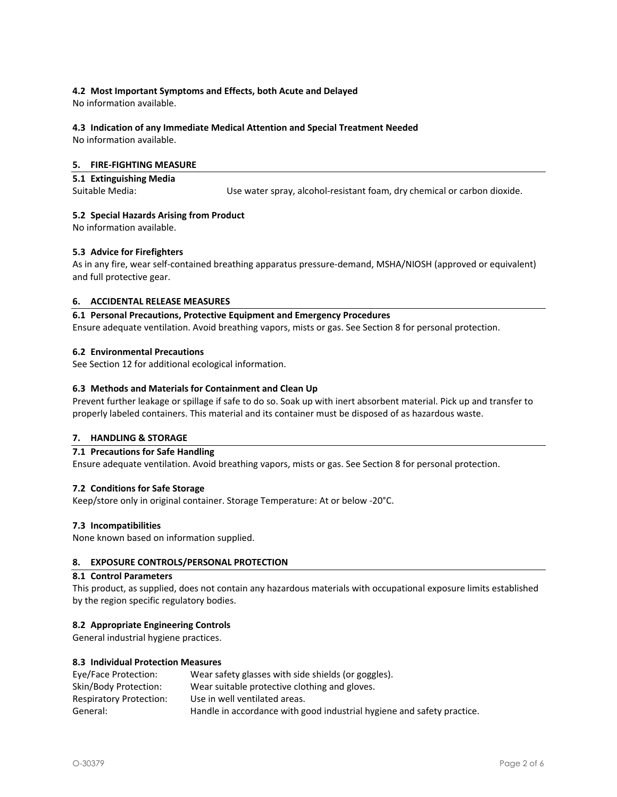No information available.

# **4.3 Indication of any Immediate Medical Attention and Special Treatment Needed**

No information available.

#### **5. FIRE‐FIGHTING MEASURE**

### **5.1 Extinguishing Media**

Suitable Media: Use water spray, alcohol-resistant foam, dry chemical or carbon dioxide.

#### **5.2 Special Hazards Arising from Product**

No information available.

#### **5.3 Advice for Firefighters**

As in any fire, wear self‐contained breathing apparatus pressure‐demand, MSHA/NIOSH (approved or equivalent) and full protective gear.

#### **6. ACCIDENTAL RELEASE MEASURES**

#### **6.1 Personal Precautions, Protective Equipment and Emergency Procedures**

Ensure adequate ventilation. Avoid breathing vapors, mists or gas. See Section 8 for personal protection.

#### **6.2 Environmental Precautions**

See Section 12 for additional ecological information.

#### **6.3 Methods and Materials for Containment and Clean Up**

Prevent further leakage or spillage if safe to do so. Soak up with inert absorbent material. Pick up and transfer to properly labeled containers. This material and its container must be disposed of as hazardous waste.

#### **7. HANDLING & STORAGE**

#### **7.1 Precautions for Safe Handling**

Ensure adequate ventilation. Avoid breathing vapors, mists or gas. See Section 8 for personal protection.

#### **7.2 Conditions for Safe Storage**

Keep/store only in original container. Storage Temperature: At or below ‐20°C.

#### **7.3 Incompatibilities**

None known based on information supplied.

#### **8. EXPOSURE CONTROLS/PERSONAL PROTECTION**

#### **8.1 Control Parameters**

This product, as supplied, does not contain any hazardous materials with occupational exposure limits established by the region specific regulatory bodies.

#### **8.2 Appropriate Engineering Controls**

General industrial hygiene practices.

| Eye/Face Protection:           | Wear safety glasses with side shields (or goggles).                    |
|--------------------------------|------------------------------------------------------------------------|
| Skin/Body Protection:          | Wear suitable protective clothing and gloves.                          |
| <b>Respiratory Protection:</b> | Use in well ventilated areas.                                          |
| General:                       | Handle in accordance with good industrial hygiene and safety practice. |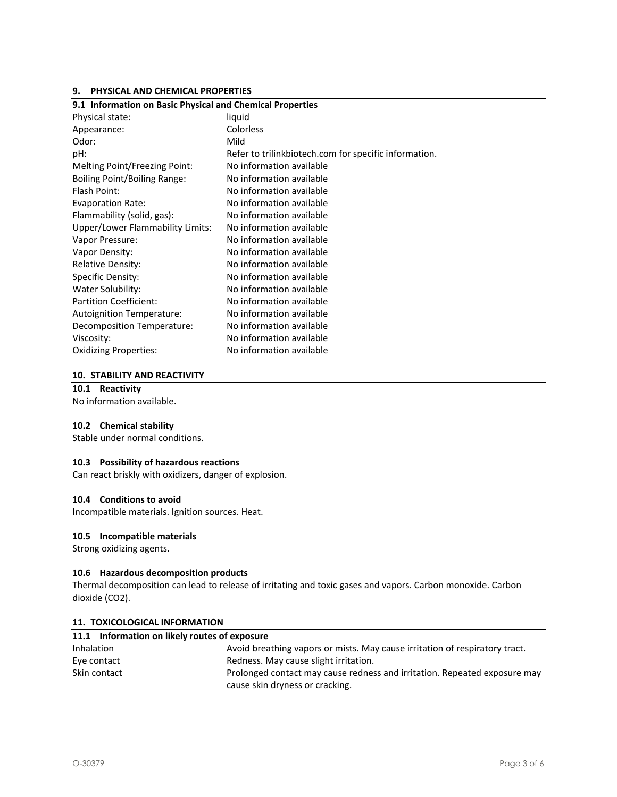| 9.1 Information on Basic Physical and Chemical Properties |                                                       |  |
|-----------------------------------------------------------|-------------------------------------------------------|--|
| Physical state:                                           | liquid                                                |  |
| Appearance:                                               | Colorless                                             |  |
| Odor:                                                     | Mild                                                  |  |
| pH:                                                       | Refer to trilinkbiotech.com for specific information. |  |
| Melting Point/Freezing Point:                             | No information available                              |  |
| <b>Boiling Point/Boiling Range:</b>                       | No information available                              |  |
| Flash Point:                                              | No information available                              |  |
| <b>Evaporation Rate:</b>                                  | No information available                              |  |
| Flammability (solid, gas):                                | No information available                              |  |
| Upper/Lower Flammability Limits:                          | No information available                              |  |
| Vapor Pressure:                                           | No information available                              |  |
| Vapor Density:                                            | No information available                              |  |
| <b>Relative Density:</b>                                  | No information available                              |  |
| Specific Density:                                         | No information available                              |  |
| Water Solubility:                                         | No information available                              |  |
| <b>Partition Coefficient:</b>                             | No information available                              |  |
| Autoignition Temperature:                                 | No information available                              |  |
| Decomposition Temperature:                                | No information available                              |  |
| Viscosity:                                                | No information available                              |  |
| <b>Oxidizing Properties:</b>                              | No information available                              |  |

#### **10. STABILITY AND REACTIVITY**

**10.1 Reactivity** No information available.

#### **10.2 Chemical stability**

Stable under normal conditions.

#### **10.3 Possibility of hazardous reactions**

Can react briskly with oxidizers, danger of explosion.

#### **10.4 Conditions to avoid**

Incompatible materials. Ignition sources. Heat.

#### **10.5 Incompatible materials**

Strong oxidizing agents.

#### **10.6 Hazardous decomposition products**

Thermal decomposition can lead to release of irritating and toxic gases and vapors. Carbon monoxide. Carbon dioxide (CO2).

#### **11. TOXICOLOGICAL INFORMATION 11.1 Information on likely routes of exposure**

| Inhalation   | Avoid breathing vapors or mists. May cause irritation of respiratory tract. |
|--------------|-----------------------------------------------------------------------------|
| Eye contact  | Redness. May cause slight irritation.                                       |
| Skin contact | Prolonged contact may cause redness and irritation. Repeated exposure may   |
|              | cause skin dryness or cracking.                                             |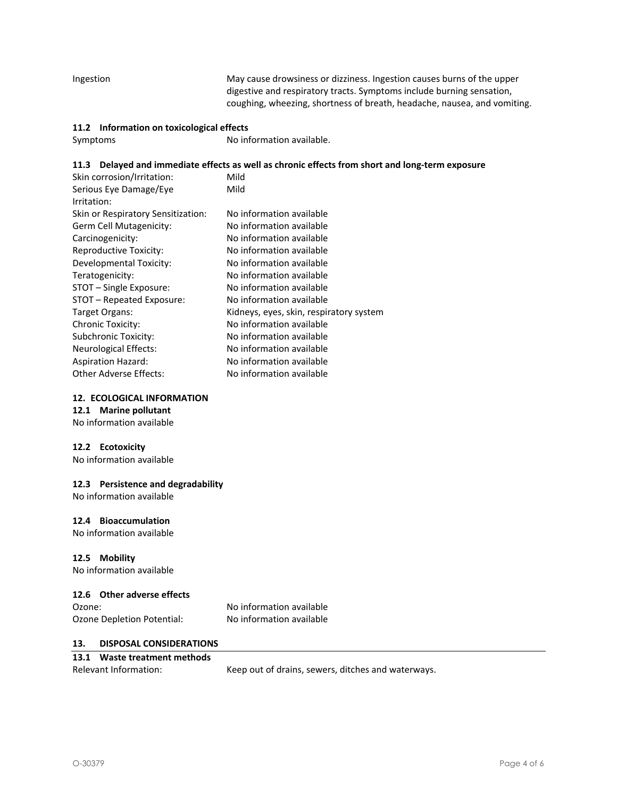#### **11.2 Information on toxicological effects**

| Symptoms | No information available. |
|----------|---------------------------|
|          |                           |

#### **11.3 Delayed and immediate effects as well as chronic effects from short and long‐term exposure**

| Mild                                    |
|-----------------------------------------|
| Mild                                    |
|                                         |
| No information available                |
| No information available                |
| No information available                |
| No information available                |
| No information available                |
| No information available                |
| No information available                |
| No information available                |
| Kidneys, eyes, skin, respiratory system |
| No information available                |
| No information available                |
| No information available                |
| No information available                |
| No information available                |
|                                         |

#### **12. ECOLOGICAL INFORMATION**

#### **12.1 Marine pollutant**

No information available

#### **12.2 Ecotoxicity**

No information available

#### **12.3 Persistence and degradability**

No information available

#### **12.4 Bioaccumulation**

No information available

#### **12.5 Mobility**

No information available

# **12.6 Other adverse effects** Ozone Depletion Potential: No information available

No information available

#### **13. DISPOSAL CONSIDERATIONS**

#### **13.1 Waste treatment methods**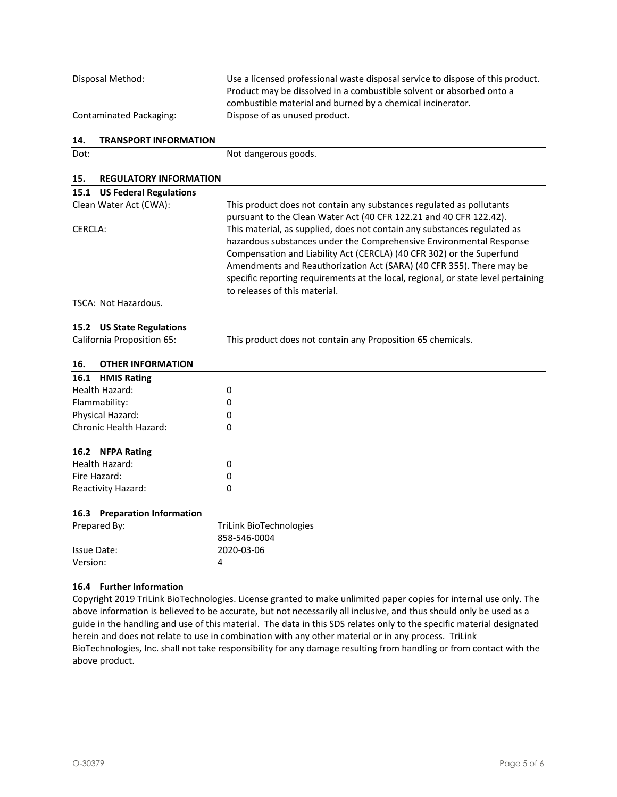|                | Disposal Method:                  | Use a licensed professional waste disposal service to dispose of this product.<br>Product may be dissolved in a combustible solvent or absorbed onto a<br>combustible material and burned by a chemical incinerator.                                                                                                                                                                                                   |
|----------------|-----------------------------------|------------------------------------------------------------------------------------------------------------------------------------------------------------------------------------------------------------------------------------------------------------------------------------------------------------------------------------------------------------------------------------------------------------------------|
|                | <b>Contaminated Packaging:</b>    | Dispose of as unused product.                                                                                                                                                                                                                                                                                                                                                                                          |
| 14.            | <b>TRANSPORT INFORMATION</b>      |                                                                                                                                                                                                                                                                                                                                                                                                                        |
| Dot:           |                                   | Not dangerous goods.                                                                                                                                                                                                                                                                                                                                                                                                   |
| 15.            | <b>REGULATORY INFORMATION</b>     |                                                                                                                                                                                                                                                                                                                                                                                                                        |
|                | 15.1 US Federal Regulations       |                                                                                                                                                                                                                                                                                                                                                                                                                        |
|                | Clean Water Act (CWA):            | This product does not contain any substances regulated as pollutants<br>pursuant to the Clean Water Act (40 CFR 122.21 and 40 CFR 122.42).                                                                                                                                                                                                                                                                             |
| <b>CERCLA:</b> |                                   | This material, as supplied, does not contain any substances regulated as<br>hazardous substances under the Comprehensive Environmental Response<br>Compensation and Liability Act (CERCLA) (40 CFR 302) or the Superfund<br>Amendments and Reauthorization Act (SARA) (40 CFR 355). There may be<br>specific reporting requirements at the local, regional, or state level pertaining<br>to releases of this material. |
|                | TSCA: Not Hazardous.              |                                                                                                                                                                                                                                                                                                                                                                                                                        |
|                | 15.2 US State Regulations         |                                                                                                                                                                                                                                                                                                                                                                                                                        |
|                | <b>California Proposition 65:</b> | This product does not contain any Proposition 65 chemicals.                                                                                                                                                                                                                                                                                                                                                            |
| 16.            | <b>OTHER INFORMATION</b>          |                                                                                                                                                                                                                                                                                                                                                                                                                        |
|                | 16.1 HMIS Rating                  |                                                                                                                                                                                                                                                                                                                                                                                                                        |
|                | Health Hazard:                    | 0                                                                                                                                                                                                                                                                                                                                                                                                                      |
|                | Flammability:                     | 0                                                                                                                                                                                                                                                                                                                                                                                                                      |
|                | Physical Hazard:                  | 0                                                                                                                                                                                                                                                                                                                                                                                                                      |
|                | <b>Chronic Health Hazard:</b>     | 0                                                                                                                                                                                                                                                                                                                                                                                                                      |
|                | 16.2 NFPA Rating                  |                                                                                                                                                                                                                                                                                                                                                                                                                        |
|                | Health Hazard:                    | 0                                                                                                                                                                                                                                                                                                                                                                                                                      |
|                | Fire Hazard:                      | 0                                                                                                                                                                                                                                                                                                                                                                                                                      |
|                | Reactivity Hazard:                | 0                                                                                                                                                                                                                                                                                                                                                                                                                      |
|                | 16.3 Preparation Information      |                                                                                                                                                                                                                                                                                                                                                                                                                        |
|                | Prepared By:                      | TriLink BioTechnologies                                                                                                                                                                                                                                                                                                                                                                                                |
|                |                                   | 858-546-0004                                                                                                                                                                                                                                                                                                                                                                                                           |
| Issue Date:    |                                   | 2020-03-06                                                                                                                                                                                                                                                                                                                                                                                                             |
| Version:       | 4                                 |                                                                                                                                                                                                                                                                                                                                                                                                                        |
|                | 16.4 Further Information          |                                                                                                                                                                                                                                                                                                                                                                                                                        |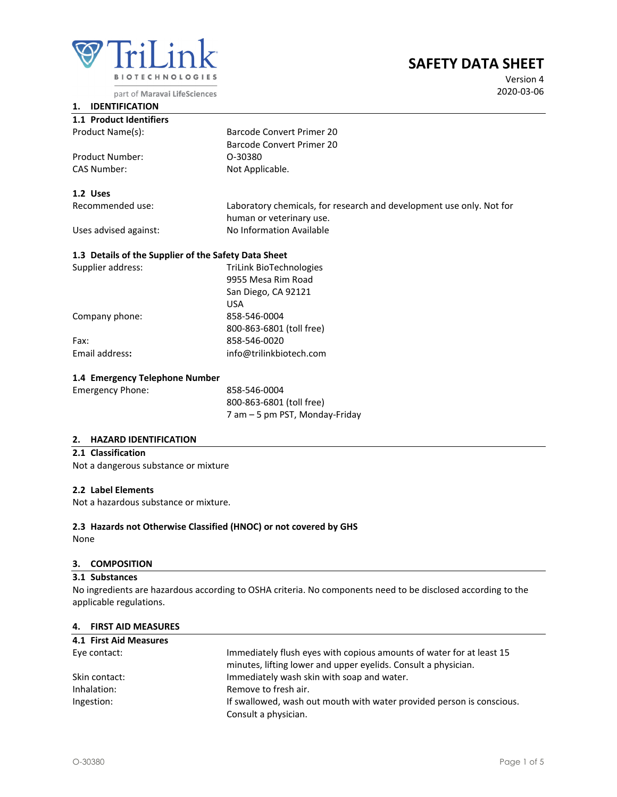

#### **1. IDENTIFICATION 1.1 Product Identifiers**

Version 4 2020‐03‐06

| 1.1 TUUULLIULIILIILIJ                                |                                                                      |
|------------------------------------------------------|----------------------------------------------------------------------|
| Product Name(s):                                     | Barcode Convert Primer 20                                            |
|                                                      | Barcode Convert Primer 20                                            |
| Product Number:                                      | 0-30380                                                              |
| <b>CAS Number:</b>                                   | Not Applicable.                                                      |
| 1.2 Uses                                             |                                                                      |
| Recommended use:                                     | Laboratory chemicals, for research and development use only. Not for |
|                                                      | human or veterinary use.                                             |
| Uses advised against:                                | No Information Available                                             |
| 1.3 Details of the Supplier of the Safety Data Sheet |                                                                      |
| Supplier address:                                    | TriLink BioTechnologies                                              |
|                                                      | 9955 Mesa Rim Road                                                   |
|                                                      | San Diego, CA 92121                                                  |
|                                                      | <b>USA</b>                                                           |
| Company phone:                                       | 858-546-0004                                                         |
|                                                      | 800-863-6801 (toll free)                                             |
| Fax:                                                 | 858-546-0020                                                         |
| Email address:                                       | info@trilinkbiotech.com                                              |
|                                                      |                                                                      |

#### **1.4 Emergency Telephone Number**

Emergency Phone: 858‐546‐0004

 800‐863‐6801 (toll free) 7 am – 5 pm PST, Monday‐Friday

#### **2. HAZARD IDENTIFICATION**

#### **2.1 Classification**

Not a dangerous substance or mixture

#### **2.2 Label Elements**

Not a hazardous substance or mixture.

## **2.3 Hazards not Otherwise Classified (HNOC) or not covered by GHS**

None

#### **3. COMPOSITION**

#### **3.1 Substances**

No ingredients are hazardous according to OSHA criteria. No components need to be disclosed according to the applicable regulations.

| <b>4.1 First Aid Measures</b> |                                                                                                                                        |
|-------------------------------|----------------------------------------------------------------------------------------------------------------------------------------|
| Eye contact:                  | Immediately flush eyes with copious amounts of water for at least 15<br>minutes, lifting lower and upper evelids. Consult a physician. |
| Skin contact:                 | Immediately wash skin with soap and water.                                                                                             |
| Inhalation:                   | Remove to fresh air.                                                                                                                   |
| Ingestion:                    | If swallowed, wash out mouth with water provided person is conscious.                                                                  |
|                               | Consult a physician.                                                                                                                   |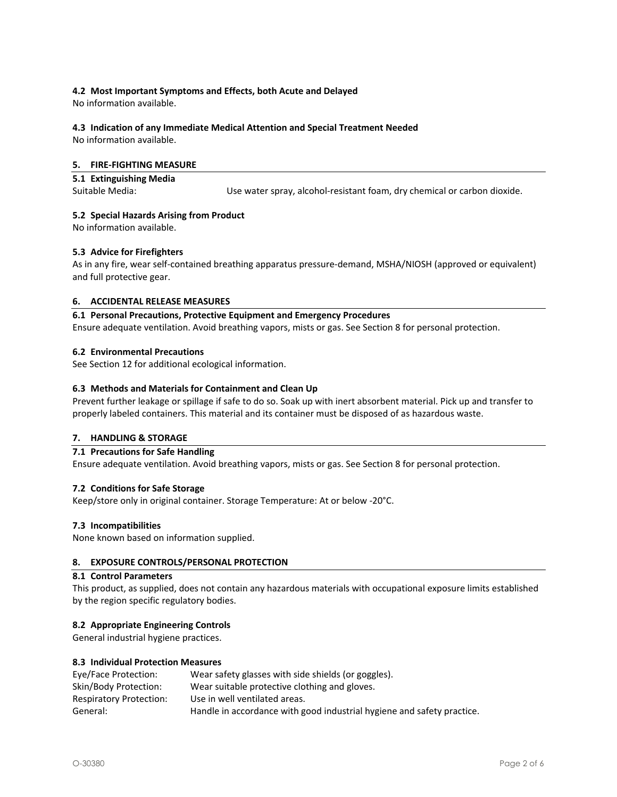No information available.

# **4.3 Indication of any Immediate Medical Attention and Special Treatment Needed**

No information available.

#### **5. FIRE‐FIGHTING MEASURE**

#### **5.1 Extinguishing Media**

Suitable Media: Use water spray, alcohol-resistant foam, dry chemical or carbon dioxide.

#### **5.2 Special Hazards Arising from Product**

No information available.

#### **5.3 Advice for Firefighters**

As in any fire, wear self‐contained breathing apparatus pressure‐demand, MSHA/NIOSH (approved or equivalent) and full protective gear.

#### **6. ACCIDENTAL RELEASE MEASURES**

#### **6.1 Personal Precautions, Protective Equipment and Emergency Procedures**

Ensure adequate ventilation. Avoid breathing vapors, mists or gas. See Section 8 for personal protection.

#### **6.2 Environmental Precautions**

See Section 12 for additional ecological information.

#### **6.3 Methods and Materials for Containment and Clean Up**

Prevent further leakage or spillage if safe to do so. Soak up with inert absorbent material. Pick up and transfer to properly labeled containers. This material and its container must be disposed of as hazardous waste.

#### **7. HANDLING & STORAGE**

#### **7.1 Precautions for Safe Handling**

Ensure adequate ventilation. Avoid breathing vapors, mists or gas. See Section 8 for personal protection.

#### **7.2 Conditions for Safe Storage**

Keep/store only in original container. Storage Temperature: At or below ‐20°C.

#### **7.3 Incompatibilities**

None known based on information supplied.

#### **8. EXPOSURE CONTROLS/PERSONAL PROTECTION**

#### **8.1 Control Parameters**

This product, as supplied, does not contain any hazardous materials with occupational exposure limits established by the region specific regulatory bodies.

#### **8.2 Appropriate Engineering Controls**

General industrial hygiene practices.

| Eye/Face Protection:           | Wear safety glasses with side shields (or goggles).                    |
|--------------------------------|------------------------------------------------------------------------|
| Skin/Body Protection:          | Wear suitable protective clothing and gloves.                          |
| <b>Respiratory Protection:</b> | Use in well ventilated areas.                                          |
| General:                       | Handle in accordance with good industrial hygiene and safety practice. |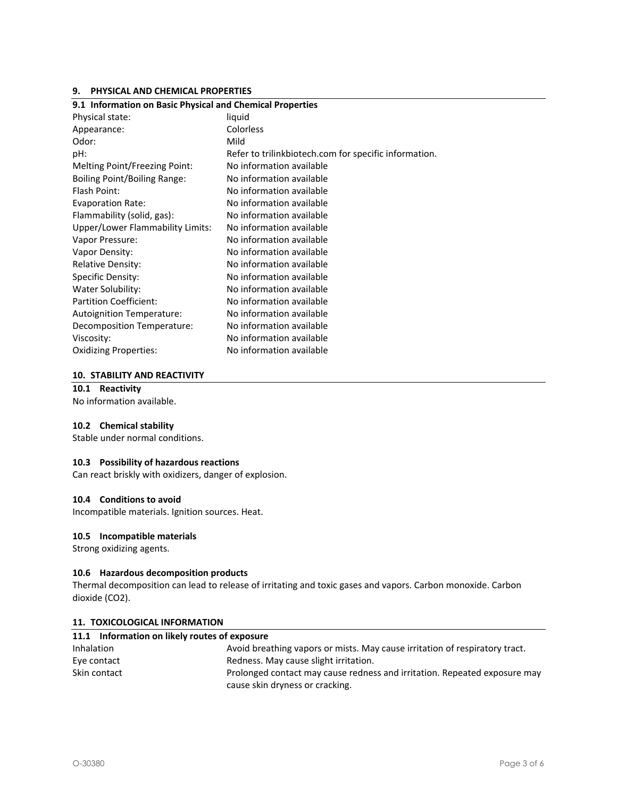| 9.1 Information on Basic Physical and Chemical Properties |                                                       |  |
|-----------------------------------------------------------|-------------------------------------------------------|--|
| Physical state:                                           | liquid                                                |  |
| Appearance:                                               | Colorless                                             |  |
| Odor:                                                     | Mild                                                  |  |
| pH:                                                       | Refer to trilinkbiotech.com for specific information. |  |
| Melting Point/Freezing Point:                             | No information available                              |  |
| <b>Boiling Point/Boiling Range:</b>                       | No information available                              |  |
| Flash Point:                                              | No information available                              |  |
| <b>Evaporation Rate:</b>                                  | No information available                              |  |
| Flammability (solid, gas):                                | No information available                              |  |
| Upper/Lower Flammability Limits:                          | No information available                              |  |
| Vapor Pressure:                                           | No information available                              |  |
| Vapor Density:                                            | No information available                              |  |
| <b>Relative Density:</b>                                  | No information available                              |  |
| Specific Density:                                         | No information available                              |  |
| Water Solubility:                                         | No information available                              |  |
| <b>Partition Coefficient:</b>                             | No information available                              |  |
| Autoignition Temperature:                                 | No information available                              |  |
| Decomposition Temperature:                                | No information available                              |  |
| Viscosity:                                                | No information available                              |  |
| <b>Oxidizing Properties:</b>                              | No information available                              |  |

#### **10. STABILITY AND REACTIVITY**

**10.1 Reactivity** No information available.

#### **10.2 Chemical stability**

Stable under normal conditions.

#### **10.3 Possibility of hazardous reactions**

Can react briskly with oxidizers, danger of explosion.

#### **10.4 Conditions to avoid**

Incompatible materials. Ignition sources. Heat.

#### **10.5 Incompatible materials**

Strong oxidizing agents.

#### **10.6 Hazardous decomposition products**

Thermal decomposition can lead to release of irritating and toxic gases and vapors. Carbon monoxide. Carbon dioxide (CO2).

#### **11. TOXICOLOGICAL INFORMATION 11.1 Information on likely routes of exposure**

| <b>II.I</b> INDITION ON THEIR TOULES OF EXPOSURE |                                                                             |
|--------------------------------------------------|-----------------------------------------------------------------------------|
| Inhalation                                       | Avoid breathing vapors or mists. May cause irritation of respiratory tract. |
| Eye contact                                      | Redness. May cause slight irritation.                                       |
| Skin contact                                     | Prolonged contact may cause redness and irritation. Repeated exposure may   |
|                                                  | cause skin dryness or cracking.                                             |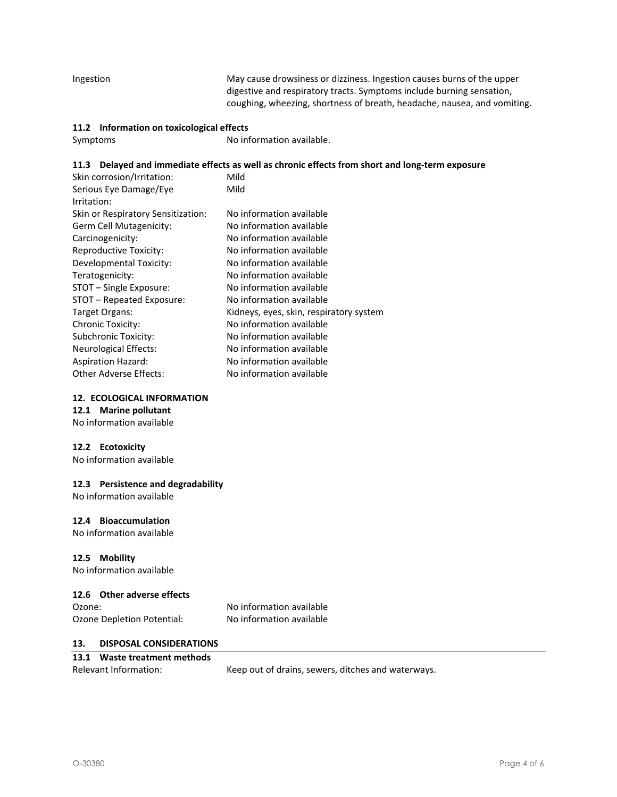#### **11.2 Information on toxicological effects**

| Symptoms | No information available. |
|----------|---------------------------|
|          |                           |

#### **11.3 Delayed and immediate effects as well as chronic effects from short and long‐term exposure**

| Mild                                    |
|-----------------------------------------|
| Mild                                    |
|                                         |
| No information available                |
| No information available                |
| No information available                |
| No information available                |
| No information available                |
| No information available                |
| No information available                |
| No information available                |
| Kidneys, eyes, skin, respiratory system |
| No information available                |
| No information available                |
| No information available                |
| No information available                |
| No information available                |
|                                         |

#### **12. ECOLOGICAL INFORMATION**

#### **12.1 Marine pollutant**

No information available

#### **12.2 Ecotoxicity**

No information available

#### **12.3 Persistence and degradability**

No information available

#### **12.4 Bioaccumulation**

No information available

#### **12.5 Mobility**

No information available

# **12.6 Other adverse effects** Ozone Depletion Potential: No information available

No information available

#### **13. DISPOSAL CONSIDERATIONS**

#### **13.1 Waste treatment methods**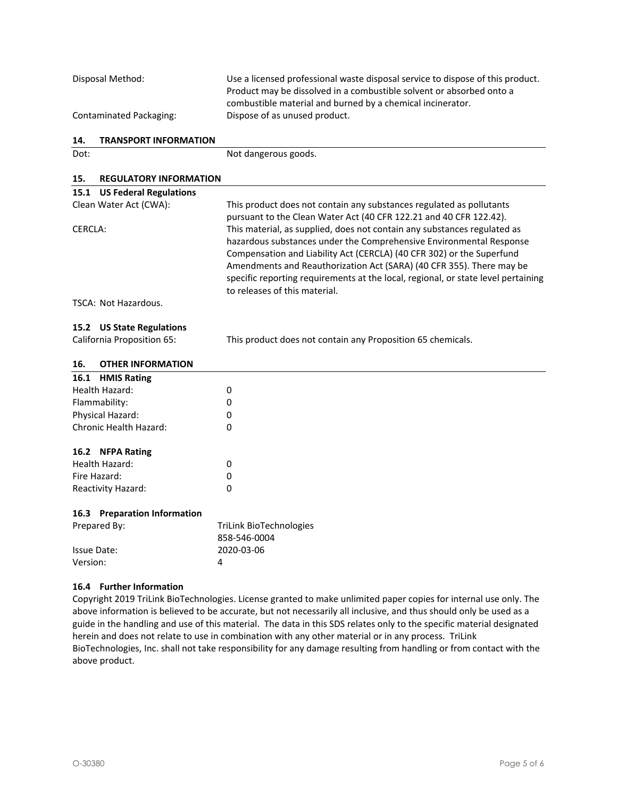| Disposal Method:   |                                                                                                                                                                      | Use a licensed professional waste disposal service to dispose of this product.<br>Product may be dissolved in a combustible solvent or absorbed onto a<br>combustible material and burned by a chemical incinerator.                                                                                                                                                                                                   |  |
|--------------------|----------------------------------------------------------------------------------------------------------------------------------------------------------------------|------------------------------------------------------------------------------------------------------------------------------------------------------------------------------------------------------------------------------------------------------------------------------------------------------------------------------------------------------------------------------------------------------------------------|--|
|                    | <b>Contaminated Packaging:</b>                                                                                                                                       | Dispose of as unused product.                                                                                                                                                                                                                                                                                                                                                                                          |  |
| 14.                | <b>TRANSPORT INFORMATION</b>                                                                                                                                         |                                                                                                                                                                                                                                                                                                                                                                                                                        |  |
| Dot:               |                                                                                                                                                                      | Not dangerous goods.                                                                                                                                                                                                                                                                                                                                                                                                   |  |
| 15.                | <b>REGULATORY INFORMATION</b>                                                                                                                                        |                                                                                                                                                                                                                                                                                                                                                                                                                        |  |
|                    | 15.1 US Federal Regulations                                                                                                                                          |                                                                                                                                                                                                                                                                                                                                                                                                                        |  |
|                    | Clean Water Act (CWA):<br>This product does not contain any substances regulated as pollutants<br>pursuant to the Clean Water Act (40 CFR 122.21 and 40 CFR 122.42). |                                                                                                                                                                                                                                                                                                                                                                                                                        |  |
| <b>CERCLA:</b>     |                                                                                                                                                                      | This material, as supplied, does not contain any substances regulated as<br>hazardous substances under the Comprehensive Environmental Response<br>Compensation and Liability Act (CERCLA) (40 CFR 302) or the Superfund<br>Amendments and Reauthorization Act (SARA) (40 CFR 355). There may be<br>specific reporting requirements at the local, regional, or state level pertaining<br>to releases of this material. |  |
|                    | TSCA: Not Hazardous.                                                                                                                                                 |                                                                                                                                                                                                                                                                                                                                                                                                                        |  |
|                    | 15.2 US State Regulations                                                                                                                                            |                                                                                                                                                                                                                                                                                                                                                                                                                        |  |
|                    | <b>California Proposition 65:</b>                                                                                                                                    | This product does not contain any Proposition 65 chemicals.                                                                                                                                                                                                                                                                                                                                                            |  |
| 16.                | <b>OTHER INFORMATION</b>                                                                                                                                             |                                                                                                                                                                                                                                                                                                                                                                                                                        |  |
|                    | 16.1 HMIS Rating                                                                                                                                                     |                                                                                                                                                                                                                                                                                                                                                                                                                        |  |
|                    | Health Hazard:                                                                                                                                                       | 0                                                                                                                                                                                                                                                                                                                                                                                                                      |  |
|                    | Flammability:                                                                                                                                                        | 0                                                                                                                                                                                                                                                                                                                                                                                                                      |  |
|                    | Physical Hazard:                                                                                                                                                     | 0                                                                                                                                                                                                                                                                                                                                                                                                                      |  |
|                    | Chronic Health Hazard:                                                                                                                                               | 0                                                                                                                                                                                                                                                                                                                                                                                                                      |  |
|                    | 16.2 NFPA Rating                                                                                                                                                     |                                                                                                                                                                                                                                                                                                                                                                                                                        |  |
|                    | Health Hazard:                                                                                                                                                       | 0                                                                                                                                                                                                                                                                                                                                                                                                                      |  |
|                    | Fire Hazard:                                                                                                                                                         | 0                                                                                                                                                                                                                                                                                                                                                                                                                      |  |
|                    | Reactivity Hazard:                                                                                                                                                   | 0                                                                                                                                                                                                                                                                                                                                                                                                                      |  |
|                    | 16.3 Preparation Information                                                                                                                                         |                                                                                                                                                                                                                                                                                                                                                                                                                        |  |
|                    | Prepared By:                                                                                                                                                         | TriLink BioTechnologies<br>858-546-0004                                                                                                                                                                                                                                                                                                                                                                                |  |
| <b>Issue Date:</b> |                                                                                                                                                                      | 2020-03-06                                                                                                                                                                                                                                                                                                                                                                                                             |  |
| Version:           |                                                                                                                                                                      | 4                                                                                                                                                                                                                                                                                                                                                                                                                      |  |
|                    |                                                                                                                                                                      |                                                                                                                                                                                                                                                                                                                                                                                                                        |  |

#### **16.4 Further Information**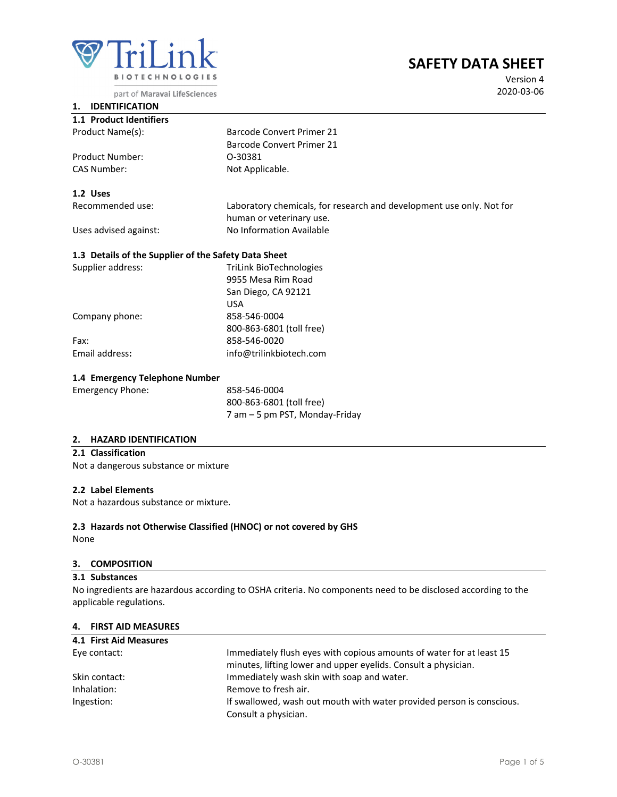

# **SAFETY DATA SHEET**

Version 4 2020‐03‐06

#### **1. IDENTIFICATION**

| 1.1 Product Identifiers                              |                                                                      |
|------------------------------------------------------|----------------------------------------------------------------------|
| Product Name(s):                                     | Barcode Convert Primer 21                                            |
|                                                      | <b>Barcode Convert Primer 21</b>                                     |
| Product Number:                                      | 0-30381                                                              |
| CAS Number:                                          | Not Applicable.                                                      |
| 1.2 Uses                                             |                                                                      |
| Recommended use:                                     | Laboratory chemicals, for research and development use only. Not for |
|                                                      | human or veterinary use.                                             |
| Uses advised against:                                | No Information Available                                             |
| 1.3 Details of the Supplier of the Safety Data Sheet |                                                                      |
| Supplier address:                                    | TriLink BioTechnologies                                              |
|                                                      | 9955 Mesa Rim Road                                                   |
|                                                      | San Diego, CA 92121                                                  |
|                                                      | USA.                                                                 |
| Company phone:                                       | 858-546-0004                                                         |
|                                                      | 800-863-6801 (toll free)                                             |
| Fax:                                                 | 858-546-0020                                                         |
| Email address:                                       | info@trilinkbiotech.com                                              |
|                                                      |                                                                      |

#### **1.4 Emergency Telephone Number**

Emergency Phone: 858‐546‐0004

 800‐863‐6801 (toll free) 7 am – 5 pm PST, Monday‐Friday

#### **2. HAZARD IDENTIFICATION**

#### **2.1 Classification**

Not a dangerous substance or mixture

#### **2.2 Label Elements**

Not a hazardous substance or mixture.

## **2.3 Hazards not Otherwise Classified (HNOC) or not covered by GHS**

None

#### **3. COMPOSITION**

#### **3.1 Substances**

No ingredients are hazardous according to OSHA criteria. No components need to be disclosed according to the applicable regulations.

| <b>4.1 First Aid Measures</b> |                                                                                                                                        |
|-------------------------------|----------------------------------------------------------------------------------------------------------------------------------------|
| Eye contact:                  | Immediately flush eyes with copious amounts of water for at least 15<br>minutes, lifting lower and upper evelids. Consult a physician. |
| Skin contact:                 | Immediately wash skin with soap and water.                                                                                             |
| Inhalation:                   | Remove to fresh air.                                                                                                                   |
| Ingestion:                    | If swallowed, wash out mouth with water provided person is conscious.                                                                  |
|                               | Consult a physician.                                                                                                                   |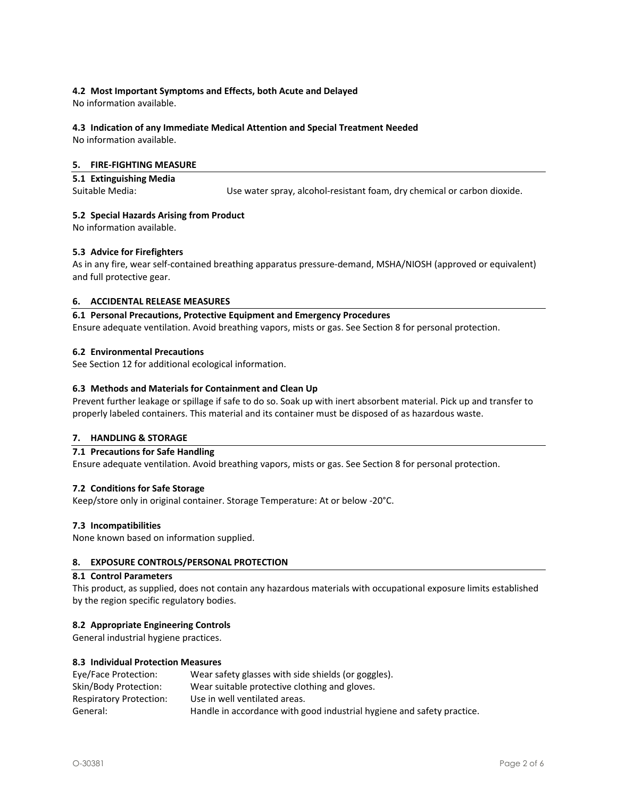No information available.

# **4.3 Indication of any Immediate Medical Attention and Special Treatment Needed**

No information available.

#### **5. FIRE‐FIGHTING MEASURE**

### **5.1 Extinguishing Media**

Suitable Media: Use water spray, alcohol-resistant foam, dry chemical or carbon dioxide.

#### **5.2 Special Hazards Arising from Product**

No information available.

#### **5.3 Advice for Firefighters**

As in any fire, wear self‐contained breathing apparatus pressure‐demand, MSHA/NIOSH (approved or equivalent) and full protective gear.

#### **6. ACCIDENTAL RELEASE MEASURES**

#### **6.1 Personal Precautions, Protective Equipment and Emergency Procedures**

Ensure adequate ventilation. Avoid breathing vapors, mists or gas. See Section 8 for personal protection.

#### **6.2 Environmental Precautions**

See Section 12 for additional ecological information.

#### **6.3 Methods and Materials for Containment and Clean Up**

Prevent further leakage or spillage if safe to do so. Soak up with inert absorbent material. Pick up and transfer to properly labeled containers. This material and its container must be disposed of as hazardous waste.

#### **7. HANDLING & STORAGE**

#### **7.1 Precautions for Safe Handling**

Ensure adequate ventilation. Avoid breathing vapors, mists or gas. See Section 8 for personal protection.

#### **7.2 Conditions for Safe Storage**

Keep/store only in original container. Storage Temperature: At or below ‐20°C.

#### **7.3 Incompatibilities**

None known based on information supplied.

#### **8. EXPOSURE CONTROLS/PERSONAL PROTECTION**

#### **8.1 Control Parameters**

This product, as supplied, does not contain any hazardous materials with occupational exposure limits established by the region specific regulatory bodies.

#### **8.2 Appropriate Engineering Controls**

General industrial hygiene practices.

| Eye/Face Protection:           | Wear safety glasses with side shields (or goggles).                    |
|--------------------------------|------------------------------------------------------------------------|
| Skin/Body Protection:          | Wear suitable protective clothing and gloves.                          |
| <b>Respiratory Protection:</b> | Use in well ventilated areas.                                          |
| General:                       | Handle in accordance with good industrial hygiene and safety practice. |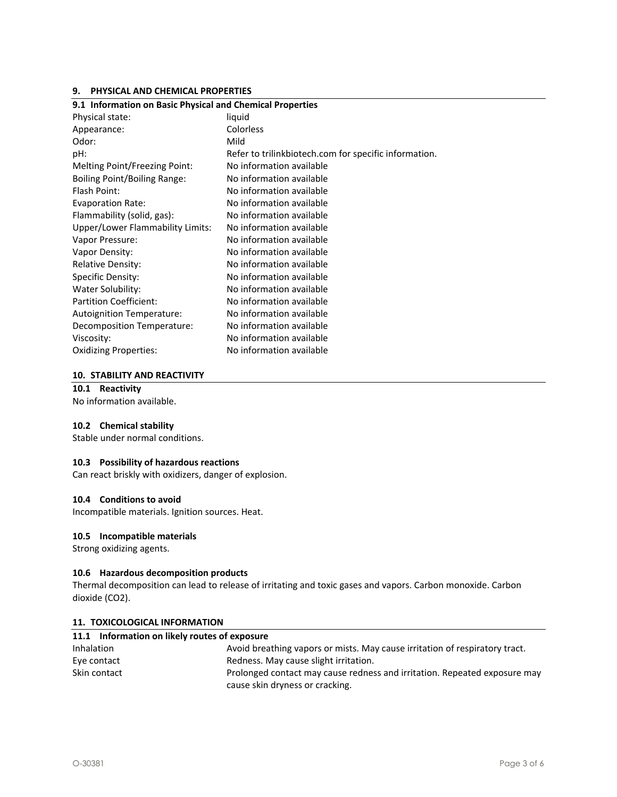| 9.1 Information on Basic Physical and Chemical Properties |                                                       |  |
|-----------------------------------------------------------|-------------------------------------------------------|--|
| Physical state:                                           | liquid                                                |  |
| Appearance:                                               | Colorless                                             |  |
| Odor:                                                     | Mild                                                  |  |
| pH:                                                       | Refer to trilinkbiotech.com for specific information. |  |
| Melting Point/Freezing Point:                             | No information available                              |  |
| <b>Boiling Point/Boiling Range:</b>                       | No information available                              |  |
| Flash Point:                                              | No information available                              |  |
| <b>Evaporation Rate:</b>                                  | No information available                              |  |
| Flammability (solid, gas):                                | No information available                              |  |
| Upper/Lower Flammability Limits:                          | No information available                              |  |
| Vapor Pressure:                                           | No information available                              |  |
| Vapor Density:                                            | No information available                              |  |
| <b>Relative Density:</b>                                  | No information available                              |  |
| Specific Density:                                         | No information available                              |  |
| Water Solubility:                                         | No information available                              |  |
| <b>Partition Coefficient:</b>                             | No information available                              |  |
| Autoignition Temperature:                                 | No information available                              |  |
| Decomposition Temperature:                                | No information available                              |  |
| Viscosity:                                                | No information available                              |  |
| <b>Oxidizing Properties:</b>                              | No information available                              |  |

#### **10. STABILITY AND REACTIVITY**

**10.1 Reactivity** No information available.

#### **10.2 Chemical stability**

Stable under normal conditions.

#### **10.3 Possibility of hazardous reactions**

Can react briskly with oxidizers, danger of explosion.

#### **10.4 Conditions to avoid**

Incompatible materials. Ignition sources. Heat.

#### **10.5 Incompatible materials**

Strong oxidizing agents.

#### **10.6 Hazardous decomposition products**

Thermal decomposition can lead to release of irritating and toxic gases and vapors. Carbon monoxide. Carbon dioxide (CO2).

## **11.1 Information on likely routes of exposure** Inhalation **Avoid breathing vapors or mists. May cause irritation of respiratory tract.** Eye contact **Redness.** May cause slight irritation. Skin contact **Prolonged contact may cause redness and irritation**. Repeated exposure may cause skin dryness or cracking.

#### **11. TOXICOLOGICAL INFORMATION**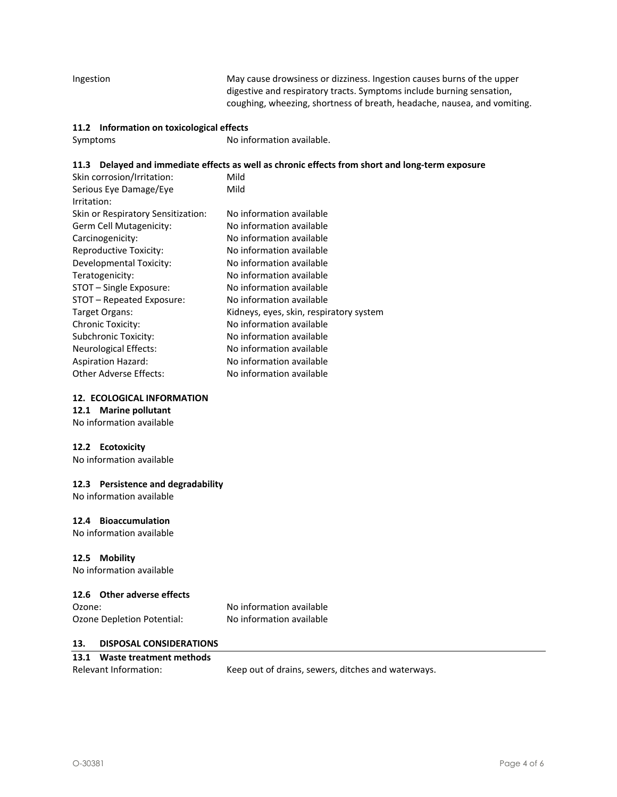#### **11.2 Information on toxicological effects**

| Symptoms | No information available. |
|----------|---------------------------|
|          |                           |

#### **11.3 Delayed and immediate effects as well as chronic effects from short and long‐term exposure**

| Skin corrosion/Irritation:         | Mild                                    |
|------------------------------------|-----------------------------------------|
| Serious Eye Damage/Eye             | Mild                                    |
| Irritation:                        |                                         |
| Skin or Respiratory Sensitization: | No information available                |
| Germ Cell Mutagenicity:            | No information available                |
| Carcinogenicity:                   | No information available                |
| <b>Reproductive Toxicity:</b>      | No information available                |
| Developmental Toxicity:            | No information available                |
| Teratogenicity:                    | No information available                |
| STOT - Single Exposure:            | No information available                |
| STOT - Repeated Exposure:          | No information available                |
| Target Organs:                     | Kidneys, eyes, skin, respiratory system |
| <b>Chronic Toxicity:</b>           | No information available                |
| <b>Subchronic Toxicity:</b>        | No information available                |
| <b>Neurological Effects:</b>       | No information available                |
| <b>Aspiration Hazard:</b>          | No information available                |
| <b>Other Adverse Effects:</b>      | No information available                |
|                                    |                                         |

#### **12. ECOLOGICAL INFORMATION**

#### **12.1 Marine pollutant**

No information available

#### **12.2 Ecotoxicity**

No information available

#### **12.3 Persistence and degradability**

No information available

#### **12.4 Bioaccumulation**

No information available

#### **12.5 Mobility**

No information available

# **12.6 Other adverse effects** Ozone Depletion Potential: No information available

No information available

#### **13. DISPOSAL CONSIDERATIONS**

#### **13.1 Waste treatment methods**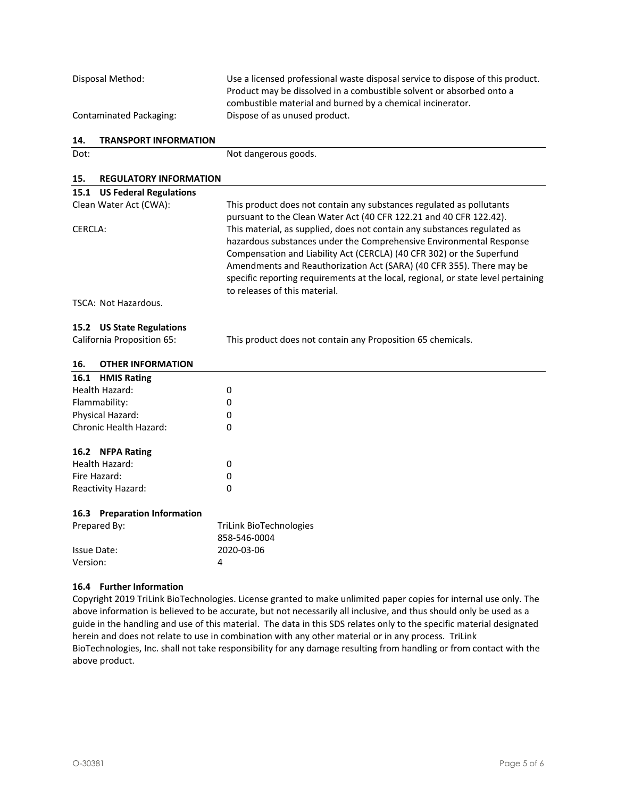|                | Disposal Method:                  | Use a licensed professional waste disposal service to dispose of this product.<br>Product may be dissolved in a combustible solvent or absorbed onto a<br>combustible material and burned by a chemical incinerator.                                                                                                                                                                                                   |
|----------------|-----------------------------------|------------------------------------------------------------------------------------------------------------------------------------------------------------------------------------------------------------------------------------------------------------------------------------------------------------------------------------------------------------------------------------------------------------------------|
|                | <b>Contaminated Packaging:</b>    | Dispose of as unused product.                                                                                                                                                                                                                                                                                                                                                                                          |
| 14.            | <b>TRANSPORT INFORMATION</b>      |                                                                                                                                                                                                                                                                                                                                                                                                                        |
| Dot:           |                                   | Not dangerous goods.                                                                                                                                                                                                                                                                                                                                                                                                   |
| 15.            | <b>REGULATORY INFORMATION</b>     |                                                                                                                                                                                                                                                                                                                                                                                                                        |
|                | 15.1 US Federal Regulations       |                                                                                                                                                                                                                                                                                                                                                                                                                        |
|                | Clean Water Act (CWA):            | This product does not contain any substances regulated as pollutants<br>pursuant to the Clean Water Act (40 CFR 122.21 and 40 CFR 122.42).                                                                                                                                                                                                                                                                             |
| <b>CERCLA:</b> |                                   | This material, as supplied, does not contain any substances regulated as<br>hazardous substances under the Comprehensive Environmental Response<br>Compensation and Liability Act (CERCLA) (40 CFR 302) or the Superfund<br>Amendments and Reauthorization Act (SARA) (40 CFR 355). There may be<br>specific reporting requirements at the local, regional, or state level pertaining<br>to releases of this material. |
|                | TSCA: Not Hazardous.              |                                                                                                                                                                                                                                                                                                                                                                                                                        |
|                | 15.2 US State Regulations         |                                                                                                                                                                                                                                                                                                                                                                                                                        |
|                | <b>California Proposition 65:</b> | This product does not contain any Proposition 65 chemicals.                                                                                                                                                                                                                                                                                                                                                            |
| 16.            | <b>OTHER INFORMATION</b>          |                                                                                                                                                                                                                                                                                                                                                                                                                        |
|                | 16.1 HMIS Rating                  |                                                                                                                                                                                                                                                                                                                                                                                                                        |
|                | Health Hazard:                    | 0                                                                                                                                                                                                                                                                                                                                                                                                                      |
|                | Flammability:                     | 0                                                                                                                                                                                                                                                                                                                                                                                                                      |
|                | Physical Hazard:                  | 0                                                                                                                                                                                                                                                                                                                                                                                                                      |
|                | <b>Chronic Health Hazard:</b>     | 0                                                                                                                                                                                                                                                                                                                                                                                                                      |
|                | 16.2 NFPA Rating                  |                                                                                                                                                                                                                                                                                                                                                                                                                        |
|                | Health Hazard:                    | 0                                                                                                                                                                                                                                                                                                                                                                                                                      |
|                | Fire Hazard:                      | 0                                                                                                                                                                                                                                                                                                                                                                                                                      |
|                | Reactivity Hazard:                | 0                                                                                                                                                                                                                                                                                                                                                                                                                      |
|                | 16.3 Preparation Information      |                                                                                                                                                                                                                                                                                                                                                                                                                        |
| Prepared By:   |                                   | TriLink BioTechnologies                                                                                                                                                                                                                                                                                                                                                                                                |
|                |                                   | 858-546-0004                                                                                                                                                                                                                                                                                                                                                                                                           |
| Issue Date:    |                                   | 2020-03-06                                                                                                                                                                                                                                                                                                                                                                                                             |
| Version:       | 4                                 |                                                                                                                                                                                                                                                                                                                                                                                                                        |
|                | 16.4 Further Information          |                                                                                                                                                                                                                                                                                                                                                                                                                        |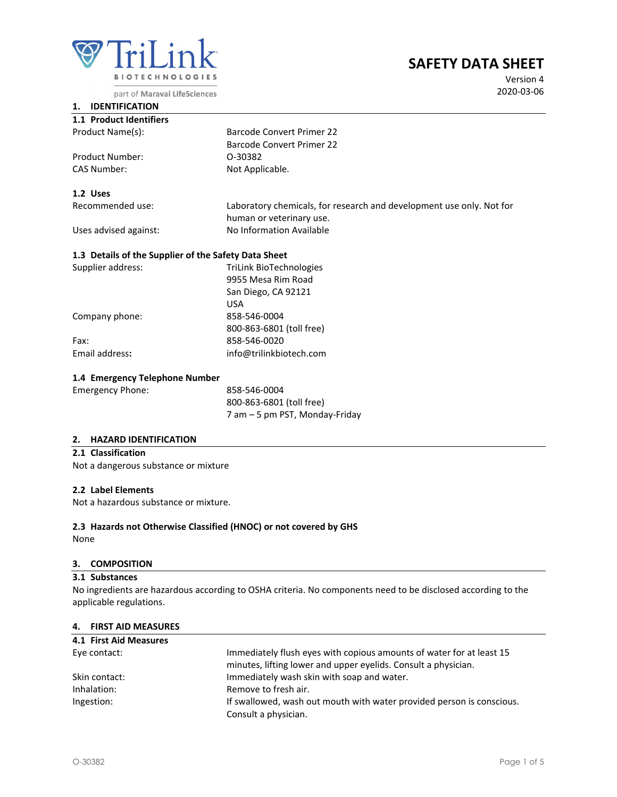

# **SAFETY DATA SHEET**

Version 4 2020‐03‐06

# **1. IDENTIFICATION**

| 1.1 Product Identifiers |                                                      |                                                                      |
|-------------------------|------------------------------------------------------|----------------------------------------------------------------------|
| Product Name(s):        |                                                      | Barcode Convert Primer 22                                            |
|                         |                                                      | Barcode Convert Primer 22                                            |
| Product Number:         |                                                      | 0-30382                                                              |
| <b>CAS Number:</b>      |                                                      | Not Applicable.                                                      |
| 1.2 Uses                |                                                      |                                                                      |
| Recommended use:        |                                                      | Laboratory chemicals, for research and development use only. Not for |
|                         |                                                      | human or veterinary use.                                             |
| Uses advised against:   |                                                      | No Information Available                                             |
|                         | 1.3 Details of the Supplier of the Safety Data Sheet |                                                                      |
| Supplier address:       |                                                      | TriLink BioTechnologies                                              |
|                         |                                                      | 9955 Mesa Rim Road                                                   |
|                         |                                                      | San Diego, CA 92121                                                  |
|                         |                                                      | <b>USA</b>                                                           |
| Company phone:          |                                                      | 858-546-0004                                                         |
|                         |                                                      | 800-863-6801 (toll free)                                             |
| Fax:                    |                                                      | 858-546-0020                                                         |
| Email address:          |                                                      | info@trilinkbiotech.com                                              |
|                         |                                                      |                                                                      |

#### **1.4 Emergency Telephone Number**

Emergency Phone: 858‐546‐0004

 800‐863‐6801 (toll free) 7 am – 5 pm PST, Monday‐Friday

#### **2. HAZARD IDENTIFICATION**

#### **2.1 Classification**

Not a dangerous substance or mixture

#### **2.2 Label Elements**

Not a hazardous substance or mixture.

## **2.3 Hazards not Otherwise Classified (HNOC) or not covered by GHS**

None

#### **3. COMPOSITION**

#### **3.1 Substances**

No ingredients are hazardous according to OSHA criteria. No components need to be disclosed according to the applicable regulations.

| 4.1 First Aid Measures |                                                                                                                                        |
|------------------------|----------------------------------------------------------------------------------------------------------------------------------------|
| Eye contact:           | Immediately flush eyes with copious amounts of water for at least 15<br>minutes, lifting lower and upper evelids. Consult a physician. |
| Skin contact:          | Immediately wash skin with soap and water.                                                                                             |
| Inhalation:            | Remove to fresh air.                                                                                                                   |
| Ingestion:             | If swallowed, wash out mouth with water provided person is conscious.                                                                  |
|                        | Consult a physician.                                                                                                                   |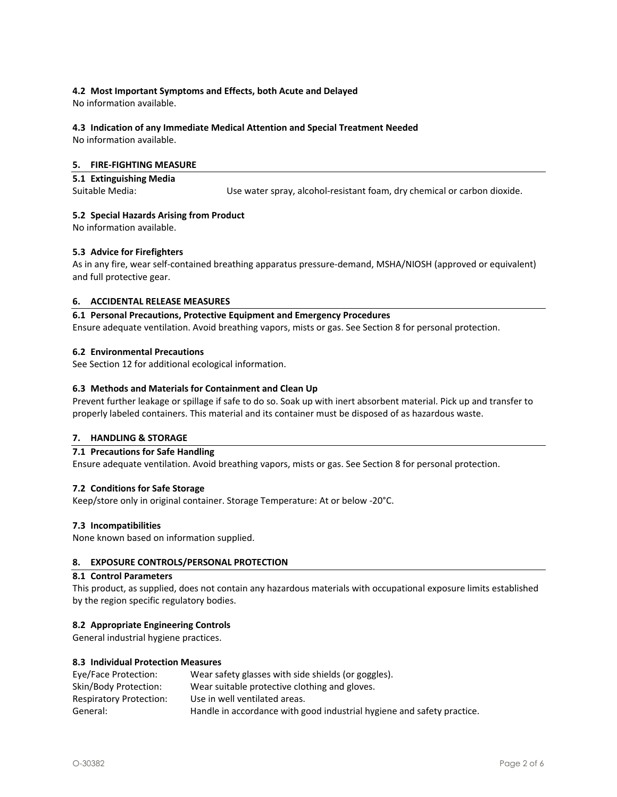No information available.

# **4.3 Indication of any Immediate Medical Attention and Special Treatment Needed**

No information available.

#### **5. FIRE‐FIGHTING MEASURE**

#### **5.1 Extinguishing Media**

Suitable Media: Use water spray, alcohol-resistant foam, dry chemical or carbon dioxide.

#### **5.2 Special Hazards Arising from Product**

No information available.

#### **5.3 Advice for Firefighters**

As in any fire, wear self‐contained breathing apparatus pressure‐demand, MSHA/NIOSH (approved or equivalent) and full protective gear.

#### **6. ACCIDENTAL RELEASE MEASURES**

#### **6.1 Personal Precautions, Protective Equipment and Emergency Procedures**

Ensure adequate ventilation. Avoid breathing vapors, mists or gas. See Section 8 for personal protection.

#### **6.2 Environmental Precautions**

See Section 12 for additional ecological information.

#### **6.3 Methods and Materials for Containment and Clean Up**

Prevent further leakage or spillage if safe to do so. Soak up with inert absorbent material. Pick up and transfer to properly labeled containers. This material and its container must be disposed of as hazardous waste.

#### **7. HANDLING & STORAGE**

#### **7.1 Precautions for Safe Handling**

Ensure adequate ventilation. Avoid breathing vapors, mists or gas. See Section 8 for personal protection.

#### **7.2 Conditions for Safe Storage**

Keep/store only in original container. Storage Temperature: At or below ‐20°C.

#### **7.3 Incompatibilities**

None known based on information supplied.

#### **8. EXPOSURE CONTROLS/PERSONAL PROTECTION**

#### **8.1 Control Parameters**

This product, as supplied, does not contain any hazardous materials with occupational exposure limits established by the region specific regulatory bodies.

#### **8.2 Appropriate Engineering Controls**

General industrial hygiene practices.

| Eye/Face Protection:           | Wear safety glasses with side shields (or goggles).                    |
|--------------------------------|------------------------------------------------------------------------|
| Skin/Body Protection:          | Wear suitable protective clothing and gloves.                          |
| <b>Respiratory Protection:</b> | Use in well ventilated areas.                                          |
| General:                       | Handle in accordance with good industrial hygiene and safety practice. |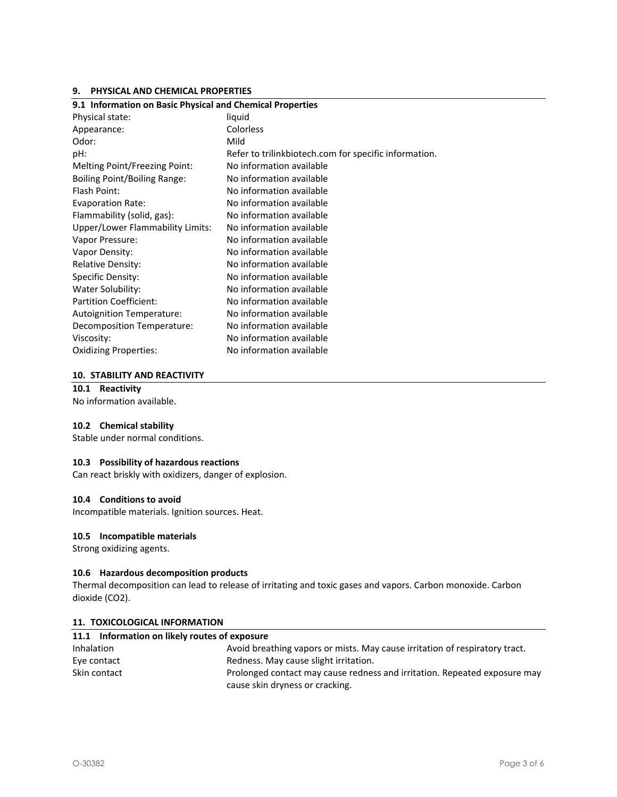| 9.1 Information on Basic Physical and Chemical Properties |                                                       |  |
|-----------------------------------------------------------|-------------------------------------------------------|--|
| Physical state:                                           | liquid                                                |  |
| Appearance:                                               | Colorless                                             |  |
| Odor:                                                     | Mild                                                  |  |
| pH:                                                       | Refer to trilinkbiotech.com for specific information. |  |
| Melting Point/Freezing Point:                             | No information available                              |  |
| <b>Boiling Point/Boiling Range:</b>                       | No information available                              |  |
| Flash Point:                                              | No information available                              |  |
| <b>Evaporation Rate:</b>                                  | No information available                              |  |
| Flammability (solid, gas):                                | No information available                              |  |
| Upper/Lower Flammability Limits:                          | No information available                              |  |
| Vapor Pressure:                                           | No information available                              |  |
| Vapor Density:                                            | No information available                              |  |
| <b>Relative Density:</b>                                  | No information available                              |  |
| Specific Density:                                         | No information available                              |  |
| Water Solubility:                                         | No information available                              |  |
| <b>Partition Coefficient:</b>                             | No information available                              |  |
| Autoignition Temperature:                                 | No information available                              |  |
| Decomposition Temperature:                                | No information available                              |  |
| Viscosity:                                                | No information available                              |  |
| <b>Oxidizing Properties:</b>                              | No information available                              |  |

#### **10. STABILITY AND REACTIVITY**

**10.1 Reactivity** No information available.

#### **10.2 Chemical stability**

Stable under normal conditions.

#### **10.3 Possibility of hazardous reactions**

Can react briskly with oxidizers, danger of explosion.

#### **10.4 Conditions to avoid**

Incompatible materials. Ignition sources. Heat.

#### **10.5 Incompatible materials**

Strong oxidizing agents.

#### **10.6 Hazardous decomposition products**

Thermal decomposition can lead to release of irritating and toxic gases and vapors. Carbon monoxide. Carbon dioxide (CO2).

#### **11. TOXICOLOGICAL INFORMATION 11.1 Information on likely routes of exposure**

| <b>TTIT THISHIMANON ON MACH TOURS OF CAPOSULE</b> |                                                                             |
|---------------------------------------------------|-----------------------------------------------------------------------------|
| Inhalation                                        | Avoid breathing vapors or mists. May cause irritation of respiratory tract. |
| Eye contact                                       | Redness. May cause slight irritation.                                       |
| Skin contact                                      | Prolonged contact may cause redness and irritation. Repeated exposure may   |
|                                                   | cause skin dryness or cracking.                                             |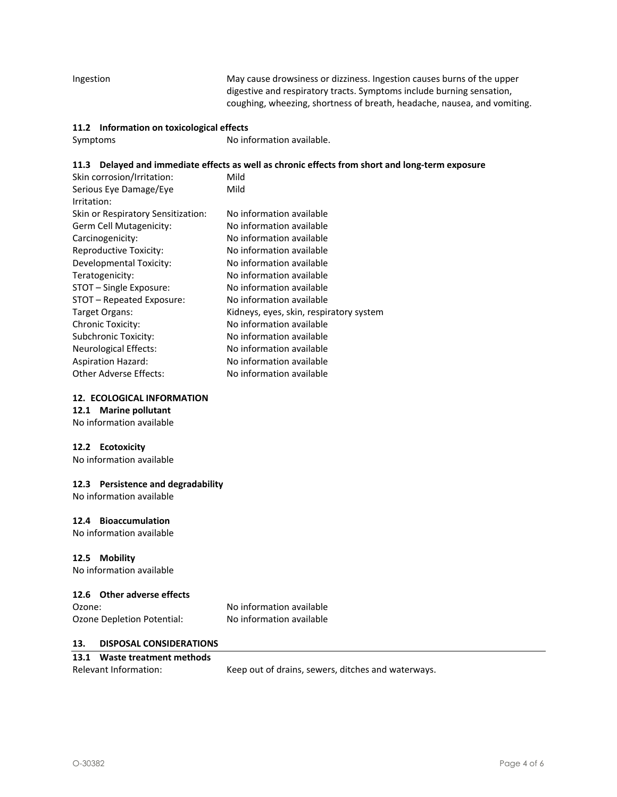#### **11.2 Information on toxicological effects**

| Symptoms | No information available. |
|----------|---------------------------|
|          |                           |

#### **11.3 Delayed and immediate effects as well as chronic effects from short and long‐term exposure**

| Mild                                    |
|-----------------------------------------|
| Mild                                    |
|                                         |
| No information available                |
| No information available                |
| No information available                |
| No information available                |
| No information available                |
| No information available                |
| No information available                |
| No information available                |
| Kidneys, eyes, skin, respiratory system |
| No information available                |
| No information available                |
| No information available                |
| No information available                |
| No information available                |
|                                         |

#### **12. ECOLOGICAL INFORMATION**

#### **12.1 Marine pollutant**

No information available

#### **12.2 Ecotoxicity**

No information available

#### **12.3 Persistence and degradability**

No information available

#### **12.4 Bioaccumulation**

No information available

#### **12.5 Mobility**

No information available

# **12.6 Other adverse effects** Ozone Depletion Potential: No information available

No information available

#### **13. DISPOSAL CONSIDERATIONS**

#### **13.1 Waste treatment methods**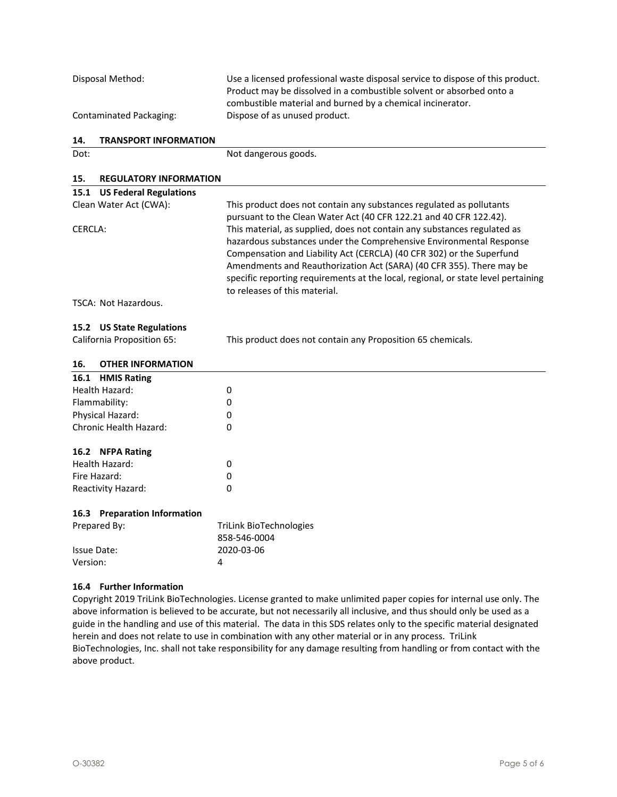|                    | Disposal Method:                  | Use a licensed professional waste disposal service to dispose of this product.<br>Product may be dissolved in a combustible solvent or absorbed onto a<br>combustible material and burned by a chemical incinerator.                                                                                                                                                                                                   |
|--------------------|-----------------------------------|------------------------------------------------------------------------------------------------------------------------------------------------------------------------------------------------------------------------------------------------------------------------------------------------------------------------------------------------------------------------------------------------------------------------|
|                    | <b>Contaminated Packaging:</b>    | Dispose of as unused product.                                                                                                                                                                                                                                                                                                                                                                                          |
| 14.                | <b>TRANSPORT INFORMATION</b>      |                                                                                                                                                                                                                                                                                                                                                                                                                        |
| Dot:               |                                   | Not dangerous goods.                                                                                                                                                                                                                                                                                                                                                                                                   |
| 15.                | <b>REGULATORY INFORMATION</b>     |                                                                                                                                                                                                                                                                                                                                                                                                                        |
|                    | 15.1 US Federal Regulations       |                                                                                                                                                                                                                                                                                                                                                                                                                        |
|                    | Clean Water Act (CWA):            | This product does not contain any substances regulated as pollutants<br>pursuant to the Clean Water Act (40 CFR 122.21 and 40 CFR 122.42).                                                                                                                                                                                                                                                                             |
| <b>CERCLA:</b>     |                                   | This material, as supplied, does not contain any substances regulated as<br>hazardous substances under the Comprehensive Environmental Response<br>Compensation and Liability Act (CERCLA) (40 CFR 302) or the Superfund<br>Amendments and Reauthorization Act (SARA) (40 CFR 355). There may be<br>specific reporting requirements at the local, regional, or state level pertaining<br>to releases of this material. |
|                    | TSCA: Not Hazardous.              |                                                                                                                                                                                                                                                                                                                                                                                                                        |
|                    | 15.2 US State Regulations         |                                                                                                                                                                                                                                                                                                                                                                                                                        |
|                    | <b>California Proposition 65:</b> | This product does not contain any Proposition 65 chemicals.                                                                                                                                                                                                                                                                                                                                                            |
| 16.                | <b>OTHER INFORMATION</b>          |                                                                                                                                                                                                                                                                                                                                                                                                                        |
|                    | 16.1 HMIS Rating                  |                                                                                                                                                                                                                                                                                                                                                                                                                        |
|                    | Health Hazard:                    | 0                                                                                                                                                                                                                                                                                                                                                                                                                      |
|                    | Flammability:                     | 0                                                                                                                                                                                                                                                                                                                                                                                                                      |
|                    | Physical Hazard:                  | 0                                                                                                                                                                                                                                                                                                                                                                                                                      |
|                    | Chronic Health Hazard:            | 0                                                                                                                                                                                                                                                                                                                                                                                                                      |
|                    | 16.2 NFPA Rating                  |                                                                                                                                                                                                                                                                                                                                                                                                                        |
|                    | Health Hazard:                    | 0                                                                                                                                                                                                                                                                                                                                                                                                                      |
|                    | Fire Hazard:                      | 0                                                                                                                                                                                                                                                                                                                                                                                                                      |
|                    | Reactivity Hazard:                | 0                                                                                                                                                                                                                                                                                                                                                                                                                      |
|                    | 16.3 Preparation Information      |                                                                                                                                                                                                                                                                                                                                                                                                                        |
|                    | Prepared By:                      | TriLink BioTechnologies<br>858-546-0004                                                                                                                                                                                                                                                                                                                                                                                |
| <b>Issue Date:</b> |                                   | 2020-03-06                                                                                                                                                                                                                                                                                                                                                                                                             |
| Version:           |                                   | 4                                                                                                                                                                                                                                                                                                                                                                                                                      |
|                    |                                   |                                                                                                                                                                                                                                                                                                                                                                                                                        |

#### **16.4 Further Information**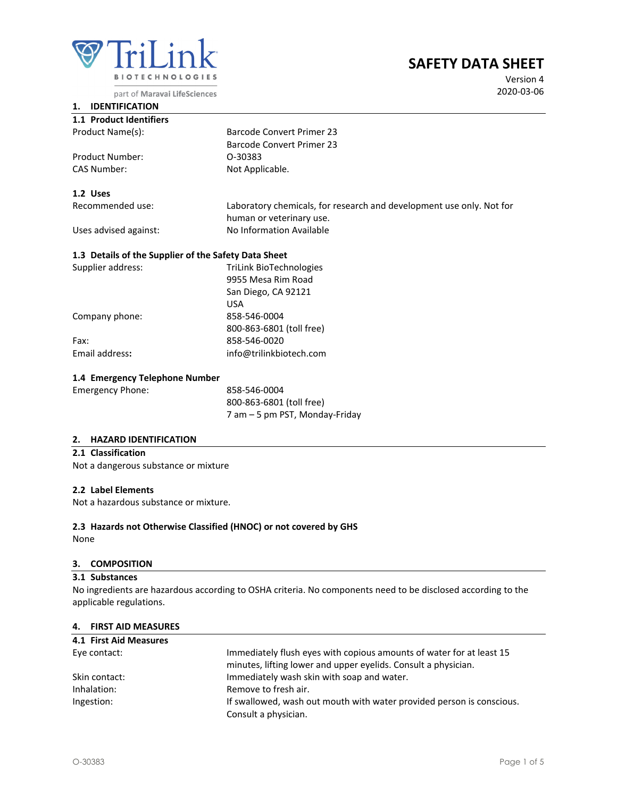

# **SAFETY DATA SHEET**

Version 4 2020‐03‐06

# **1. IDENTIFICATION**

| 1.1 Product Identifiers |                                                                      |
|-------------------------|----------------------------------------------------------------------|
| Product Name(s):        | Barcode Convert Primer 23                                            |
|                         | <b>Barcode Convert Primer 23</b>                                     |
| Product Number:         | 0-30383                                                              |
| <b>CAS Number:</b>      | Not Applicable.                                                      |
| 1.2 Uses                |                                                                      |
| Recommended use:        | Laboratory chemicals, for research and development use only. Not for |
|                         | human or veterinary use.                                             |
| Uses advised against:   | No Information Available                                             |
|                         | 1.3 Details of the Supplier of the Safety Data Sheet                 |
| Supplier address:       | TriLink BioTechnologies                                              |
|                         | 9955 Mesa Rim Road                                                   |
|                         | San Diego, CA 92121                                                  |
|                         | USA.                                                                 |
| Company phone:          | 858-546-0004                                                         |
|                         | 800-863-6801 (toll free)                                             |
| Fax:                    | 858-546-0020                                                         |
| Email address:          | info@trilinkbiotech.com                                              |
|                         |                                                                      |

#### **1.4 Emergency Telephone Number**

Emergency Phone: 858‐546‐0004

 800‐863‐6801 (toll free) 7 am – 5 pm PST, Monday‐Friday

#### **2. HAZARD IDENTIFICATION**

#### **2.1 Classification**

Not a dangerous substance or mixture

#### **2.2 Label Elements**

Not a hazardous substance or mixture.

## **2.3 Hazards not Otherwise Classified (HNOC) or not covered by GHS**

None

#### **3. COMPOSITION**

#### **3.1 Substances**

No ingredients are hazardous according to OSHA criteria. No components need to be disclosed according to the applicable regulations.

| <b>4.1 First Aid Measures</b> |                                                                                                                                        |
|-------------------------------|----------------------------------------------------------------------------------------------------------------------------------------|
| Eye contact:                  | Immediately flush eyes with copious amounts of water for at least 15<br>minutes, lifting lower and upper evelids. Consult a physician. |
| Skin contact:                 | Immediately wash skin with soap and water.                                                                                             |
| Inhalation:                   | Remove to fresh air.                                                                                                                   |
| Ingestion:                    | If swallowed, wash out mouth with water provided person is conscious.                                                                  |
|                               | Consult a physician.                                                                                                                   |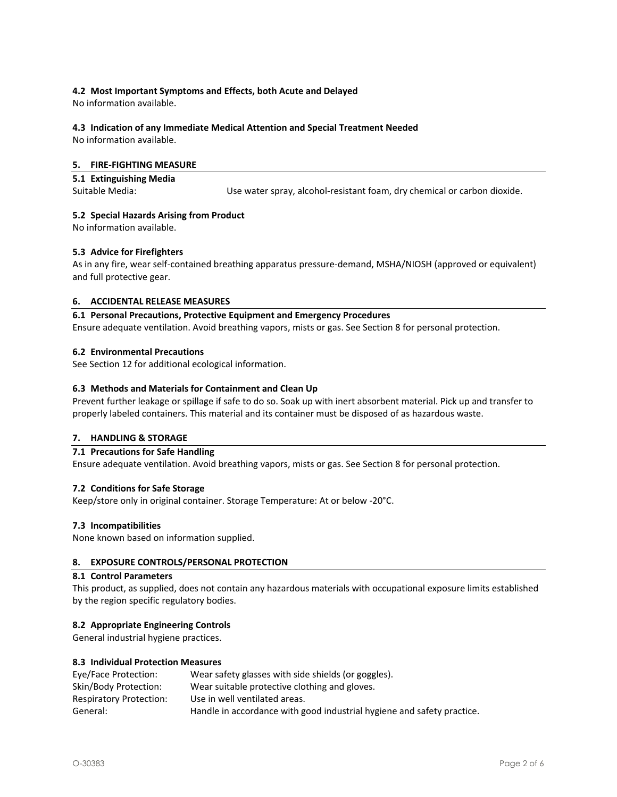No information available.

# **4.3 Indication of any Immediate Medical Attention and Special Treatment Needed**

No information available.

#### **5. FIRE‐FIGHTING MEASURE**

### **5.1 Extinguishing Media**

Suitable Media: Use water spray, alcohol-resistant foam, dry chemical or carbon dioxide.

#### **5.2 Special Hazards Arising from Product**

No information available.

#### **5.3 Advice for Firefighters**

As in any fire, wear self‐contained breathing apparatus pressure‐demand, MSHA/NIOSH (approved or equivalent) and full protective gear.

#### **6. ACCIDENTAL RELEASE MEASURES**

#### **6.1 Personal Precautions, Protective Equipment and Emergency Procedures**

Ensure adequate ventilation. Avoid breathing vapors, mists or gas. See Section 8 for personal protection.

#### **6.2 Environmental Precautions**

See Section 12 for additional ecological information.

#### **6.3 Methods and Materials for Containment and Clean Up**

Prevent further leakage or spillage if safe to do so. Soak up with inert absorbent material. Pick up and transfer to properly labeled containers. This material and its container must be disposed of as hazardous waste.

#### **7. HANDLING & STORAGE**

#### **7.1 Precautions for Safe Handling**

Ensure adequate ventilation. Avoid breathing vapors, mists or gas. See Section 8 for personal protection.

#### **7.2 Conditions for Safe Storage**

Keep/store only in original container. Storage Temperature: At or below ‐20°C.

#### **7.3 Incompatibilities**

None known based on information supplied.

#### **8. EXPOSURE CONTROLS/PERSONAL PROTECTION**

#### **8.1 Control Parameters**

This product, as supplied, does not contain any hazardous materials with occupational exposure limits established by the region specific regulatory bodies.

#### **8.2 Appropriate Engineering Controls**

General industrial hygiene practices.

| Eye/Face Protection:           | Wear safety glasses with side shields (or goggles).                    |
|--------------------------------|------------------------------------------------------------------------|
| Skin/Body Protection:          | Wear suitable protective clothing and gloves.                          |
| <b>Respiratory Protection:</b> | Use in well ventilated areas.                                          |
| General:                       | Handle in accordance with good industrial hygiene and safety practice. |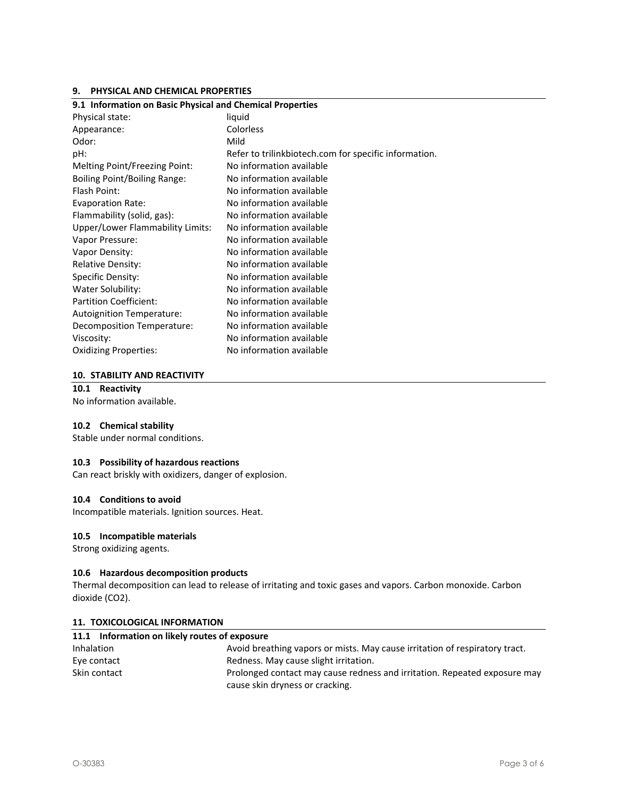| 9.1 Information on Basic Physical and Chemical Properties |                                                       |  |
|-----------------------------------------------------------|-------------------------------------------------------|--|
| Physical state:                                           | liquid                                                |  |
| Appearance:                                               | Colorless                                             |  |
| Odor:                                                     | Mild                                                  |  |
| pH:                                                       | Refer to trilinkbiotech.com for specific information. |  |
| Melting Point/Freezing Point:                             | No information available                              |  |
| <b>Boiling Point/Boiling Range:</b>                       | No information available                              |  |
| Flash Point:                                              | No information available                              |  |
| <b>Evaporation Rate:</b>                                  | No information available                              |  |
| Flammability (solid, gas):                                | No information available                              |  |
| Upper/Lower Flammability Limits:                          | No information available                              |  |
| Vapor Pressure:                                           | No information available                              |  |
| Vapor Density:                                            | No information available                              |  |
| <b>Relative Density:</b>                                  | No information available                              |  |
| Specific Density:                                         | No information available                              |  |
| Water Solubility:                                         | No information available                              |  |
| <b>Partition Coefficient:</b>                             | No information available                              |  |
| Autoignition Temperature:                                 | No information available                              |  |
| Decomposition Temperature:                                | No information available                              |  |
| Viscosity:                                                | No information available                              |  |
| <b>Oxidizing Properties:</b>                              | No information available                              |  |

#### **10. STABILITY AND REACTIVITY**

**10.1 Reactivity** No information available.

#### **10.2 Chemical stability**

Stable under normal conditions.

#### **10.3 Possibility of hazardous reactions**

Can react briskly with oxidizers, danger of explosion.

#### **10.4 Conditions to avoid**

Incompatible materials. Ignition sources. Heat.

#### **10.5 Incompatible materials**

Strong oxidizing agents.

#### **10.6 Hazardous decomposition products**

Thermal decomposition can lead to release of irritating and toxic gases and vapors. Carbon monoxide. Carbon dioxide (CO2).

#### **11. TOXICOLOGICAL INFORMATION 11.1 Information on likely routes of exposure**

| <b>ARABITION INTO THE INTERNATIONAL CAPOSAIC</b> |                                                                             |
|--------------------------------------------------|-----------------------------------------------------------------------------|
| Inhalation                                       | Avoid breathing vapors or mists. May cause irritation of respiratory tract. |
| Eye contact                                      | Redness. May cause slight irritation.                                       |
| Skin contact                                     | Prolonged contact may cause redness and irritation. Repeated exposure may   |
|                                                  | cause skin dryness or cracking.                                             |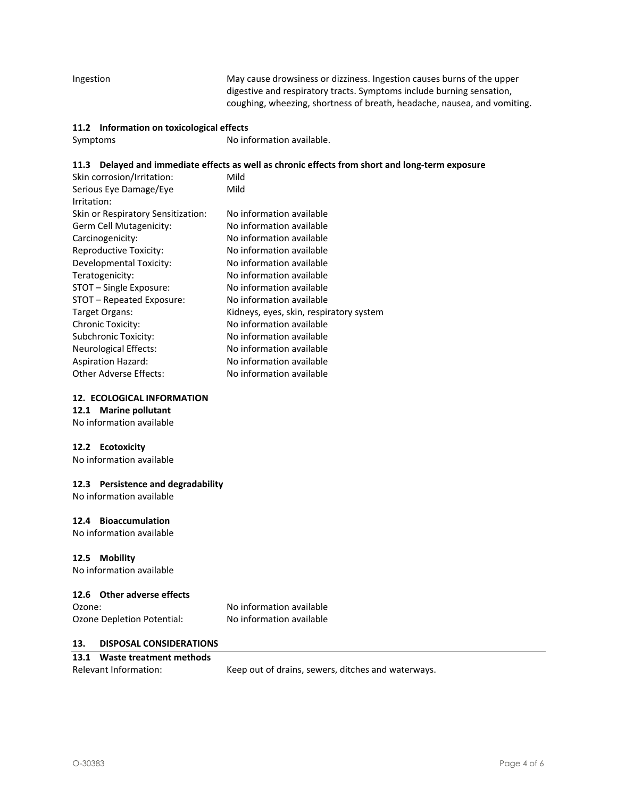#### **11.2 Information on toxicological effects**

| Symptoms | No information available. |
|----------|---------------------------|
|          |                           |

#### **11.3 Delayed and immediate effects as well as chronic effects from short and long‐term exposure**

| Mild                                    |
|-----------------------------------------|
| Mild                                    |
|                                         |
| No information available                |
| No information available                |
| No information available                |
| No information available                |
| No information available                |
| No information available                |
| No information available                |
| No information available                |
| Kidneys, eyes, skin, respiratory system |
| No information available                |
| No information available                |
| No information available                |
| No information available                |
| No information available                |
|                                         |

#### **12. ECOLOGICAL INFORMATION**

### **12.1 Marine pollutant**

No information available

#### **12.2 Ecotoxicity**

No information available

#### **12.3 Persistence and degradability**

No information available

#### **12.4 Bioaccumulation**

No information available

#### **12.5 Mobility**

No information available

# **12.6 Other adverse effects** Ozone Depletion Potential: No information available

No information available

#### **13. DISPOSAL CONSIDERATIONS**

#### **13.1 Waste treatment methods**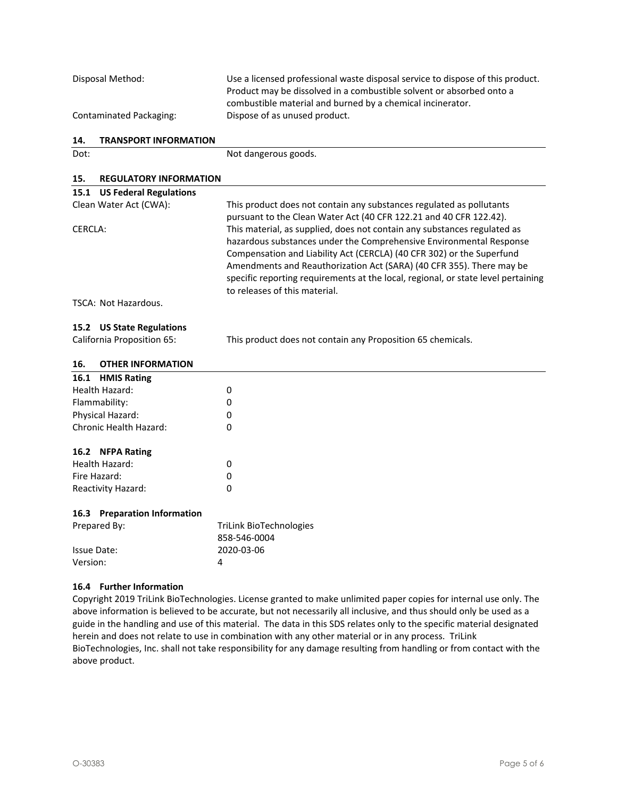|                | Disposal Method:               | Use a licensed professional waste disposal service to dispose of this product.<br>Product may be dissolved in a combustible solvent or absorbed onto a<br>combustible material and burned by a chemical incinerator.                                                                                                                                                                                                   |
|----------------|--------------------------------|------------------------------------------------------------------------------------------------------------------------------------------------------------------------------------------------------------------------------------------------------------------------------------------------------------------------------------------------------------------------------------------------------------------------|
|                | <b>Contaminated Packaging:</b> | Dispose of as unused product.                                                                                                                                                                                                                                                                                                                                                                                          |
| 14.            | <b>TRANSPORT INFORMATION</b>   |                                                                                                                                                                                                                                                                                                                                                                                                                        |
| Dot:           |                                | Not dangerous goods.                                                                                                                                                                                                                                                                                                                                                                                                   |
| 15.            | <b>REGULATORY INFORMATION</b>  |                                                                                                                                                                                                                                                                                                                                                                                                                        |
|                | 15.1 US Federal Regulations    |                                                                                                                                                                                                                                                                                                                                                                                                                        |
|                | Clean Water Act (CWA):         | This product does not contain any substances regulated as pollutants<br>pursuant to the Clean Water Act (40 CFR 122.21 and 40 CFR 122.42).                                                                                                                                                                                                                                                                             |
| <b>CERCLA:</b> |                                | This material, as supplied, does not contain any substances regulated as<br>hazardous substances under the Comprehensive Environmental Response<br>Compensation and Liability Act (CERCLA) (40 CFR 302) or the Superfund<br>Amendments and Reauthorization Act (SARA) (40 CFR 355). There may be<br>specific reporting requirements at the local, regional, or state level pertaining<br>to releases of this material. |
|                | TSCA: Not Hazardous.           |                                                                                                                                                                                                                                                                                                                                                                                                                        |
|                | 15.2 US State Regulations      |                                                                                                                                                                                                                                                                                                                                                                                                                        |
|                | California Proposition 65:     | This product does not contain any Proposition 65 chemicals.                                                                                                                                                                                                                                                                                                                                                            |
| 16.            | <b>OTHER INFORMATION</b>       |                                                                                                                                                                                                                                                                                                                                                                                                                        |
|                | 16.1 HMIS Rating               |                                                                                                                                                                                                                                                                                                                                                                                                                        |
|                | Health Hazard:                 | 0                                                                                                                                                                                                                                                                                                                                                                                                                      |
|                | Flammability:                  | 0                                                                                                                                                                                                                                                                                                                                                                                                                      |
|                | Physical Hazard:               | 0                                                                                                                                                                                                                                                                                                                                                                                                                      |
|                | Chronic Health Hazard:         | 0                                                                                                                                                                                                                                                                                                                                                                                                                      |
|                | 16.2 NFPA Rating               |                                                                                                                                                                                                                                                                                                                                                                                                                        |
|                | Health Hazard:                 | 0                                                                                                                                                                                                                                                                                                                                                                                                                      |
|                | Fire Hazard:                   | 0                                                                                                                                                                                                                                                                                                                                                                                                                      |
|                | Reactivity Hazard:             | 0                                                                                                                                                                                                                                                                                                                                                                                                                      |
|                | 16.3 Preparation Information   |                                                                                                                                                                                                                                                                                                                                                                                                                        |
|                | Prepared By:                   | TriLink BioTechnologies                                                                                                                                                                                                                                                                                                                                                                                                |
|                |                                | 858-546-0004                                                                                                                                                                                                                                                                                                                                                                                                           |
| Issue Date:    |                                | 2020-03-06                                                                                                                                                                                                                                                                                                                                                                                                             |
| Version:       |                                | 4                                                                                                                                                                                                                                                                                                                                                                                                                      |
|                | 16.4 Further Information       |                                                                                                                                                                                                                                                                                                                                                                                                                        |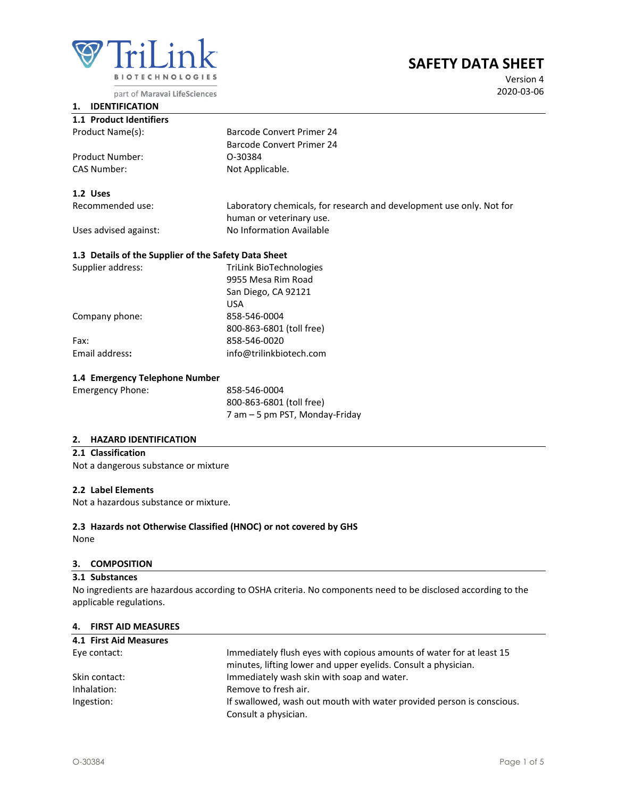

# **1. IDENTIFICATION**

# **SAFETY DATA SHEET**

Version 4 2020‐03‐06

| 1.1 Product Identifiers                              |                                                                      |
|------------------------------------------------------|----------------------------------------------------------------------|
| Product Name(s):                                     | <b>Barcode Convert Primer 24</b>                                     |
|                                                      | Barcode Convert Primer 24                                            |
| <b>Product Number:</b>                               | 0-30384                                                              |
| <b>CAS Number:</b>                                   | Not Applicable.                                                      |
| 1.2 Uses                                             |                                                                      |
| Recommended use:                                     | Laboratory chemicals, for research and development use only. Not for |
|                                                      | human or veterinary use.                                             |
| Uses advised against:                                | No Information Available                                             |
| 1.3 Details of the Supplier of the Safety Data Sheet |                                                                      |
| Supplier address:                                    | TriLink BioTechnologies                                              |
|                                                      | 9955 Mesa Rim Road                                                   |
|                                                      | San Diego, CA 92121                                                  |
|                                                      | <b>USA</b>                                                           |
| Company phone:                                       | 858-546-0004                                                         |
|                                                      | 800-863-6801 (toll free)                                             |
| Fax:                                                 | 858-546-0020                                                         |
| Email address:                                       | info@trilinkbiotech.com                                              |
|                                                      |                                                                      |

#### **1.4 Emergency Telephone Number**

Emergency Phone: 858‐546‐0004

 800‐863‐6801 (toll free) 7 am – 5 pm PST, Monday‐Friday

#### **2. HAZARD IDENTIFICATION**

#### **2.1 Classification**

Not a dangerous substance or mixture

#### **2.2 Label Elements**

Not a hazardous substance or mixture.

### **2.3 Hazards not Otherwise Classified (HNOC) or not covered by GHS**

None

#### **3. COMPOSITION**

#### **3.1 Substances**

No ingredients are hazardous according to OSHA criteria. No components need to be disclosed according to the applicable regulations.

| 4.1 First Aid Measures |                                                                                                                                        |
|------------------------|----------------------------------------------------------------------------------------------------------------------------------------|
| Eye contact:           | Immediately flush eyes with copious amounts of water for at least 15<br>minutes, lifting lower and upper evelids. Consult a physician. |
| Skin contact:          | Immediately wash skin with soap and water.                                                                                             |
| Inhalation:            | Remove to fresh air.                                                                                                                   |
| Ingestion:             | If swallowed, wash out mouth with water provided person is conscious.                                                                  |
|                        | Consult a physician.                                                                                                                   |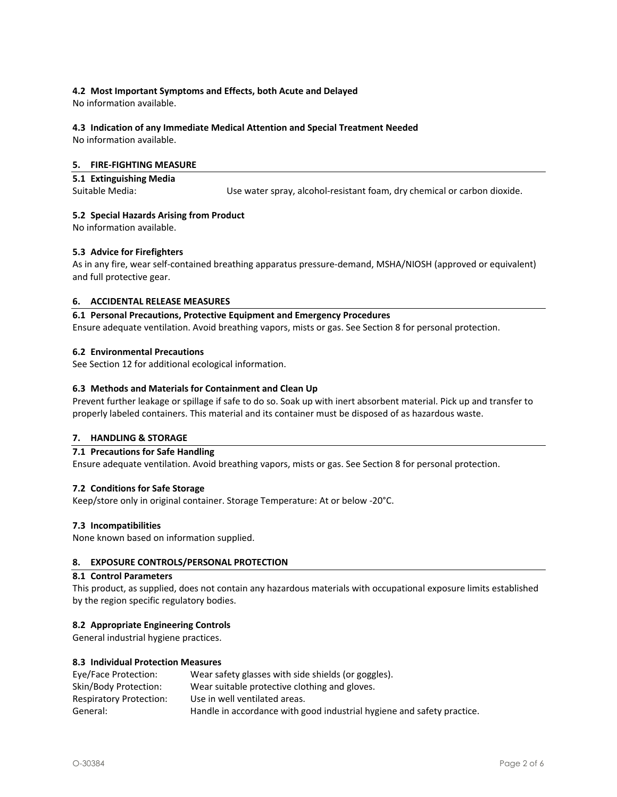No information available.

# **4.3 Indication of any Immediate Medical Attention and Special Treatment Needed**

No information available.

#### **5. FIRE‐FIGHTING MEASURE**

### **5.1 Extinguishing Media**

Suitable Media: Use water spray, alcohol-resistant foam, dry chemical or carbon dioxide.

#### **5.2 Special Hazards Arising from Product**

No information available.

#### **5.3 Advice for Firefighters**

As in any fire, wear self‐contained breathing apparatus pressure‐demand, MSHA/NIOSH (approved or equivalent) and full protective gear.

#### **6. ACCIDENTAL RELEASE MEASURES**

#### **6.1 Personal Precautions, Protective Equipment and Emergency Procedures**

Ensure adequate ventilation. Avoid breathing vapors, mists or gas. See Section 8 for personal protection.

#### **6.2 Environmental Precautions**

See Section 12 for additional ecological information.

#### **6.3 Methods and Materials for Containment and Clean Up**

Prevent further leakage or spillage if safe to do so. Soak up with inert absorbent material. Pick up and transfer to properly labeled containers. This material and its container must be disposed of as hazardous waste.

#### **7. HANDLING & STORAGE**

#### **7.1 Precautions for Safe Handling**

Ensure adequate ventilation. Avoid breathing vapors, mists or gas. See Section 8 for personal protection.

#### **7.2 Conditions for Safe Storage**

Keep/store only in original container. Storage Temperature: At or below ‐20°C.

#### **7.3 Incompatibilities**

None known based on information supplied.

#### **8. EXPOSURE CONTROLS/PERSONAL PROTECTION**

#### **8.1 Control Parameters**

This product, as supplied, does not contain any hazardous materials with occupational exposure limits established by the region specific regulatory bodies.

#### **8.2 Appropriate Engineering Controls**

General industrial hygiene practices.

| Eye/Face Protection:           | Wear safety glasses with side shields (or goggles).                    |
|--------------------------------|------------------------------------------------------------------------|
| Skin/Body Protection:          | Wear suitable protective clothing and gloves.                          |
| <b>Respiratory Protection:</b> | Use in well ventilated areas.                                          |
| General:                       | Handle in accordance with good industrial hygiene and safety practice. |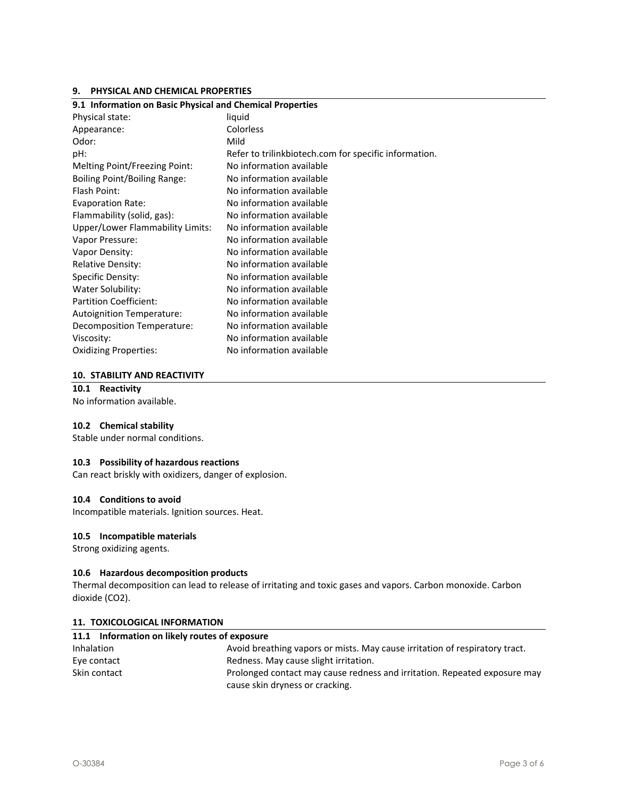| 9.1 Information on Basic Physical and Chemical Properties |                                                       |  |
|-----------------------------------------------------------|-------------------------------------------------------|--|
| Physical state:                                           | liquid                                                |  |
| Appearance:                                               | Colorless                                             |  |
| Odor:                                                     | Mild                                                  |  |
| pH:                                                       | Refer to trilinkbiotech.com for specific information. |  |
| Melting Point/Freezing Point:                             | No information available                              |  |
| <b>Boiling Point/Boiling Range:</b>                       | No information available                              |  |
| Flash Point:                                              | No information available                              |  |
| <b>Evaporation Rate:</b>                                  | No information available                              |  |
| Flammability (solid, gas):                                | No information available                              |  |
| Upper/Lower Flammability Limits:                          | No information available                              |  |
| Vapor Pressure:                                           | No information available                              |  |
| Vapor Density:                                            | No information available                              |  |
| <b>Relative Density:</b>                                  | No information available                              |  |
| Specific Density:                                         | No information available                              |  |
| Water Solubility:                                         | No information available                              |  |
| <b>Partition Coefficient:</b>                             | No information available                              |  |
| Autoignition Temperature:                                 | No information available                              |  |
| Decomposition Temperature:                                | No information available                              |  |
| Viscosity:                                                | No information available                              |  |
| <b>Oxidizing Properties:</b>                              | No information available                              |  |

#### **10. STABILITY AND REACTIVITY**

**10.1 Reactivity** No information available.

#### **10.2 Chemical stability**

Stable under normal conditions.

#### **10.3 Possibility of hazardous reactions**

Can react briskly with oxidizers, danger of explosion.

#### **10.4 Conditions to avoid**

Incompatible materials. Ignition sources. Heat.

#### **10.5 Incompatible materials**

Strong oxidizing agents.

#### **10.6 Hazardous decomposition products**

Thermal decomposition can lead to release of irritating and toxic gases and vapors. Carbon monoxide. Carbon dioxide (CO2).

## **11.1 Information on likely routes of exposure** Inhalation **Avoid breathing vapors or mists. May cause irritation of respiratory tract.** Eye contact **Redness.** May cause slight irritation. Skin contact **Prolonged contact may cause redness and irritation**. Repeated exposure may cause skin dryness or cracking.

#### **11. TOXICOLOGICAL INFORMATION**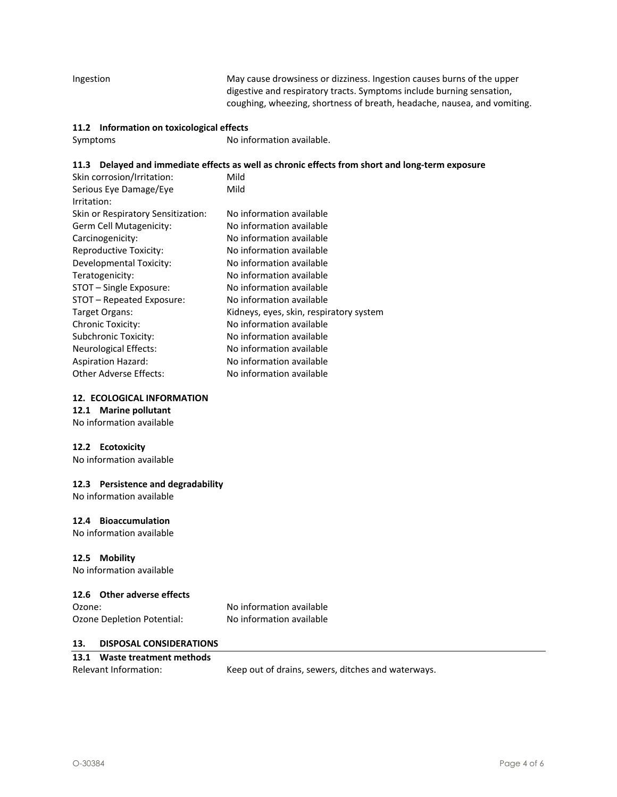#### **11.2 Information on toxicological effects**

| Symptoms | No information available. |
|----------|---------------------------|
|          |                           |

#### **11.3 Delayed and immediate effects as well as chronic effects from short and long‐term exposure**

| Mild                                    |
|-----------------------------------------|
| Mild                                    |
|                                         |
| No information available                |
| No information available                |
| No information available                |
| No information available                |
| No information available                |
| No information available                |
| No information available                |
| No information available                |
| Kidneys, eyes, skin, respiratory system |
| No information available                |
| No information available                |
| No information available                |
| No information available                |
| No information available                |
|                                         |

#### **12. ECOLOGICAL INFORMATION**

#### **12.1 Marine pollutant**

No information available

#### **12.2 Ecotoxicity**

No information available

#### **12.3 Persistence and degradability**

No information available

#### **12.4 Bioaccumulation**

No information available

#### **12.5 Mobility**

No information available

# **12.6 Other adverse effects** Ozone Depletion Potential: No information available

No information available

### **13. DISPOSAL CONSIDERATIONS**

### **13.1 Waste treatment methods**